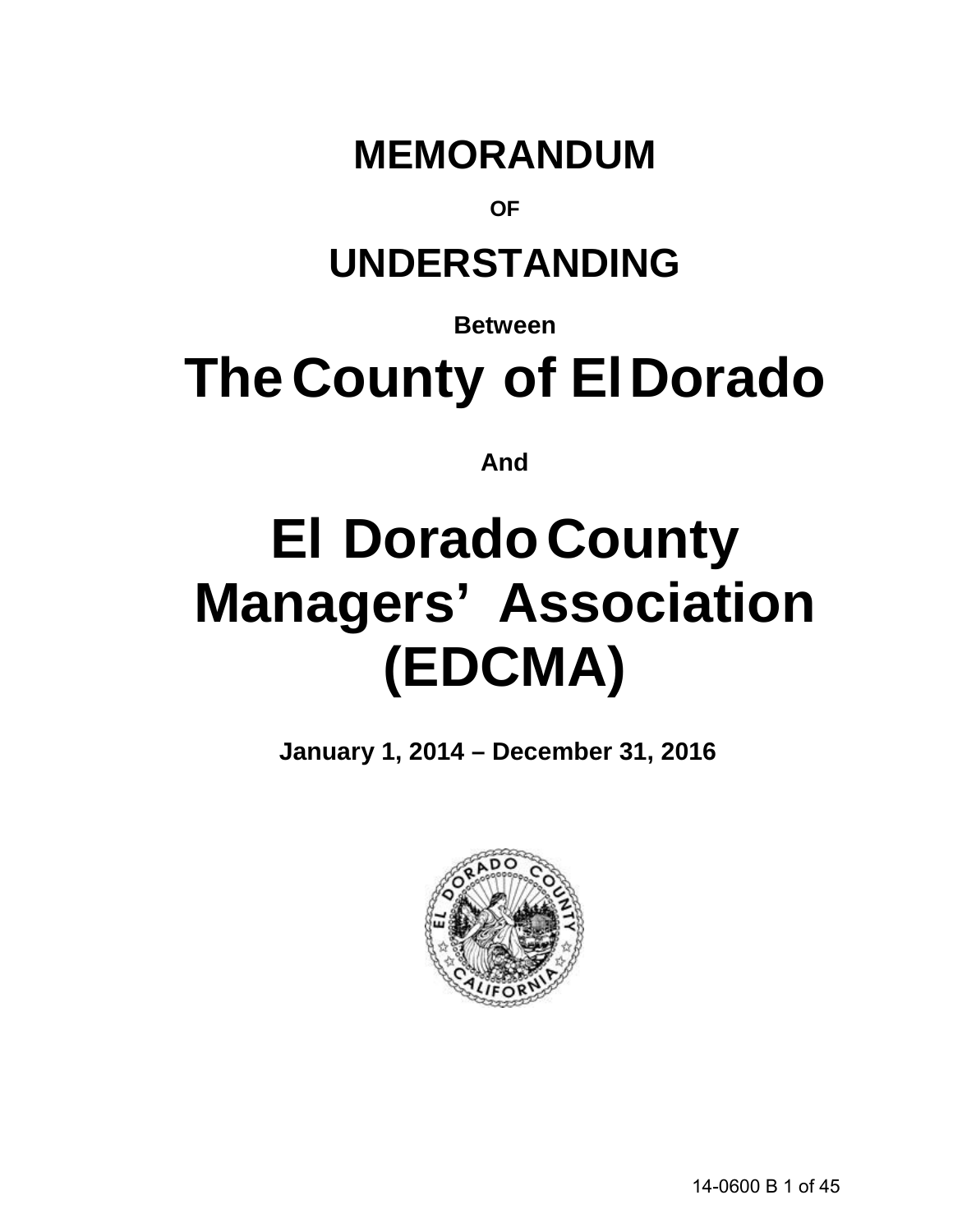## **MEMORANDUM**

### **OF**

## **UNDERSTANDING**

**Between**

# **The County of El Dorado**

**And**

# **El DoradoCounty Managers' Association (EDCMA)**

**January 1, 2014 – December 31, 2016**

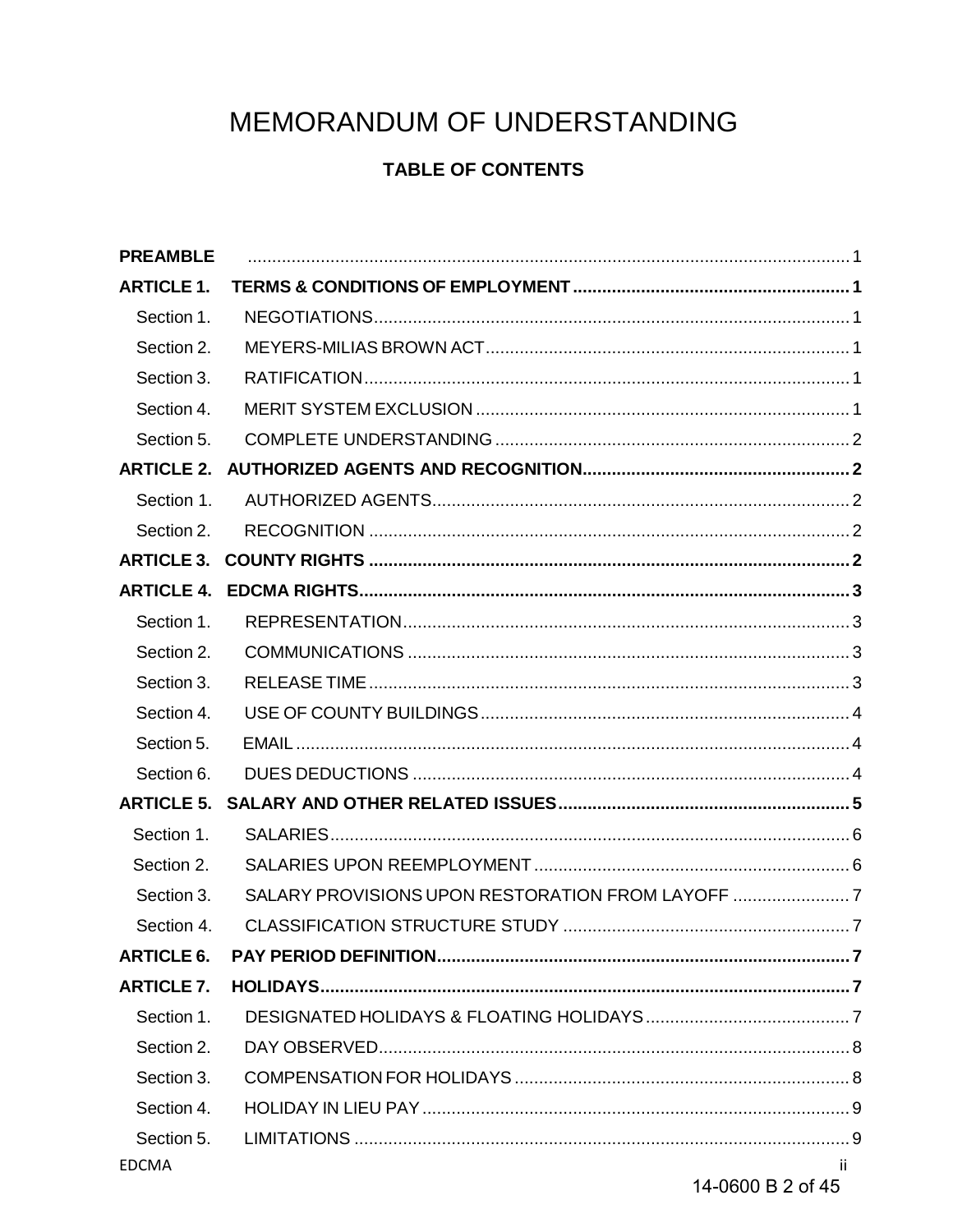## MEMORANDUM OF UNDERSTANDING

### **TABLE OF CONTENTS**

| <b>PREAMBLE</b>   |                                                |     |
|-------------------|------------------------------------------------|-----|
| <b>ARTICLE 1.</b> |                                                |     |
| Section 1.        |                                                |     |
| Section 2.        |                                                |     |
| Section 3.        |                                                |     |
| Section 4.        |                                                |     |
| Section 5.        |                                                |     |
| <b>ARTICLE 2.</b> |                                                |     |
| Section 1.        |                                                |     |
| Section 2.        |                                                |     |
| <b>ARTICLE 3.</b> |                                                |     |
| <b>ARTICLE 4.</b> |                                                |     |
| Section 1.        |                                                |     |
| Section 2.        |                                                |     |
| Section 3.        |                                                |     |
| Section 4.        |                                                |     |
| Section 5.        |                                                |     |
| Section 6.        |                                                |     |
| <b>ARTICLE 5.</b> |                                                |     |
| Section 1.        |                                                |     |
| Section 2.        |                                                |     |
| Section 3.        | SALARY PROVISIONS UPON RESTORATION FROM LAYOFF |     |
| Section 4.        |                                                |     |
| <b>ARTICLE 6.</b> |                                                |     |
| <b>ARTICLE 7.</b> |                                                |     |
| Section 1.        |                                                |     |
| Section 2.        |                                                |     |
| Section 3.        |                                                |     |
| Section 4.        |                                                |     |
| Section 5.        |                                                |     |
| <b>EDCMA</b>      |                                                | ii. |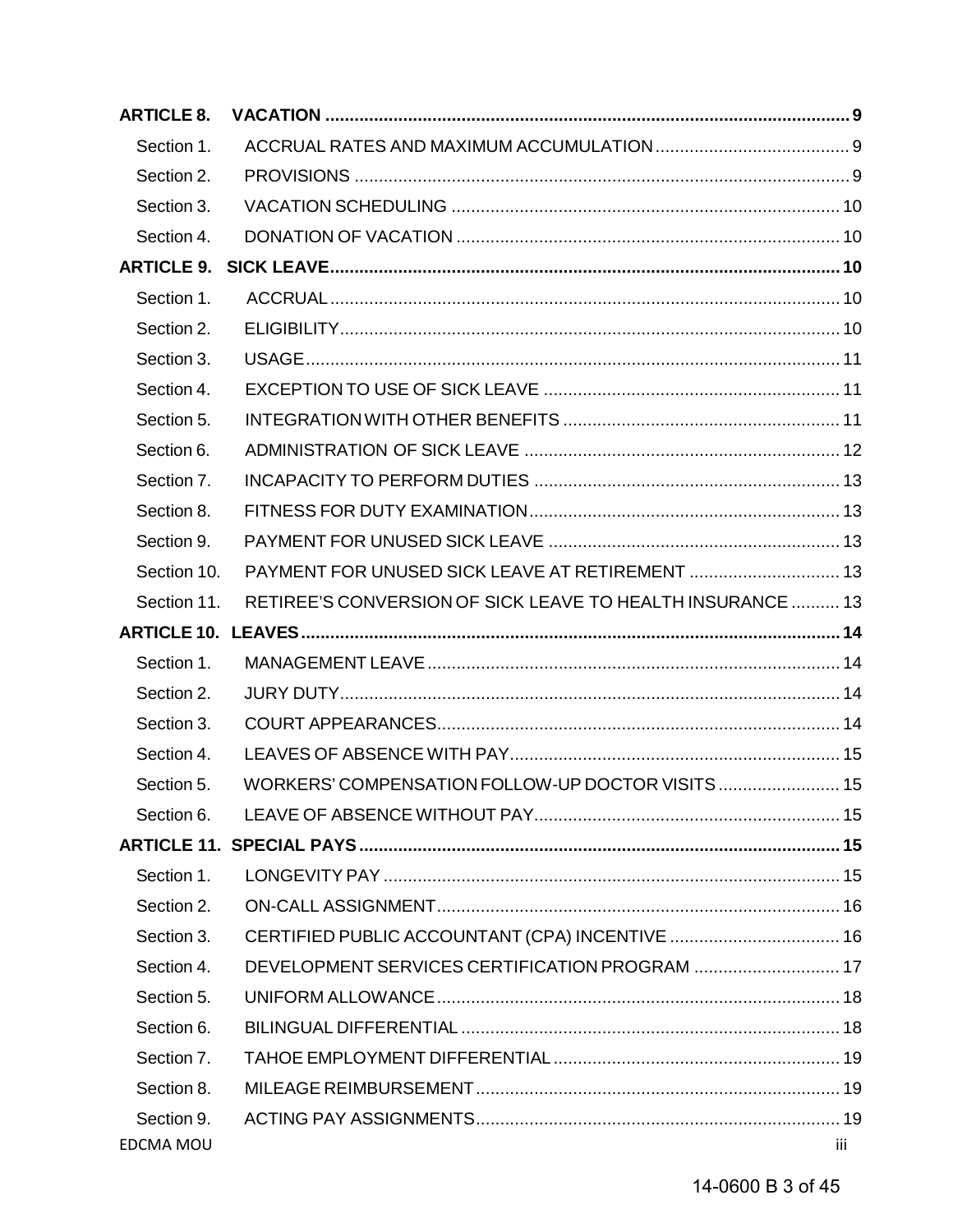| <b>ARTICLE 8.</b> |                                                            |     |
|-------------------|------------------------------------------------------------|-----|
| Section 1.        |                                                            |     |
| Section 2.        |                                                            |     |
| Section 3.        |                                                            |     |
| Section 4.        |                                                            |     |
| <b>ARTICLE 9.</b> |                                                            |     |
| Section 1.        |                                                            |     |
| Section 2.        |                                                            |     |
| Section 3.        |                                                            |     |
| Section 4.        |                                                            |     |
| Section 5.        |                                                            |     |
| Section 6.        |                                                            |     |
| Section 7.        |                                                            |     |
| Section 8.        |                                                            |     |
| Section 9.        |                                                            |     |
| Section 10.       |                                                            |     |
| Section 11.       | RETIREE'S CONVERSION OF SICK LEAVE TO HEALTH INSURANCE  13 |     |
|                   |                                                            |     |
| Section 1.        |                                                            |     |
| Section 2.        |                                                            |     |
| Section 3.        |                                                            |     |
| Section 4.        |                                                            |     |
| Section 5.        | WORKERS' COMPENSATION FOLLOW-UP DOCTOR VISITS  15          |     |
| Section 6.        |                                                            |     |
|                   |                                                            |     |
| Section 1.        |                                                            |     |
| Section 2.        |                                                            |     |
| Section 3.        |                                                            |     |
| Section 4.        | DEVELOPMENT SERVICES CERTIFICATION PROGRAM  17             |     |
| Section 5.        |                                                            |     |
| Section 6.        |                                                            |     |
| Section 7.        |                                                            |     |
| Section 8.        |                                                            |     |
| Section 9.        |                                                            |     |
| EDCMA MOU         |                                                            | iii |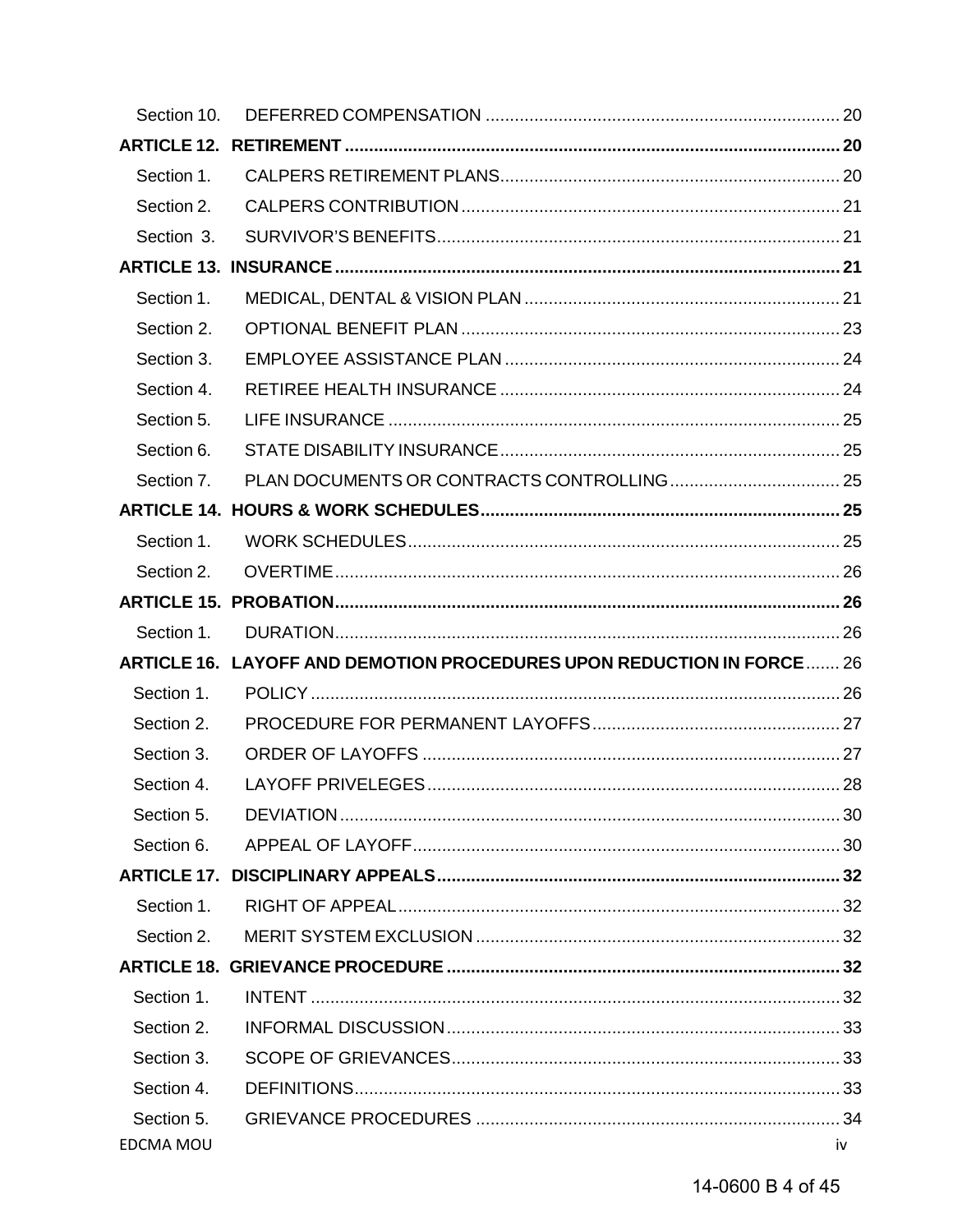| Section 10.      |                                                                       |    |
|------------------|-----------------------------------------------------------------------|----|
|                  |                                                                       |    |
| Section 1.       |                                                                       |    |
| Section 2.       |                                                                       |    |
| Section 3.       |                                                                       |    |
|                  |                                                                       |    |
| Section 1.       |                                                                       |    |
| Section 2.       |                                                                       |    |
| Section 3.       |                                                                       |    |
| Section 4.       |                                                                       |    |
| Section 5.       |                                                                       |    |
| Section 6.       |                                                                       |    |
| Section 7.       |                                                                       |    |
|                  |                                                                       |    |
| Section 1.       |                                                                       |    |
| Section 2.       |                                                                       |    |
|                  |                                                                       |    |
| Section 1.       |                                                                       |    |
|                  | ARTICLE 16. LAYOFF AND DEMOTION PROCEDURES UPON REDUCTION IN FORCE 26 |    |
| Section 1.       |                                                                       |    |
| Section 2.       |                                                                       |    |
| Section 3.       |                                                                       |    |
| Section 4.       |                                                                       |    |
| Section 5.       |                                                                       |    |
| Section 6.       |                                                                       |    |
|                  |                                                                       |    |
| Section 1.       |                                                                       |    |
| Section 2.       |                                                                       |    |
|                  |                                                                       |    |
| Section 1.       |                                                                       |    |
| Section 2.       |                                                                       |    |
| Section 3.       |                                                                       |    |
| Section 4.       |                                                                       |    |
| Section 5.       |                                                                       |    |
| <b>EDCMA MOU</b> |                                                                       | iv |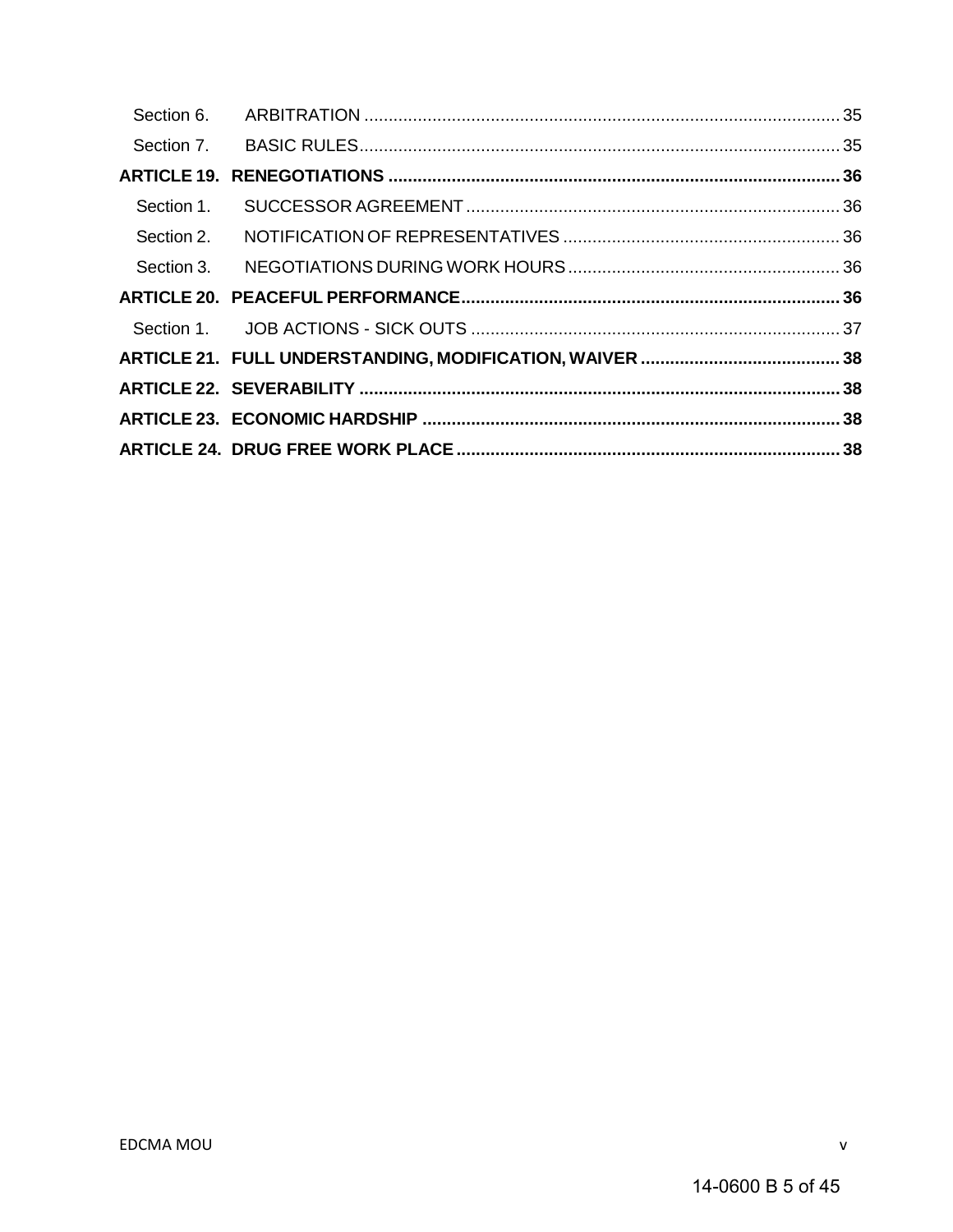| Section 1. |  |
|------------|--|
| Section 2. |  |
|            |  |
|            |  |
|            |  |
|            |  |
|            |  |
|            |  |
|            |  |

 $\mathsf{V}$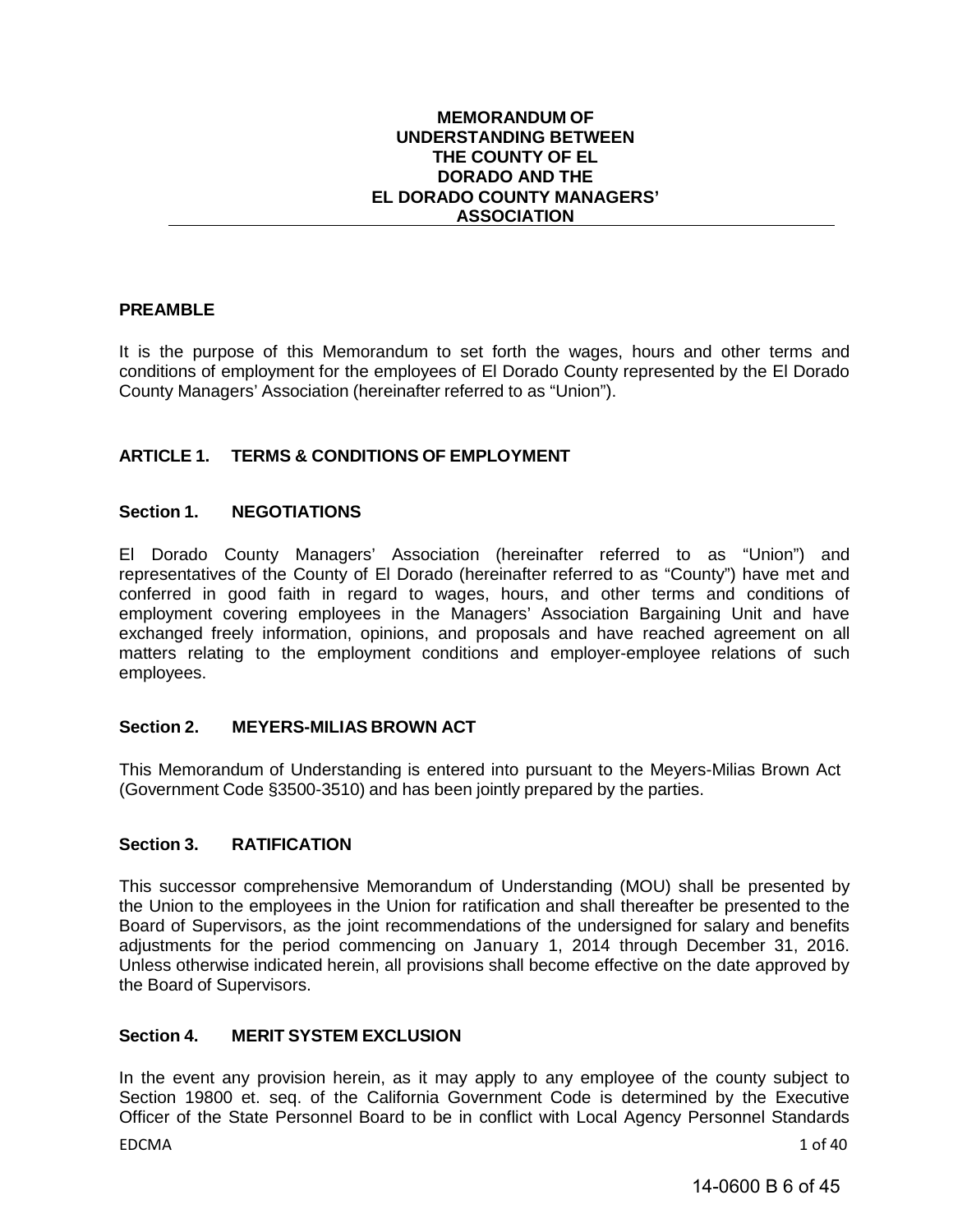#### **MEMORANDUM OF UNDERSTANDING BETWEEN THE COUNTY OF EL DORADO AND THE EL DORADO COUNTY MANAGERS' ASSOCIATION**

#### <span id="page-5-0"></span>**PREAMBLE**

It is the purpose of this Memorandum to set forth the wages, hours and other terms and conditions of employment for the employees of El Dorado County represented by the El Dorado County Managers' Association (hereinafter referred to as "Union").

#### <span id="page-5-1"></span>**ARTICLE 1. TERMS & CONDITIONS OF EMPLOYMENT**

#### <span id="page-5-2"></span>**Section 1. NEGOTIATIONS**

El Dorado County Managers' Association (hereinafter referred to as "Union") and representatives of the County of El Dorado (hereinafter referred to as "County") have met and conferred in good faith in regard to wages, hours, and other terms and conditions of employment covering employees in the Managers' Association Bargaining Unit and have exchanged freely information, opinions, and proposals and have reached agreement on all matters relating to the employment conditions and employer-employee relations of such employees.

#### <span id="page-5-3"></span>**Section 2. MEYERS-MILIAS BROWN ACT**

This Memorandum of Understanding is entered into pursuant to the Meyers-Milias Brown Act (Government Code §3500-3510) and has been jointly prepared by the parties.

#### <span id="page-5-4"></span>**Section 3. RATIFICATION**

This successor comprehensive Memorandum of Understanding (MOU) shall be presented by the Union to the employees in the Union for ratification and shall thereafter be presented to the Board of Supervisors, as the joint recommendations of the undersigned for salary and benefits adjustments for the period commencing on January 1, 2014 through December 31, 2016. Unless otherwise indicated herein, all provisions shall become effective on the date approved by the Board of Supervisors.

#### <span id="page-5-5"></span>**Section 4. MERIT SYSTEM EXCLUSION**

In the event any provision herein, as it may apply to any employee of the county subject to Section 19800 et. seq. of the California Government Code is determined by the Executive Officer of the State Personnel Board to be in conflict with Local Agency Personnel Standards

EDCMA 1 of 40

14-0600 B 6 of 45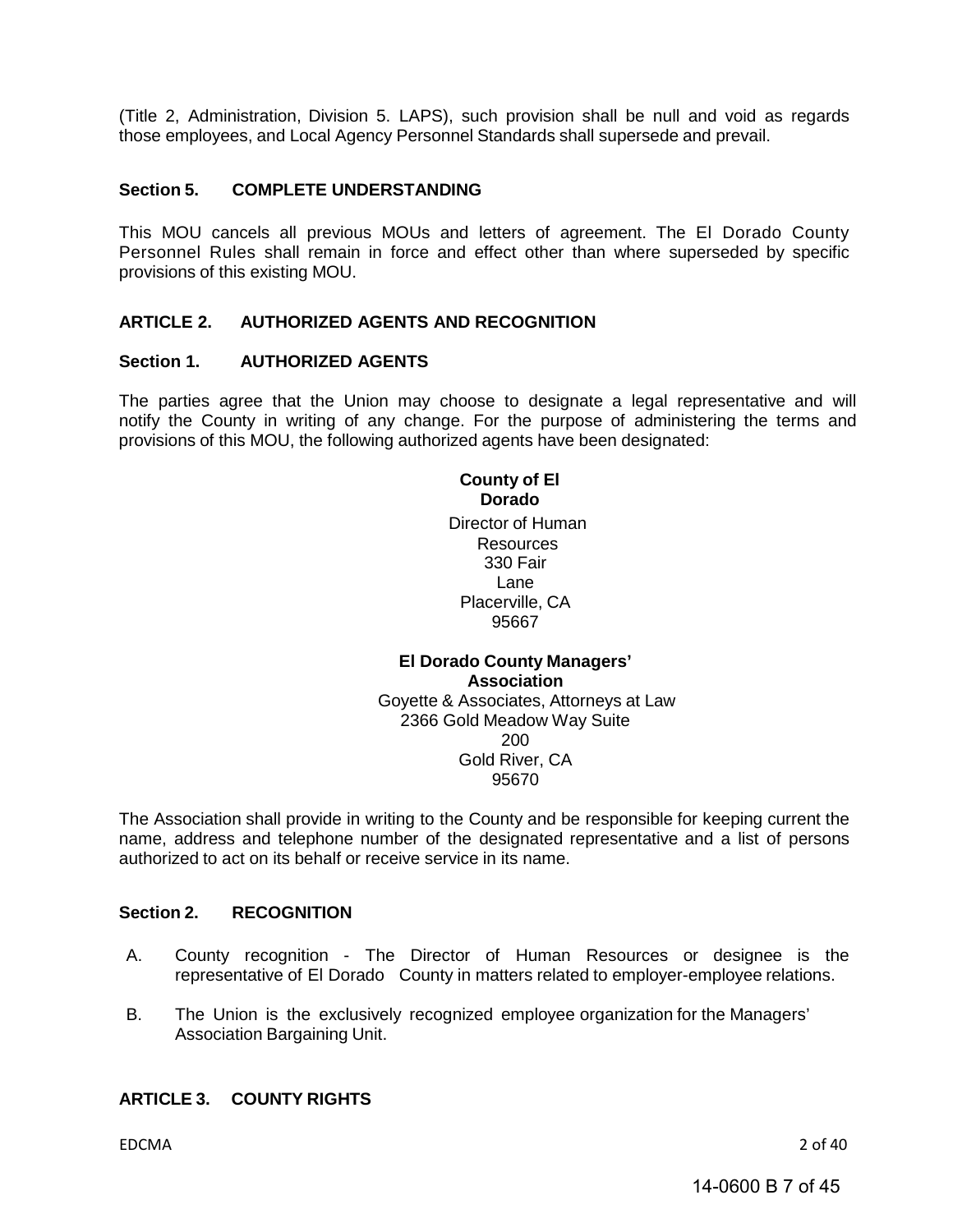(Title 2, Administration, Division 5. LAPS), such provision shall be null and void as regards those employees, and Local Agency Personnel Standards shall supersede and prevail.

#### <span id="page-6-0"></span>**Section 5. COMPLETE UNDERSTANDING**

This MOU cancels all previous MOUs and letters of agreement. The El Dorado County Personnel Rules shall remain in force and effect other than where superseded by specific provisions of this existing MOU.

#### <span id="page-6-1"></span>**ARTICLE 2. AUTHORIZED AGENTS AND RECOGNITION**

#### **Section 1. AUTHORIZED AGENTS**

The parties agree that the Union may choose to designate a legal representative and will notify the County in writing of any change. For the purpose of administering the terms and provisions of this MOU, the following authorized agents have been designated:

> **County of El Dorado** Director of Human Resources 330 Fair Lane Placerville, CA 95667

#### **El Dorado County Managers' Association** Goyette & Associates, Attorneys at Law 2366 Gold Meadow Way Suite 200 Gold River, CA 95670

The Association shall provide in writing to the County and be responsible for keeping current the name, address and telephone number of the designated representative and a list of persons authorized to act on its behalf or receive service in its name.

#### <span id="page-6-2"></span>**Section 2. RECOGNITION**

- A. County recognition The Director of Human Resources or designee is the representative of El Dorado County in matters related to employer-employee relations.
- B. The Union is the exclusively recognized employee organization for the Managers' Association Bargaining Unit.

#### <span id="page-6-3"></span>**ARTICLE 3. COUNTY RIGHTS**

EDCMA 2 of 40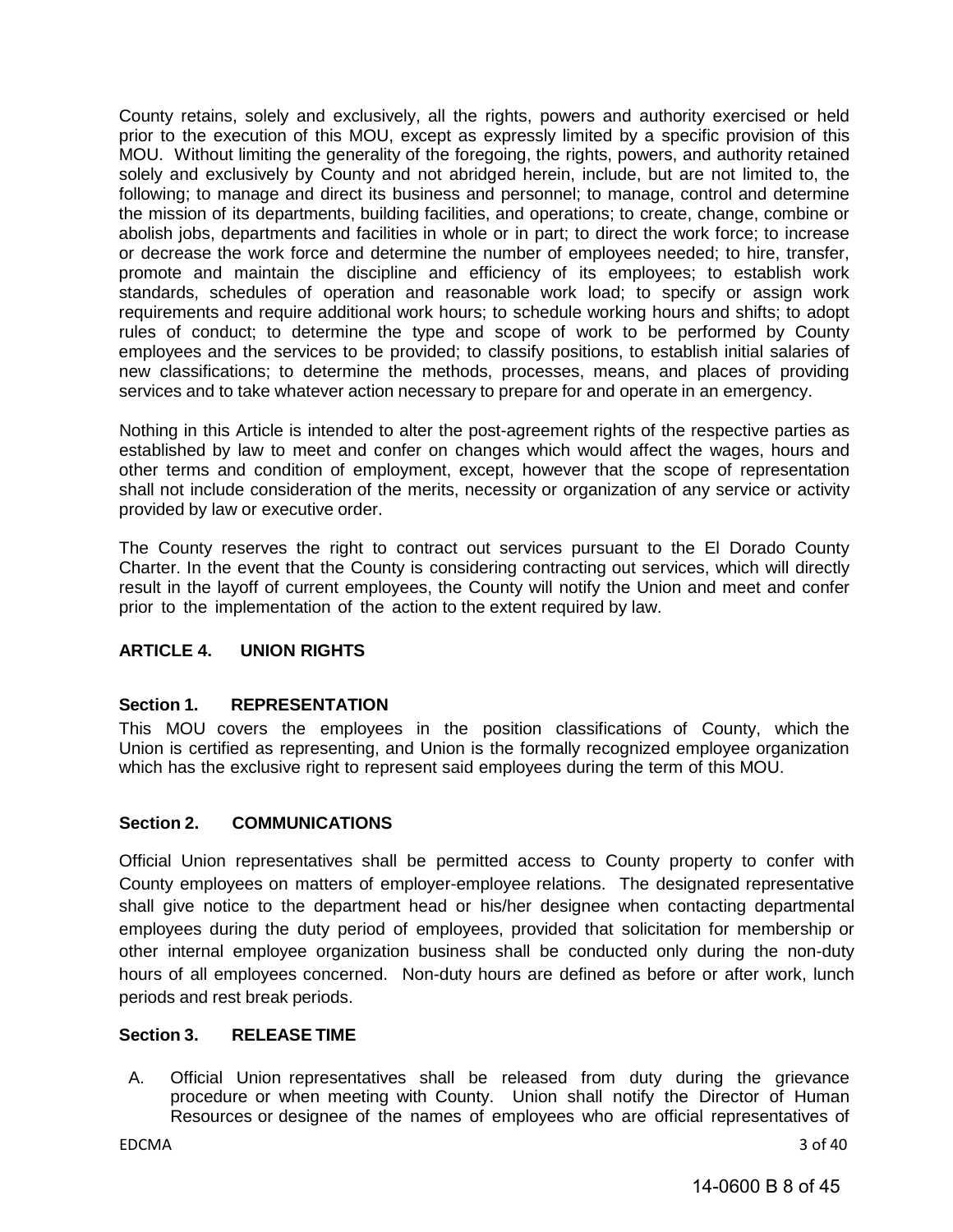County retains, solely and exclusively, all the rights, powers and authority exercised or held prior to the execution of this MOU, except as expressly limited by a specific provision of this MOU. Without limiting the generality of the foregoing, the rights, powers, and authority retained solely and exclusively by County and not abridged herein, include, but are not limited to, the following; to manage and direct its business and personnel; to manage, control and determine the mission of its departments, building facilities, and operations; to create, change, combine or abolish jobs, departments and facilities in whole or in part; to direct the work force; to increase or decrease the work force and determine the number of employees needed; to hire, transfer, promote and maintain the discipline and efficiency of its employees; to establish work standards, schedules of operation and reasonable work load; to specify or assign work requirements and require additional work hours; to schedule working hours and shifts; to adopt rules of conduct; to determine the type and scope of work to be performed by County employees and the services to be provided; to classify positions, to establish initial salaries of new classifications; to determine the methods, processes, means, and places of providing services and to take whatever action necessary to prepare for and operate in an emergency.

Nothing in this Article is intended to alter the post-agreement rights of the respective parties as established by law to meet and confer on changes which would affect the wages, hours and other terms and condition of employment, except, however that the scope of representation shall not include consideration of the merits, necessity or organization of any service or activity provided by law or executive order.

The County reserves the right to contract out services pursuant to the El Dorado County Charter. In the event that the County is considering contracting out services, which will directly result in the layoff of current employees, the County will notify the Union and meet and confer prior to the implementation of the action to the extent required by law.

#### <span id="page-7-0"></span>**ARTICLE 4. UNION RIGHTS**

#### <span id="page-7-1"></span>**Section 1. REPRESENTATION**

This MOU covers the employees in the position classifications of County, which the Union is certified as representing, and Union is the formally recognized employee organization which has the exclusive right to represent said employees during the term of this MOU.

#### <span id="page-7-2"></span>**Section 2. COMMUNICATIONS**

Official Union representatives shall be permitted access to County property to confer with County employees on matters of employer-employee relations. The designated representative shall give notice to the department head or his/her designee when contacting departmental employees during the duty period of employees, provided that solicitation for membership or other internal employee organization business shall be conducted only during the non-duty hours of all employees concerned. Non-duty hours are defined as before or after work, lunch periods and rest break periods.

#### <span id="page-7-3"></span>**Section 3. RELEASE TIME**

A. Official Union representatives shall be released from duty during the grievance procedure or when meeting with County. Union shall notify the Director of Human Resources or designee of the names of employees who are official representatives of

EDCMA 3 of 40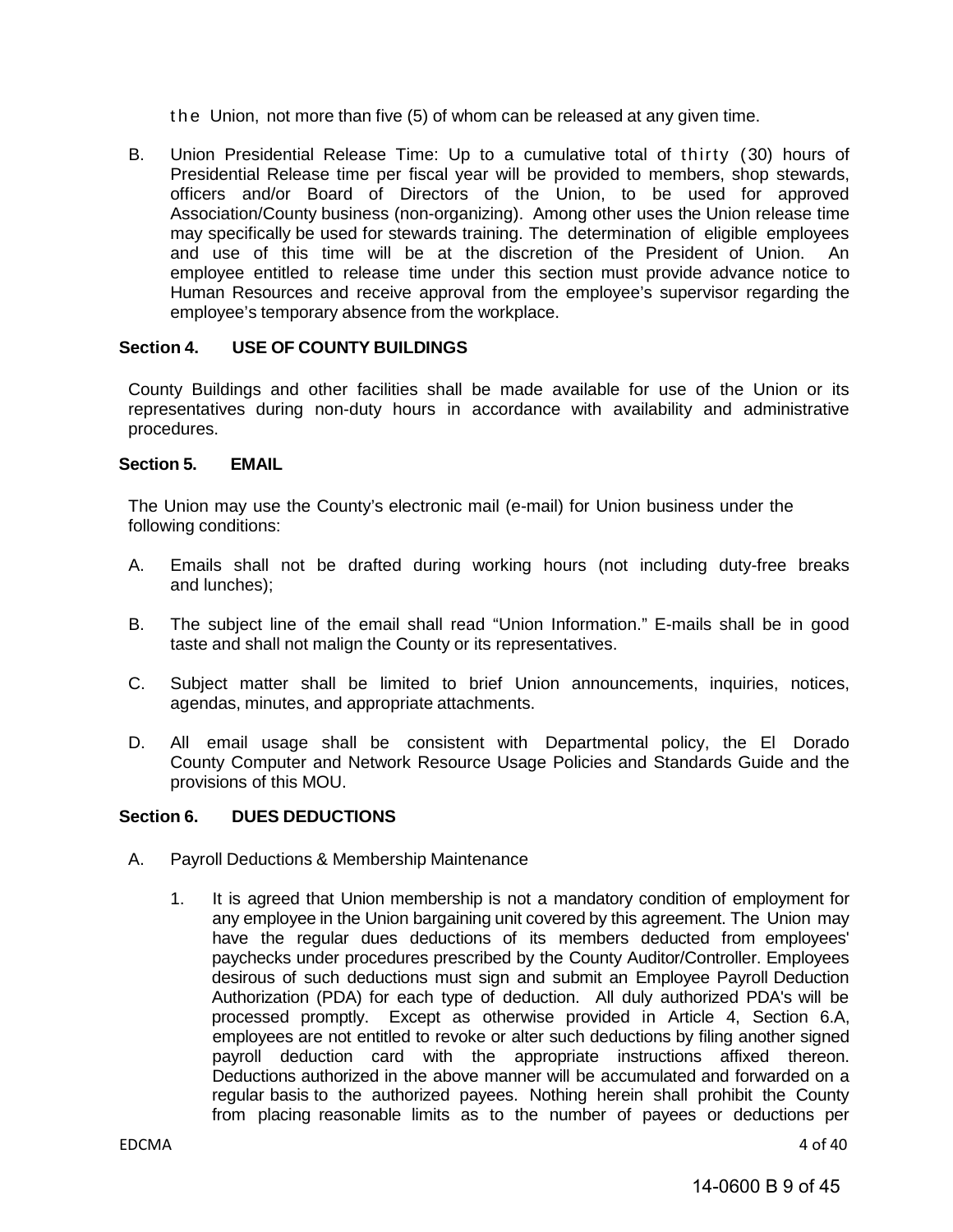the Union, not more than five (5) of whom can be released at any given time.

B. Union Presidential Release Time: Up to a cumulative total of thirty (30) hours of Presidential Release time per fiscal year will be provided to members, shop stewards, officers and/or Board of Directors of the Union, to be used for approved Association/County business (non-organizing). Among other uses the Union release time may specifically be used for stewards training. The determination of eligible employees and use of this time will be at the discretion of the President of Union. An employee entitled to release time under this section must provide advance notice to Human Resources and receive approval from the employee's supervisor regarding the employee's temporary absence from the workplace.

#### <span id="page-8-0"></span>**Section 4. USE OF COUNTY BUILDINGS**

County Buildings and other facilities shall be made available for use of the Union or its representatives during non-duty hours in accordance with availability and administrative procedures.

#### <span id="page-8-1"></span>**Section 5. EMAIL**

The Union may use the County's electronic mail (e-mail) for Union business under the following conditions:

- A. Emails shall not be drafted during working hours (not including duty-free breaks and lunches);
- B. The subject line of the email shall read "Union Information." E-mails shall be in good taste and shall not malign the County or its representatives.
- C. Subject matter shall be limited to brief Union announcements, inquiries, notices, agendas, minutes, and appropriate attachments.
- D. All email usage shall be consistent with Departmental policy, the El Dorado County Computer and Network Resource Usage Policies and Standards Guide and the provisions of this MOU.

#### <span id="page-8-2"></span>**Section 6. DUES DEDUCTIONS**

- A. Payroll Deductions & Membership Maintenance
	- 1. It is agreed that Union membership is not a mandatory condition of employment for any employee in the Union bargaining unit covered by this agreement. The Union may have the regular dues deductions of its members deducted from employees' paychecks under procedures prescribed by the County Auditor/Controller. Employees desirous of such deductions must sign and submit an Employee Payroll Deduction Authorization (PDA) for each type of deduction. All duly authorized PDA's will be processed promptly. Except as otherwise provided in Article 4, Section 6.A, employees are not entitled to revoke or alter such deductions by filing another signed payroll deduction card with the appropriate instructions affixed thereon. Deductions authorized in the above manner will be accumulated and forwarded on a regular basis to the authorized payees. Nothing herein shall prohibit the County from placing reasonable limits as to the number of payees or deductions per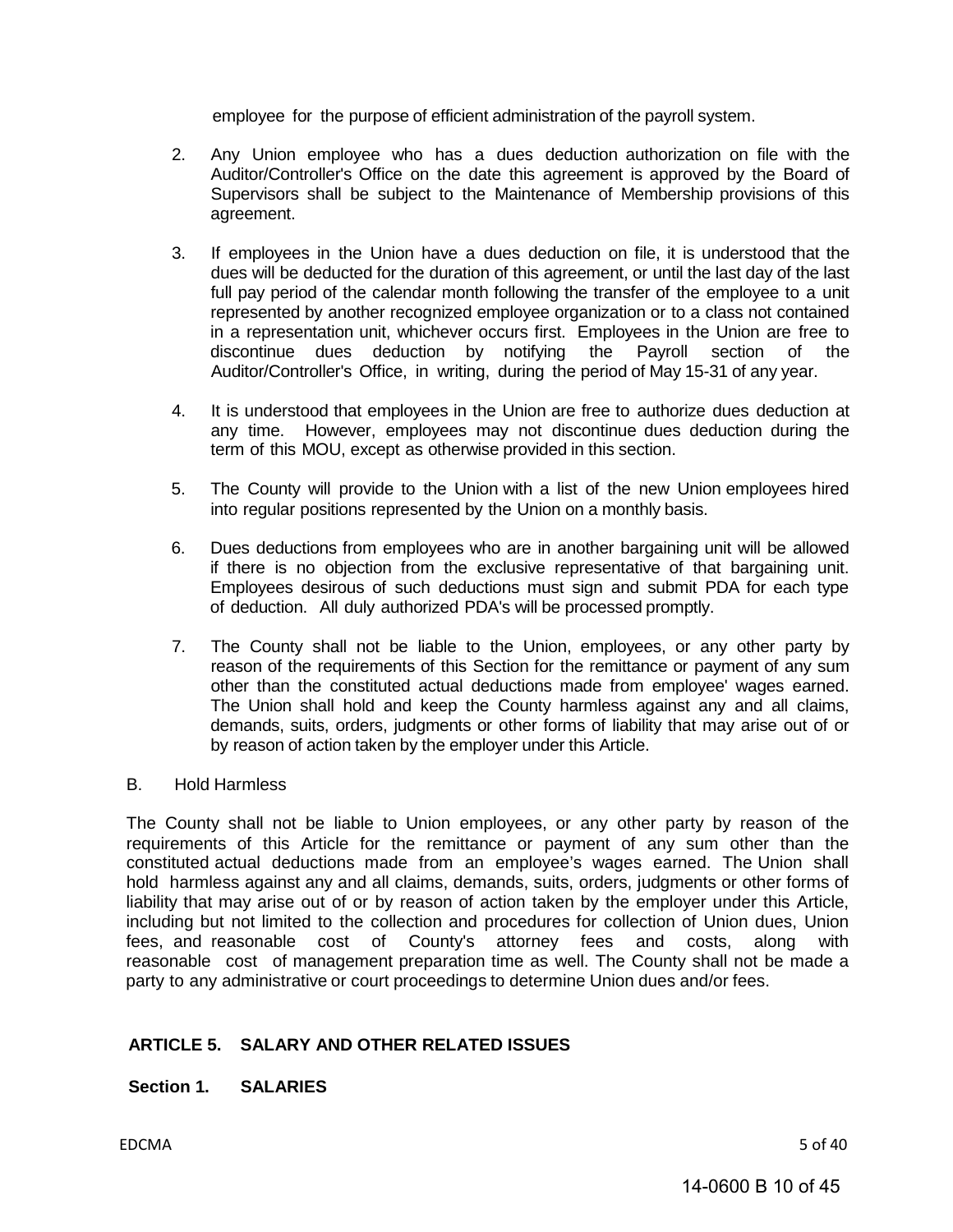employee for the purpose of efficient administration of the payroll system.

- 2. Any Union employee who has a dues deduction authorization on file with the Auditor/Controller's Office on the date this agreement is approved by the Board of Supervisors shall be subject to the Maintenance of Membership provisions of this agreement.
- 3. If employees in the Union have a dues deduction on file, it is understood that the dues will be deducted for the duration of this agreement, or until the last day of the last full pay period of the calendar month following the transfer of the employee to a unit represented by another recognized employee organization or to a class not contained in a representation unit, whichever occurs first. Employees in the Union are free to discontinue dues deduction by notifying the Payroll section of the Auditor/Controller's Office, in writing, during the period of May 15-31 of any year.
- 4. It is understood that employees in the Union are free to authorize dues deduction at any time. However, employees may not discontinue dues deduction during the term of this MOU, except as otherwise provided in this section.
- 5. The County will provide to the Union with a list of the new Union employees hired into regular positions represented by the Union on a monthly basis.
- 6. Dues deductions from employees who are in another bargaining unit will be allowed if there is no objection from the exclusive representative of that bargaining unit. Employees desirous of such deductions must sign and submit PDA for each type of deduction. All duly authorized PDA's will be processed promptly.
- 7. The County shall not be liable to the Union, employees, or any other party by reason of the requirements of this Section for the remittance or payment of any sum other than the constituted actual deductions made from employee' wages earned. The Union shall hold and keep the County harmless against any and all claims, demands, suits, orders, judgments or other forms of liability that may arise out of or by reason of action taken by the employer under this Article.
- B. Hold Harmless

The County shall not be liable to Union employees, or any other party by reason of the requirements of this Article for the remittance or payment of any sum other than the constituted actual deductions made from an employee's wages earned. The Union shall hold harmless against any and all claims, demands, suits, orders, judgments or other forms of liability that may arise out of or by reason of action taken by the employer under this Article, including but not limited to the collection and procedures for collection of Union dues, Union fees, and reasonable cost of County's attorney fees and costs, along with reasonable cost of management preparation time as well. The County shall not be made a party to any administrative or court proceedings to determine Union dues and/or fees.

#### <span id="page-9-0"></span>**ARTICLE 5. SALARY AND OTHER RELATED ISSUES**

#### **Section 1. SALARIES**

EDCMA 5 of 40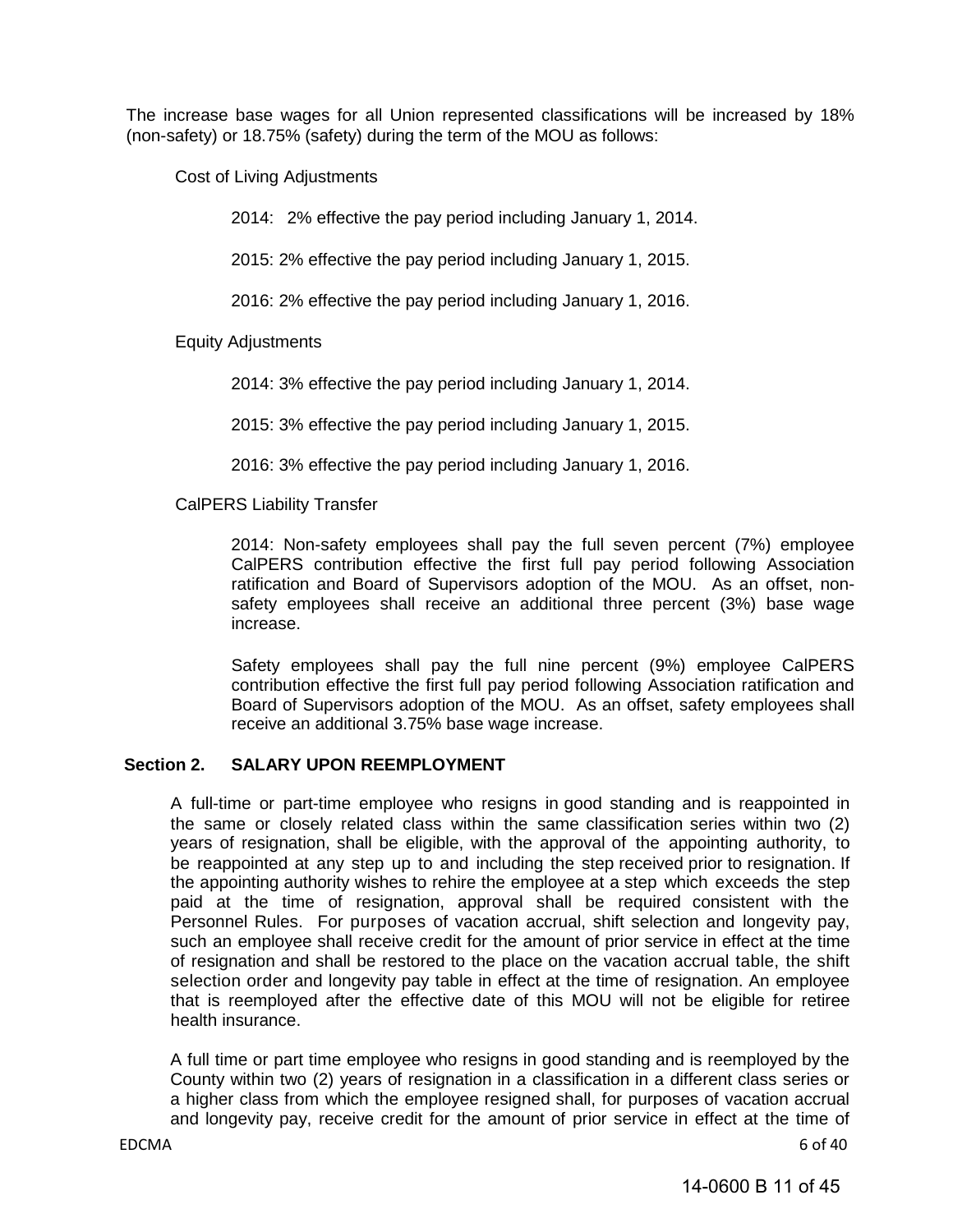The increase base wages for all Union represented classifications will be increased by 18% (non-safety) or 18.75% (safety) during the term of the MOU as follows:

Cost of Living Adjustments

2014: 2% effective the pay period including January 1, 2014.

2015: 2% effective the pay period including January 1, 2015.

2016: 2% effective the pay period including January 1, 2016.

Equity Adjustments

2014: 3% effective the pay period including January 1, 2014.

2015: 3% effective the pay period including January 1, 2015.

2016: 3% effective the pay period including January 1, 2016.

CalPERS Liability Transfer

2014: Non-safety employees shall pay the full seven percent (7%) employee CalPERS contribution effective the first full pay period following Association ratification and Board of Supervisors adoption of the MOU. As an offset, nonsafety employees shall receive an additional three percent (3%) base wage increase.

Safety employees shall pay the full nine percent (9%) employee CalPERS contribution effective the first full pay period following Association ratification and Board of Supervisors adoption of the MOU. As an offset, safety employees shall receive an additional 3.75% base wage increase.

#### **Section 2. SALARY UPON REEMPLOYMENT**

 A full-time or part-time employee who resigns in good standing and is reappointed in the same or closely related class within the same classification series within two (2) years of resignation, shall be eligible, with the approval of the appointing authority, to be reappointed at any step up to and including the step received prior to resignation. If the appointing authority wishes to rehire the employee at a step which exceeds the step paid at the time of resignation, approval shall be required consistent with the Personnel Rules. For purposes of vacation accrual, shift selection and longevity pay, such an employee shall receive credit for the amount of prior service in effect at the time of resignation and shall be restored to the place on the vacation accrual table, the shift selection order and longevity pay table in effect at the time of resignation. An employee that is reemployed after the effective date of this MOU will not be eligible for retiree health insurance.

A full time or part time employee who resigns in good standing and is reemployed by the County within two (2) years of resignation in a classification in a different class series or a higher class from which the employee resigned shall, for purposes of vacation accrual and longevity pay, receive credit for the amount of prior service in effect at the time of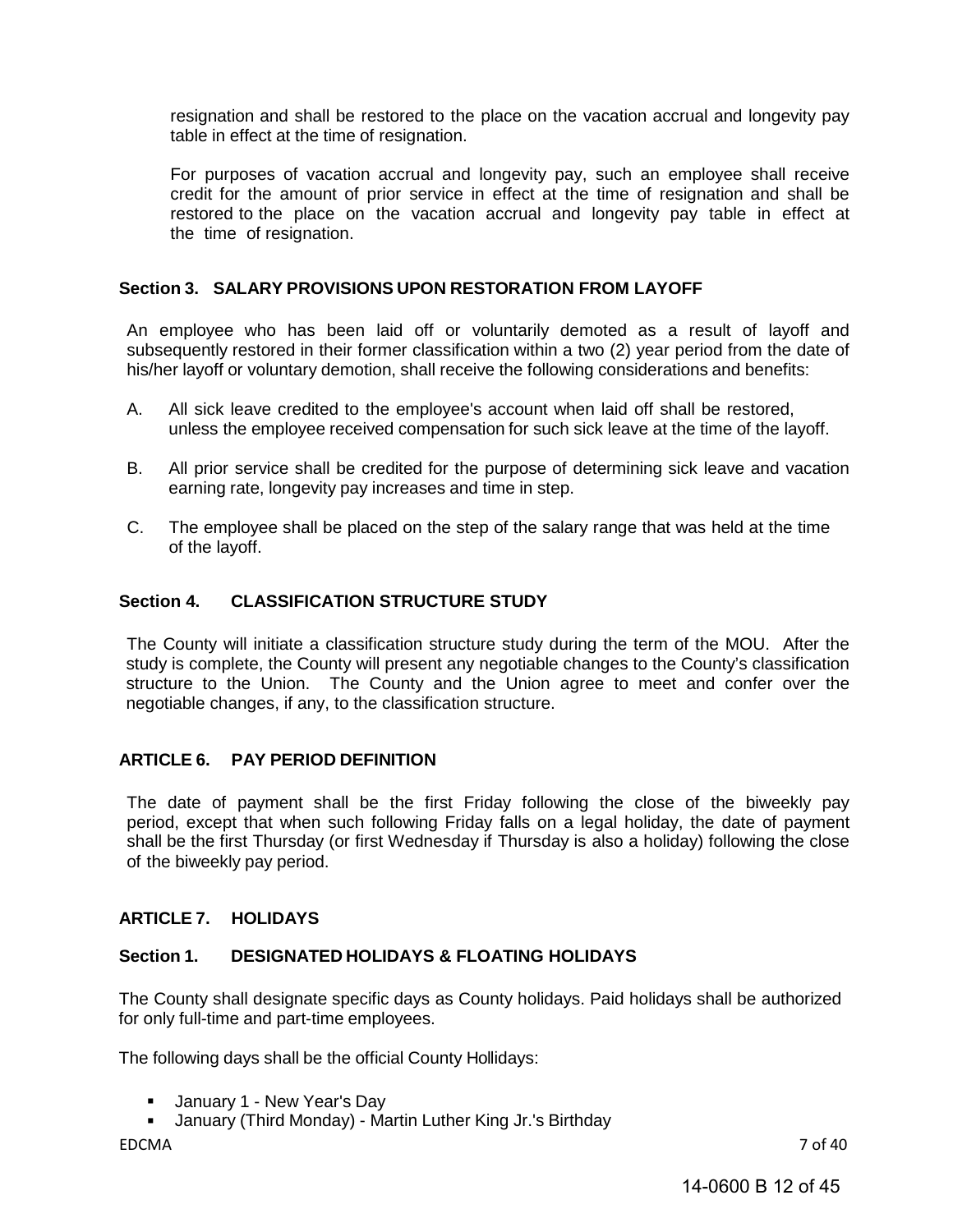resignation and shall be restored to the place on the vacation accrual and longevity pay table in effect at the time of resignation.

For purposes of vacation accrual and longevity pay, such an employee shall receive credit for the amount of prior service in effect at the time of resignation and shall be restored to the place on the vacation accrual and longevity pay table in effect at the time of resignation.

#### <span id="page-11-0"></span>**Section 3. SALARY PROVISIONS UPON RESTORATION FROM LAYOFF**

An employee who has been laid off or voluntarily demoted as a result of layoff and subsequently restored in their former classification within a two (2) year period from the date of his/her layoff or voluntary demotion, shall receive the following considerations and benefits:

- A. All sick leave credited to the employee's account when laid off shall be restored, unless the employee received compensation for such sick leave at the time of the layoff.
- B. All prior service shall be credited for the purpose of determining sick leave and vacation earning rate, longevity pay increases and time in step.
- C. The employee shall be placed on the step of the salary range that was held at the time of the layoff.

#### <span id="page-11-1"></span>**Section 4. CLASSIFICATION STRUCTURE STUDY**

The County will initiate a classification structure study during the term of the MOU. After the study is complete, the County will present any negotiable changes to the County's classification structure to the Union. The County and the Union agree to meet and confer over the negotiable changes, if any, to the classification structure.

#### <span id="page-11-2"></span>**ARTICLE 6. PAY PERIOD DEFINITION**

The date of payment shall be the first Friday following the close of the biweekly pay period, except that when such following Friday falls on a legal holiday, the date of payment shall be the first Thursday (or first Wednesday if Thursday is also a holiday) following the close of the biweekly pay period.

#### <span id="page-11-3"></span>**ARTICLE 7. HOLIDAYS**

#### <span id="page-11-4"></span>**Section 1. DESIGNATED HOLIDAYS & FLOATING HOLIDAYS**

The County shall designate specific days as County holidays. Paid holidays shall be authorized for only full-time and part-time employees.

The following days shall be the official County Hollidays:

- **January 1 New Year's Day**
- January (Third Monday) Martin Luther King Jr.'s Birthday

EDCMA 7 of 40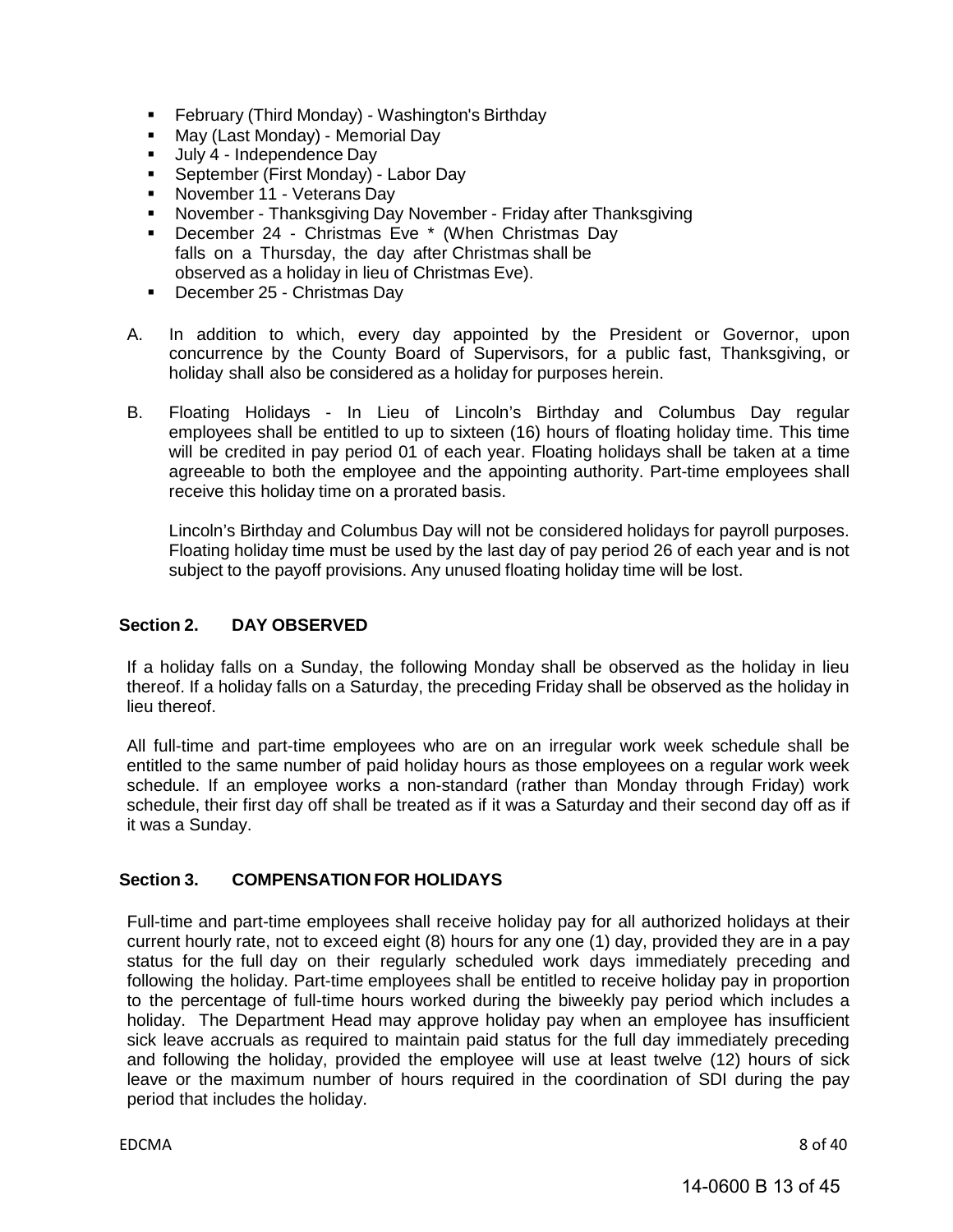- February (Third Monday) Washington's Birthday
- **May (Last Monday) Memorial Day**
- Uuly 4 Independence Day
- **September (First Monday) Labor Day**
- November 11 Veterans Day
- November Thanksgiving Day November Friday after Thanksgiving
- **December 24 Christmas Eve \* (When Christmas Dav** falls on a Thursday, the day after Christmas shall be observed as a holiday in lieu of Christmas Eve).
- December 25 Christmas Day
- A. In addition to which, every day appointed by the President or Governor, upon concurrence by the County Board of Supervisors, for a public fast, Thanksgiving, or holiday shall also be considered as a holiday for purposes herein.
- B. Floating Holidays In Lieu of Lincoln's Birthday and Columbus Day regular employees shall be entitled to up to sixteen (16) hours of floating holiday time. This time will be credited in pay period 01 of each year. Floating holidays shall be taken at a time agreeable to both the employee and the appointing authority. Part-time employees shall receive this holiday time on a prorated basis.

Lincoln's Birthday and Columbus Day will not be considered holidays for payroll purposes. Floating holiday time must be used by the last day of pay period 26 of each year and is not subject to the payoff provisions. Any unused floating holiday time will be lost.

#### <span id="page-12-0"></span>**Section 2. DAY OBSERVED**

If a holiday falls on a Sunday, the following Monday shall be observed as the holiday in lieu thereof. If a holiday falls on a Saturday, the preceding Friday shall be observed as the holiday in lieu thereof.

All full-time and part-time employees who are on an irregular work week schedule shall be entitled to the same number of paid holiday hours as those employees on a regular work week schedule. If an employee works a non-standard (rather than Monday through Friday) work schedule, their first day off shall be treated as if it was a Saturday and their second day off as if it was a Sunday.

#### <span id="page-12-1"></span>**Section 3. COMPENSATION FOR HOLIDAYS**

Full-time and part-time employees shall receive holiday pay for all authorized holidays at their current hourly rate, not to exceed eight (8) hours for any one (1) day, provided they are in a pay status for the full day on their regularly scheduled work days immediately preceding and following the holiday. Part-time employees shall be entitled to receive holiday pay in proportion to the percentage of full-time hours worked during the biweekly pay period which includes a holiday. The Department Head may approve holiday pay when an employee has insufficient sick leave accruals as required to maintain paid status for the full day immediately preceding and following the holiday, provided the employee will use at least twelve (12) hours of sick leave or the maximum number of hours required in the coordination of SDI during the pay period that includes the holiday.

EDCMA 8 of 40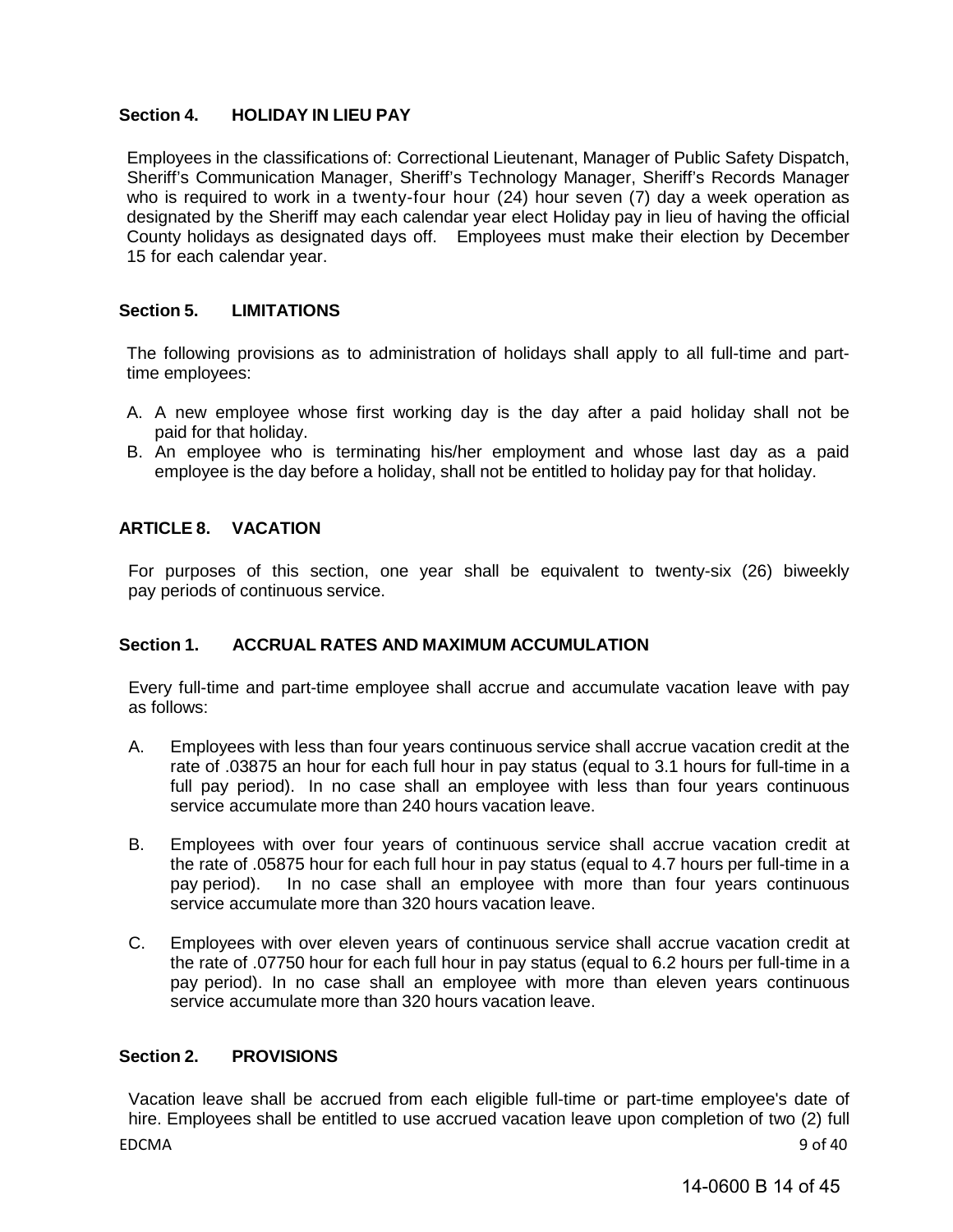#### <span id="page-13-0"></span>**Section 4. HOLIDAY IN LIEU PAY**

Employees in the classifications of: Correctional Lieutenant, Manager of Public Safety Dispatch, Sheriff's Communication Manager, Sheriff's Technology Manager, Sheriff's Records Manager who is required to work in a twenty-four hour (24) hour seven (7) day a week operation as designated by the Sheriff may each calendar year elect Holiday pay in lieu of having the official County holidays as designated days off. Employees must make their election by December 15 for each calendar year.

#### <span id="page-13-1"></span>**Section 5. LIMITATIONS**

The following provisions as to administration of holidays shall apply to all full-time and parttime employees:

- A. A new employee whose first working day is the day after a paid holiday shall not be paid for that holiday.
- B. An employee who is terminating his/her employment and whose last day as a paid employee is the day before a holiday, shall not be entitled to holiday pay for that holiday.

#### <span id="page-13-2"></span>**ARTICLE 8. VACATION**

For purposes of this section, one year shall be equivalent to twenty-six (26) biweekly pay periods of continuous service.

#### <span id="page-13-3"></span>**Section 1. ACCRUAL RATES AND MAXIMUM ACCUMULATION**

Every full-time and part-time employee shall accrue and accumulate vacation leave with pay as follows:

- A. Employees with less than four years continuous service shall accrue vacation credit at the rate of .03875 an hour for each full hour in pay status (equal to 3.1 hours for full-time in a full pay period). In no case shall an employee with less than four years continuous service accumulate more than 240 hours vacation leave.
- B. Employees with over four years of continuous service shall accrue vacation credit at the rate of .05875 hour for each full hour in pay status (equal to 4.7 hours per full-time in a pay period). In no case shall an employee with more than four years continuous service accumulate more than 320 hours vacation leave.
- C. Employees with over eleven years of continuous service shall accrue vacation credit at the rate of .07750 hour for each full hour in pay status (equal to 6.2 hours per full-time in a pay period). In no case shall an employee with more than eleven years continuous service accumulate more than 320 hours vacation leave.

#### <span id="page-13-4"></span>**Section 2. PROVISIONS**

EDCMA 9 of 40 Vacation leave shall be accrued from each eligible full-time or part-time employee's date of hire. Employees shall be entitled to use accrued vacation leave upon completion of two (2) full

14-0600 B 14 of 45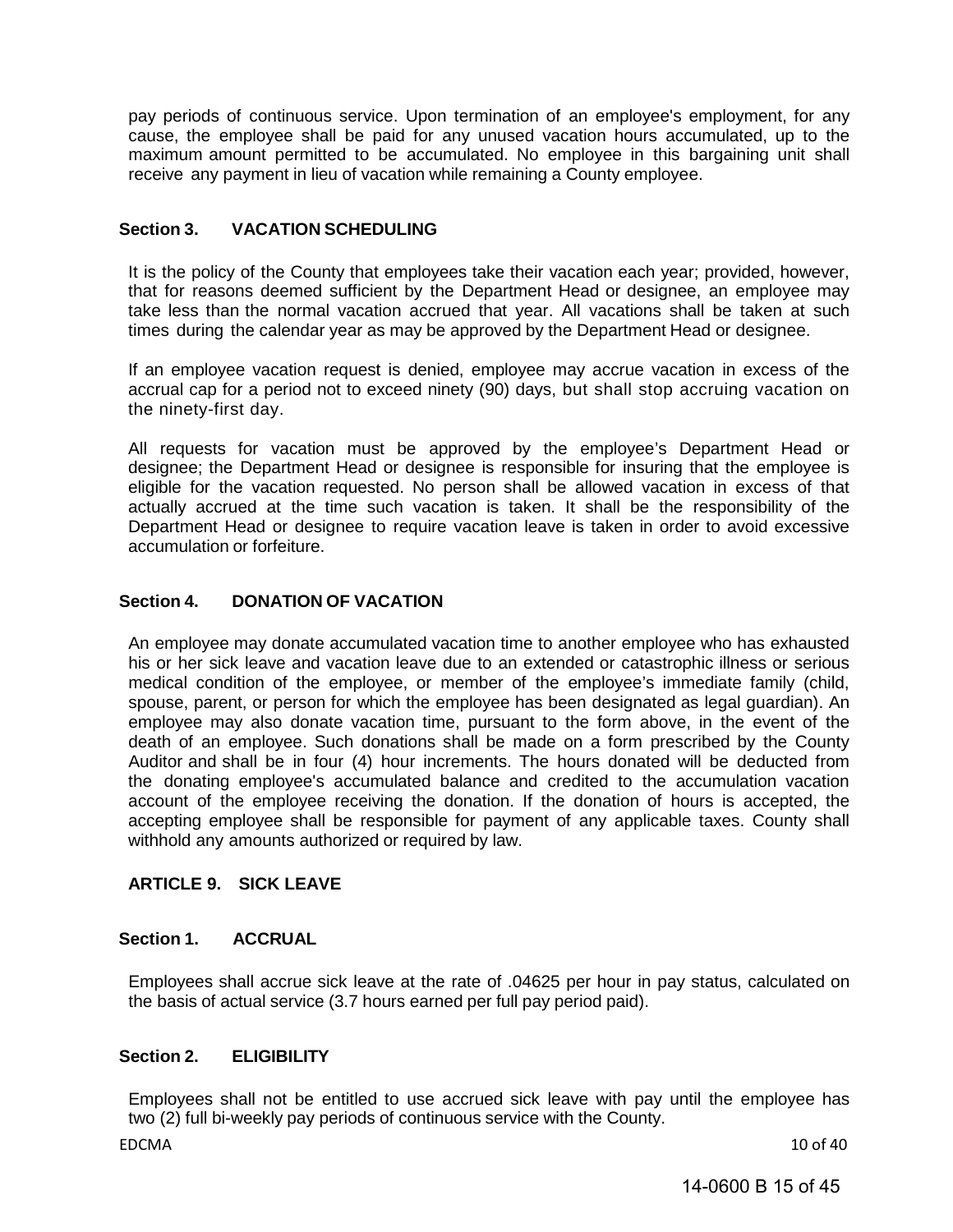pay periods of continuous service. Upon termination of an employee's employment, for any cause, the employee shall be paid for any unused vacation hours accumulated, up to the maximum amount permitted to be accumulated. No employee in this bargaining unit shall receive any payment in lieu of vacation while remaining a County employee.

#### <span id="page-14-0"></span>**Section 3. VACATION SCHEDULING**

It is the policy of the County that employees take their vacation each year; provided, however, that for reasons deemed sufficient by the Department Head or designee, an employee may take less than the normal vacation accrued that year. All vacations shall be taken at such times during the calendar year as may be approved by the Department Head or designee.

If an employee vacation request is denied, employee may accrue vacation in excess of the accrual cap for a period not to exceed ninety (90) days, but shall stop accruing vacation on the ninety-first day.

All requests for vacation must be approved by the employee's Department Head or designee; the Department Head or designee is responsible for insuring that the employee is eligible for the vacation requested. No person shall be allowed vacation in excess of that actually accrued at the time such vacation is taken. It shall be the responsibility of the Department Head or designee to require vacation leave is taken in order to avoid excessive accumulation or forfeiture.

#### <span id="page-14-1"></span>**Section 4. DONATION OF VACATION**

An employee may donate accumulated vacation time to another employee who has exhausted his or her sick leave and vacation leave due to an extended or catastrophic illness or serious medical condition of the employee, or member of the employee's immediate family (child, spouse, parent, or person for which the employee has been designated as legal guardian). An employee may also donate vacation time, pursuant to the form above, in the event of the death of an employee. Such donations shall be made on a form prescribed by the County Auditor and shall be in four (4) hour increments. The hours donated will be deducted from the donating employee's accumulated balance and credited to the accumulation vacation account of the employee receiving the donation. If the donation of hours is accepted, the accepting employee shall be responsible for payment of any applicable taxes. County shall withhold any amounts authorized or required by law.

#### <span id="page-14-2"></span>**ARTICLE 9. SICK LEAVE**

#### <span id="page-14-3"></span>**Section 1. ACCRUAL**

Employees shall accrue sick leave at the rate of .04625 per hour in pay status, calculated on the basis of actual service (3.7 hours earned per full pay period paid).

#### <span id="page-14-4"></span>**Section 2. ELIGIBILITY**

Employees shall not be entitled to use accrued sick leave with pay until the employee has two (2) full bi-weekly pay periods of continuous service with the County.

EDCMA 10 of 40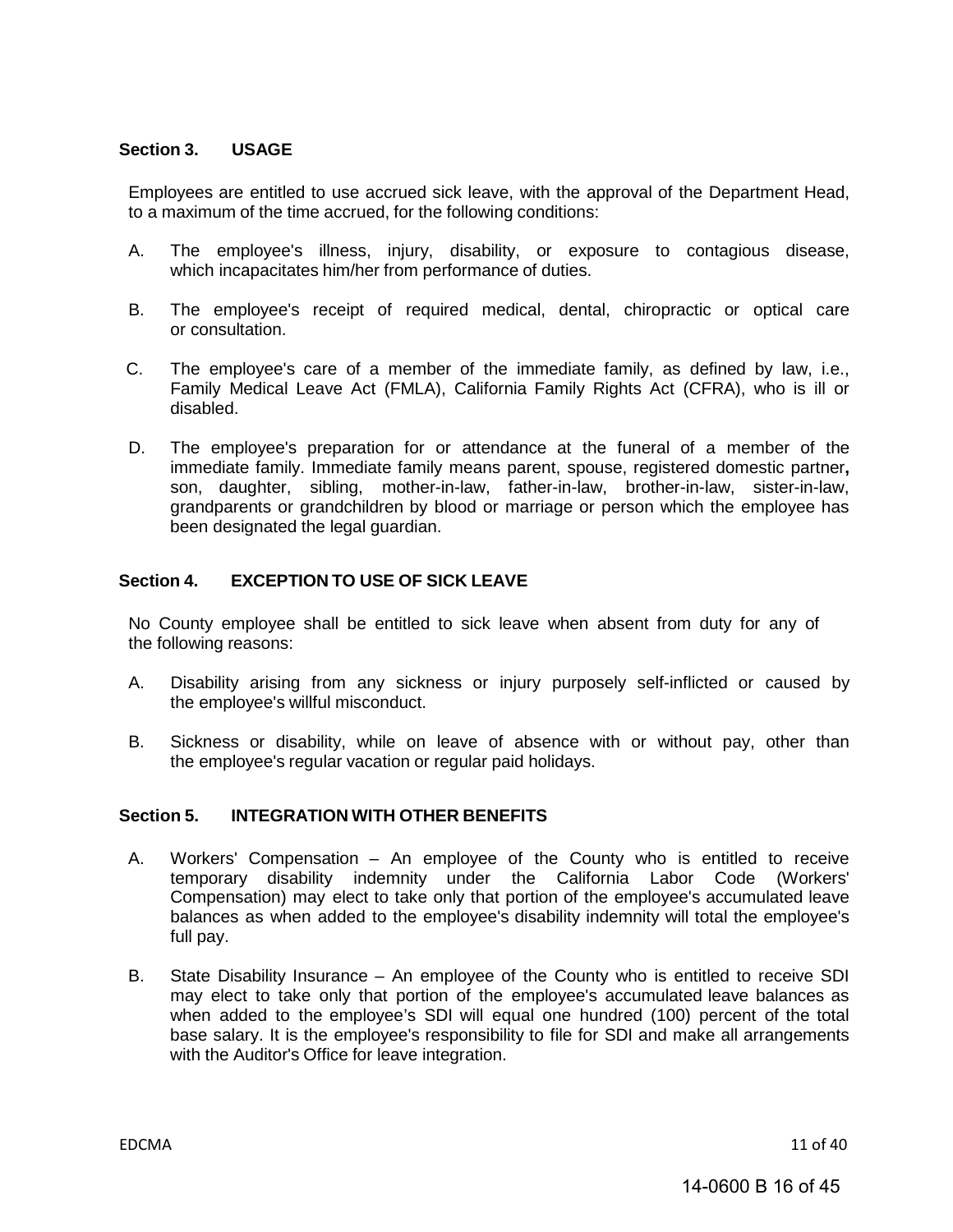#### <span id="page-15-0"></span>**Section 3. USAGE**

Employees are entitled to use accrued sick leave, with the approval of the Department Head, to a maximum of the time accrued, for the following conditions:

- A. The employee's illness, injury, disability, or exposure to contagious disease, which incapacitates him/her from performance of duties.
- B. The employee's receipt of required medical, dental, chiropractic or optical care or consultation.
- C. The employee's care of a member of the immediate family, as defined by law, i.e., Family Medical Leave Act (FMLA), California Family Rights Act (CFRA), who is ill or disabled.
- D. The employee's preparation for or attendance at the funeral of a member of the immediate family. Immediate family means parent, spouse, registered domestic partner**,**  son, daughter, sibling, mother-in-law, father-in-law, brother-in-law, sister-in-law, grandparents or grandchildren by blood or marriage or person which the employee has been designated the legal guardian.

#### <span id="page-15-1"></span>**Section 4. EXCEPTION TO USE OF SICK LEAVE**

No County employee shall be entitled to sick leave when absent from duty for any of the following reasons:

- A. Disability arising from any sickness or injury purposely self-inflicted or caused by the employee's willful misconduct.
- B. Sickness or disability, while on leave of absence with or without pay, other than the employee's regular vacation or regular paid holidays.

#### <span id="page-15-2"></span>**Section 5. INTEGRATION WITH OTHER BENEFITS**

- A. Workers' Compensation An employee of the County who is entitled to receive temporary disability indemnity under the California Labor Code (Workers' Compensation) may elect to take only that portion of the employee's accumulated leave balances as when added to the employee's disability indemnity will total the employee's full pay.
- B. State Disability Insurance An employee of the County who is entitled to receive SDI may elect to take only that portion of the employee's accumulated leave balances as when added to the employee's SDI will equal one hundred (100) percent of the total base salary. It is the employee's responsibility to file for SDI and make all arrangements with the Auditor's Office for leave integration.

EDCMA 11 of 40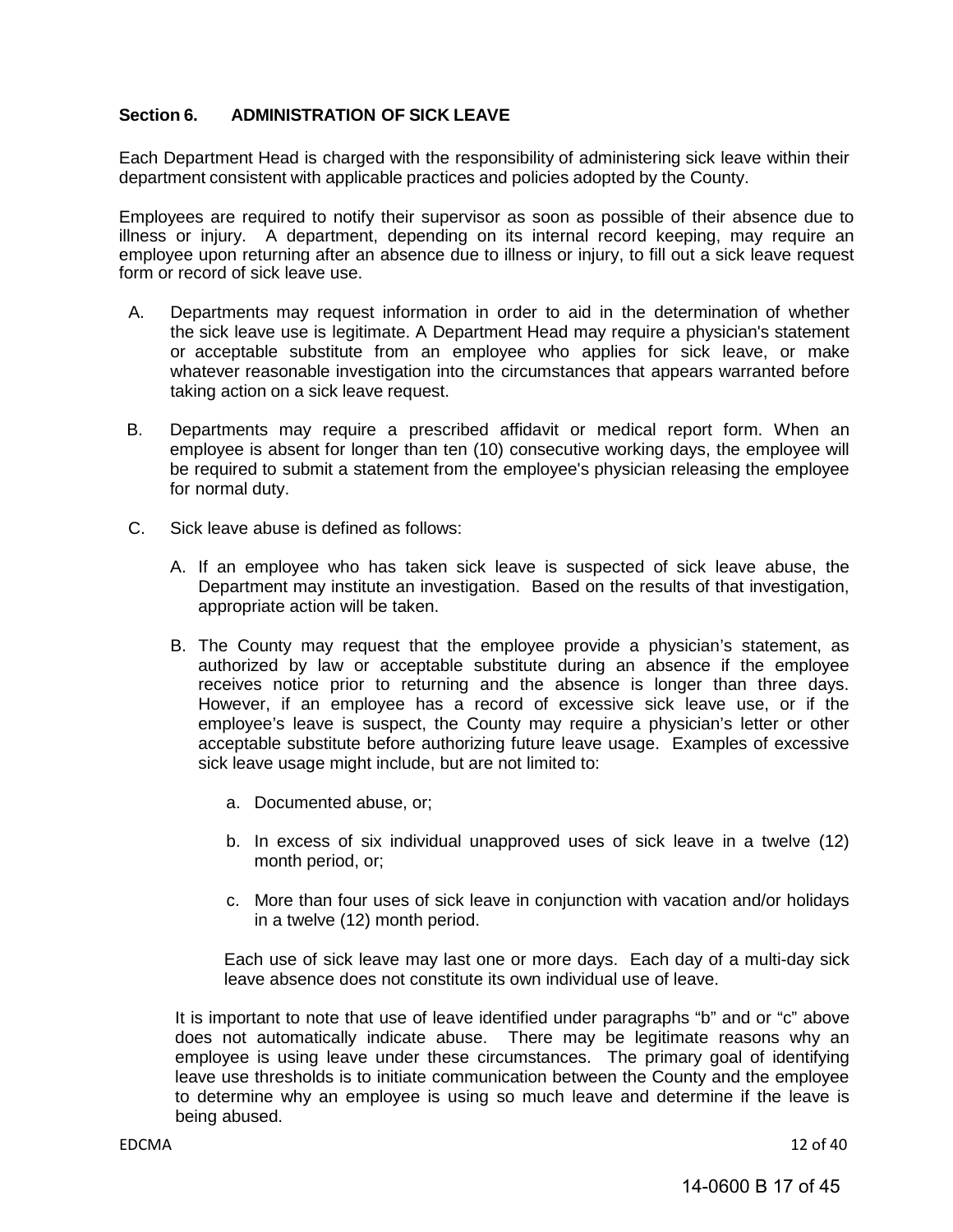#### <span id="page-16-0"></span>**Section 6. ADMINISTRATION OF SICK LEAVE**

Each Department Head is charged with the responsibility of administering sick leave within their department consistent with applicable practices and policies adopted by the County.

Employees are required to notify their supervisor as soon as possible of their absence due to illness or injury. A department, depending on its internal record keeping, may require an employee upon returning after an absence due to illness or injury, to fill out a sick leave request form or record of sick leave use.

- A. Departments may request information in order to aid in the determination of whether the sick leave use is legitimate. A Department Head may require a physician's statement or acceptable substitute from an employee who applies for sick leave, or make whatever reasonable investigation into the circumstances that appears warranted before taking action on a sick leave request.
- B. Departments may require a prescribed affidavit or medical report form. When an employee is absent for longer than ten (10) consecutive working days, the employee will be required to submit a statement from the employee's physician releasing the employee for normal duty.
- C. Sick leave abuse is defined as follows:
	- A. If an employee who has taken sick leave is suspected of sick leave abuse, the Department may institute an investigation. Based on the results of that investigation, appropriate action will be taken.
	- B. The County may request that the employee provide a physician's statement, as authorized by law or acceptable substitute during an absence if the employee receives notice prior to returning and the absence is longer than three days. However, if an employee has a record of excessive sick leave use, or if the employee's leave is suspect, the County may require a physician's letter or other acceptable substitute before authorizing future leave usage. Examples of excessive sick leave usage might include, but are not limited to:
		- a. Documented abuse, or;
		- b. In excess of six individual unapproved uses of sick leave in a twelve (12) month period, or;
		- c. More than four uses of sick leave in conjunction with vacation and/or holidays in a twelve (12) month period.

Each use of sick leave may last one or more days. Each day of a multi-day sick leave absence does not constitute its own individual use of leave.

It is important to note that use of leave identified under paragraphs "b" and or "c" above does not automatically indicate abuse. There may be legitimate reasons why an employee is using leave under these circumstances. The primary goal of identifying leave use thresholds is to initiate communication between the County and the employee to determine why an employee is using so much leave and determine if the leave is being abused.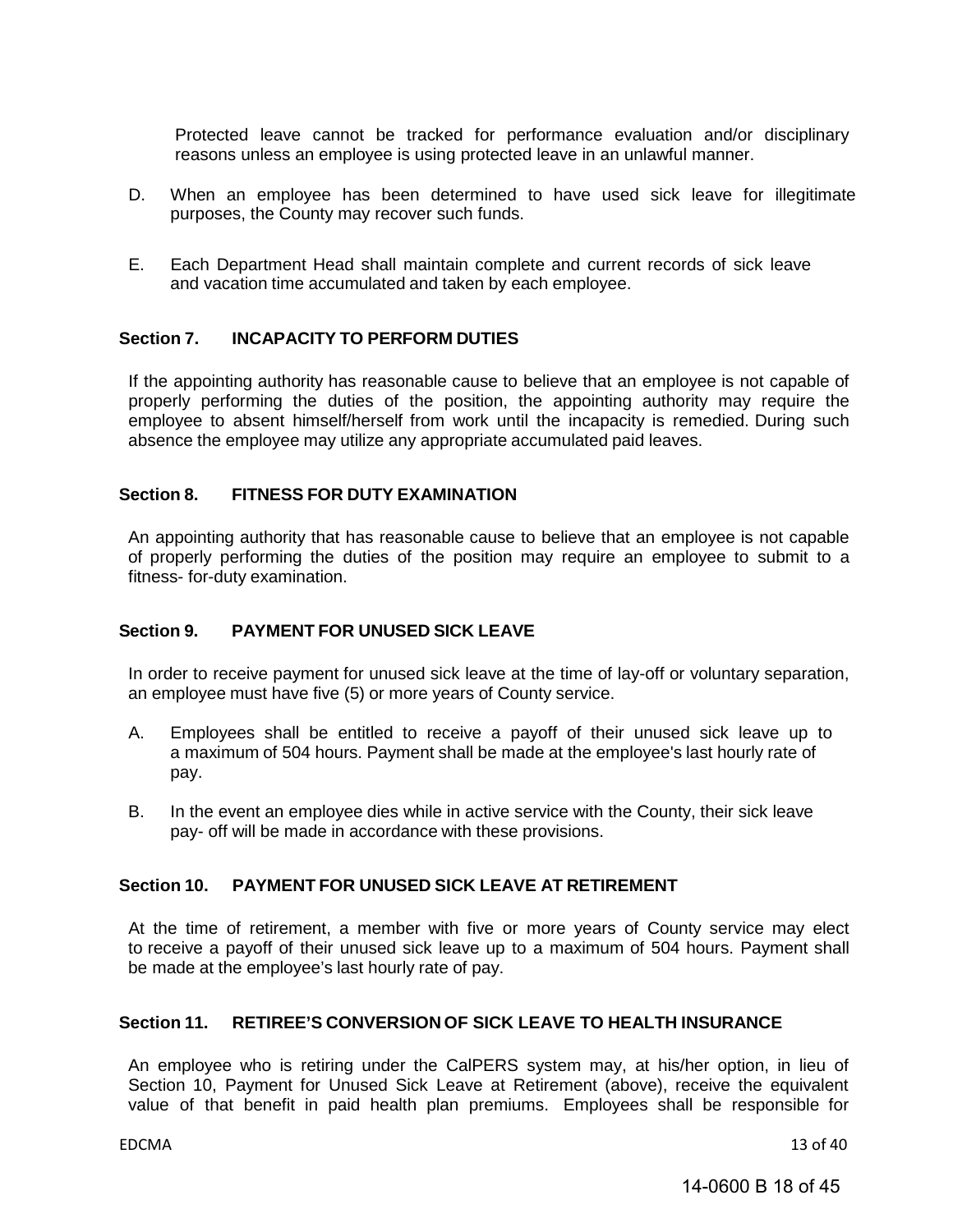Protected leave cannot be tracked for performance evaluation and/or disciplinary reasons unless an employee is using protected leave in an unlawful manner.

- D. When an employee has been determined to have used sick leave for illegitimate purposes, the County may recover such funds.
- E. Each Department Head shall maintain complete and current records of sick leave and vacation time accumulated and taken by each employee.

#### <span id="page-17-0"></span>**Section 7. INCAPACITY TO PERFORM DUTIES**

If the appointing authority has reasonable cause to believe that an employee is not capable of properly performing the duties of the position, the appointing authority may require the employee to absent himself/herself from work until the incapacity is remedied. During such absence the employee may utilize any appropriate accumulated paid leaves.

#### <span id="page-17-1"></span>**Section 8. FITNESS FOR DUTY EXAMINATION**

An appointing authority that has reasonable cause to believe that an employee is not capable of properly performing the duties of the position may require an employee to submit to a fitness- for-duty examination.

#### <span id="page-17-2"></span>**Section 9. PAYMENT FOR UNUSED SICK LEAVE**

In order to receive payment for unused sick leave at the time of lay-off or voluntary separation, an employee must have five (5) or more years of County service.

- A. Employees shall be entitled to receive a payoff of their unused sick leave up to a maximum of 504 hours. Payment shall be made at the employee's last hourly rate of pay.
- B. In the event an employee dies while in active service with the County, their sick leave pay- off will be made in accordance with these provisions.

#### <span id="page-17-3"></span>**Section 10. PAYMENT FOR UNUSED SICK LEAVE AT RETIREMENT**

At the time of retirement, a member with five or more years of County service may elect to receive a payoff of their unused sick leave up to a maximum of 504 hours. Payment shall be made at the employee's last hourly rate of pay.

#### <span id="page-17-4"></span>**Section 11. RETIREE'S CONVERSION OF SICK LEAVE TO HEALTH INSURANCE**

An employee who is retiring under the CalPERS system may, at his/her option, in lieu of Section 10, Payment for Unused Sick Leave at Retirement (above), receive the equivalent value of that benefit in paid health plan premiums. Employees shall be responsible for

EDCMA 13 of 40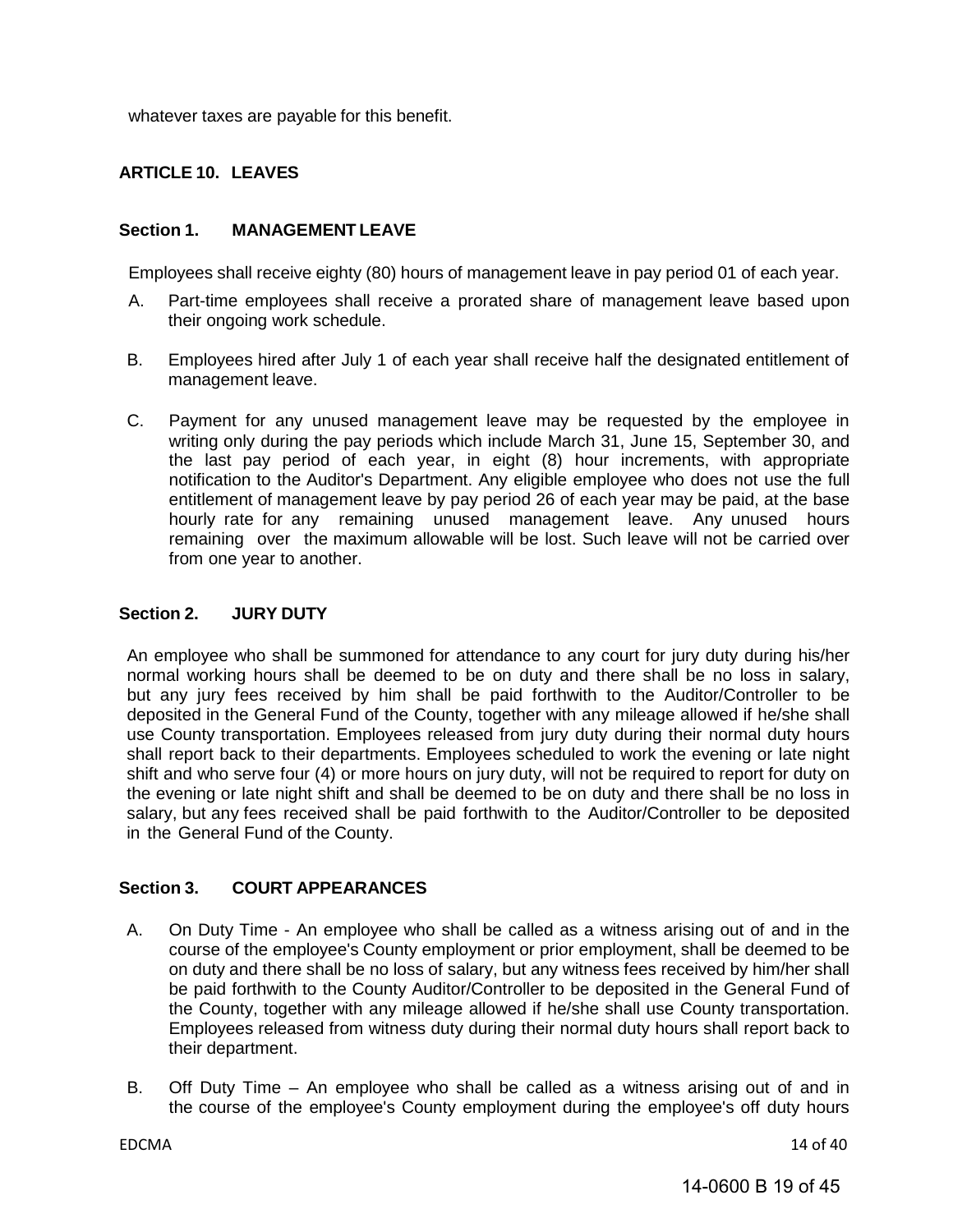<span id="page-18-0"></span>whatever taxes are payable for this benefit.

#### **ARTICLE 10. LEAVES**

#### <span id="page-18-1"></span>**Section 1. MANAGEMENT LEAVE**

Employees shall receive eighty (80) hours of management leave in pay period 01 of each year.

- A. Part-time employees shall receive a prorated share of management leave based upon their ongoing work schedule.
- B. Employees hired after July 1 of each year shall receive half the designated entitlement of management leave.
- C. Payment for any unused management leave may be requested by the employee in writing only during the pay periods which include March 31, June 15, September 30, and the last pay period of each year, in eight (8) hour increments, with appropriate notification to the Auditor's Department. Any eligible employee who does not use the full entitlement of management leave by pay period 26 of each year may be paid, at the base hourly rate for any remaining unused management leave. Any unused hours remaining over the maximum allowable will be lost. Such leave will not be carried over from one year to another.

#### <span id="page-18-2"></span>**Section 2. JURY DUTY**

An employee who shall be summoned for attendance to any court for jury duty during his/her normal working hours shall be deemed to be on duty and there shall be no loss in salary, but any jury fees received by him shall be paid forthwith to the Auditor/Controller to be deposited in the General Fund of the County, together with any mileage allowed if he/she shall use County transportation. Employees released from jury duty during their normal duty hours shall report back to their departments. Employees scheduled to work the evening or late night shift and who serve four (4) or more hours on jury duty, will not be required to report for duty on the evening or late night shift and shall be deemed to be on duty and there shall be no loss in salary, but any fees received shall be paid forthwith to the Auditor/Controller to be deposited in the General Fund of the County.

#### <span id="page-18-3"></span>**Section 3. COURT APPEARANCES**

- A. On Duty Time An employee who shall be called as a witness arising out of and in the course of the employee's County employment or prior employment, shall be deemed to be on duty and there shall be no loss of salary, but any witness fees received by him/her shall be paid forthwith to the County Auditor/Controller to be deposited in the General Fund of the County, together with any mileage allowed if he/she shall use County transportation. Employees released from witness duty during their normal duty hours shall report back to their department.
- B. Off Duty Time An employee who shall be called as a witness arising out of and in the course of the employee's County employment during the employee's off duty hours

EDCMA 14 of 40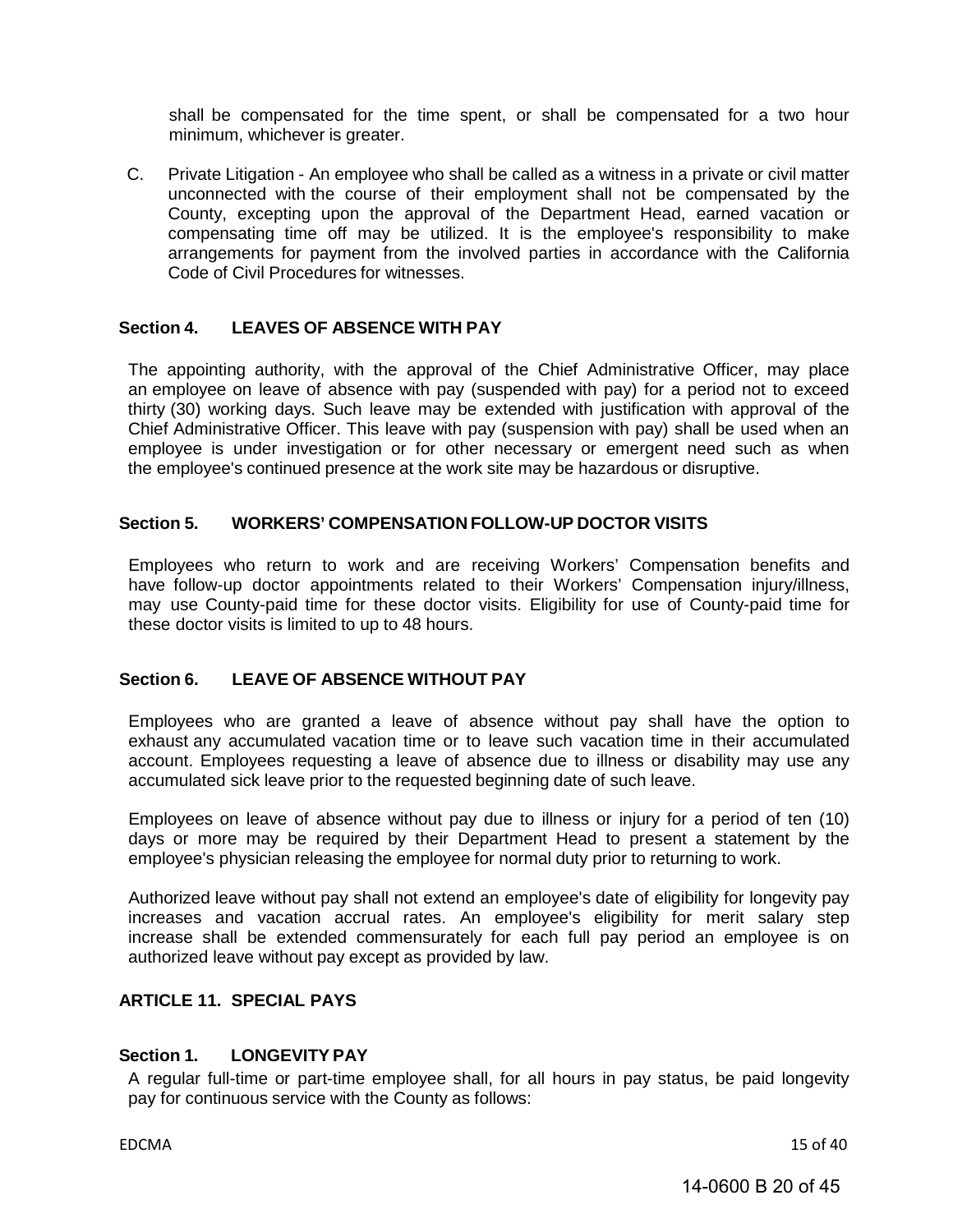shall be compensated for the time spent, or shall be compensated for a two hour minimum, whichever is greater.

C. Private Litigation - An employee who shall be called as a witness in a private or civil matter unconnected with the course of their employment shall not be compensated by the County, excepting upon the approval of the Department Head, earned vacation or compensating time off may be utilized. It is the employee's responsibility to make arrangements for payment from the involved parties in accordance with the California Code of Civil Procedures for witnesses.

#### <span id="page-19-0"></span>**Section 4. LEAVES OF ABSENCE WITH PAY**

The appointing authority, with the approval of the Chief Administrative Officer, may place an employee on leave of absence with pay (suspended with pay) for a period not to exceed thirty (30) working days. Such leave may be extended with justification with approval of the Chief Administrative Officer. This leave with pay (suspension with pay) shall be used when an employee is under investigation or for other necessary or emergent need such as when the employee's continued presence at the work site may be hazardous or disruptive.

#### <span id="page-19-1"></span>**Section 5. WORKERS' COMPENSATION FOLLOW-UP DOCTOR VISITS**

Employees who return to work and are receiving Workers' Compensation benefits and have follow-up doctor appointments related to their Workers' Compensation injury/illness, may use County-paid time for these doctor visits. Eligibility for use of County-paid time for these doctor visits is limited to up to 48 hours.

#### <span id="page-19-2"></span>**Section 6. LEAVE OF ABSENCE WITHOUT PAY**

Employees who are granted a leave of absence without pay shall have the option to exhaust any accumulated vacation time or to leave such vacation time in their accumulated account. Employees requesting a leave of absence due to illness or disability may use any accumulated sick leave prior to the requested beginning date of such leave.

Employees on leave of absence without pay due to illness or injury for a period of ten (10) days or more may be required by their Department Head to present a statement by the employee's physician releasing the employee for normal duty prior to returning to work.

Authorized leave without pay shall not extend an employee's date of eligibility for longevity pay increases and vacation accrual rates. An employee's eligibility for merit salary step increase shall be extended commensurately for each full pay period an employee is on authorized leave without pay except as provided by law.

#### <span id="page-19-3"></span>**ARTICLE 11. SPECIAL PAYS**

#### <span id="page-19-4"></span>**Section 1. LONGEVITY PAY**

A regular full-time or part-time employee shall, for all hours in pay status, be paid longevity pay for continuous service with the County as follows:

EDCMA 15 of 40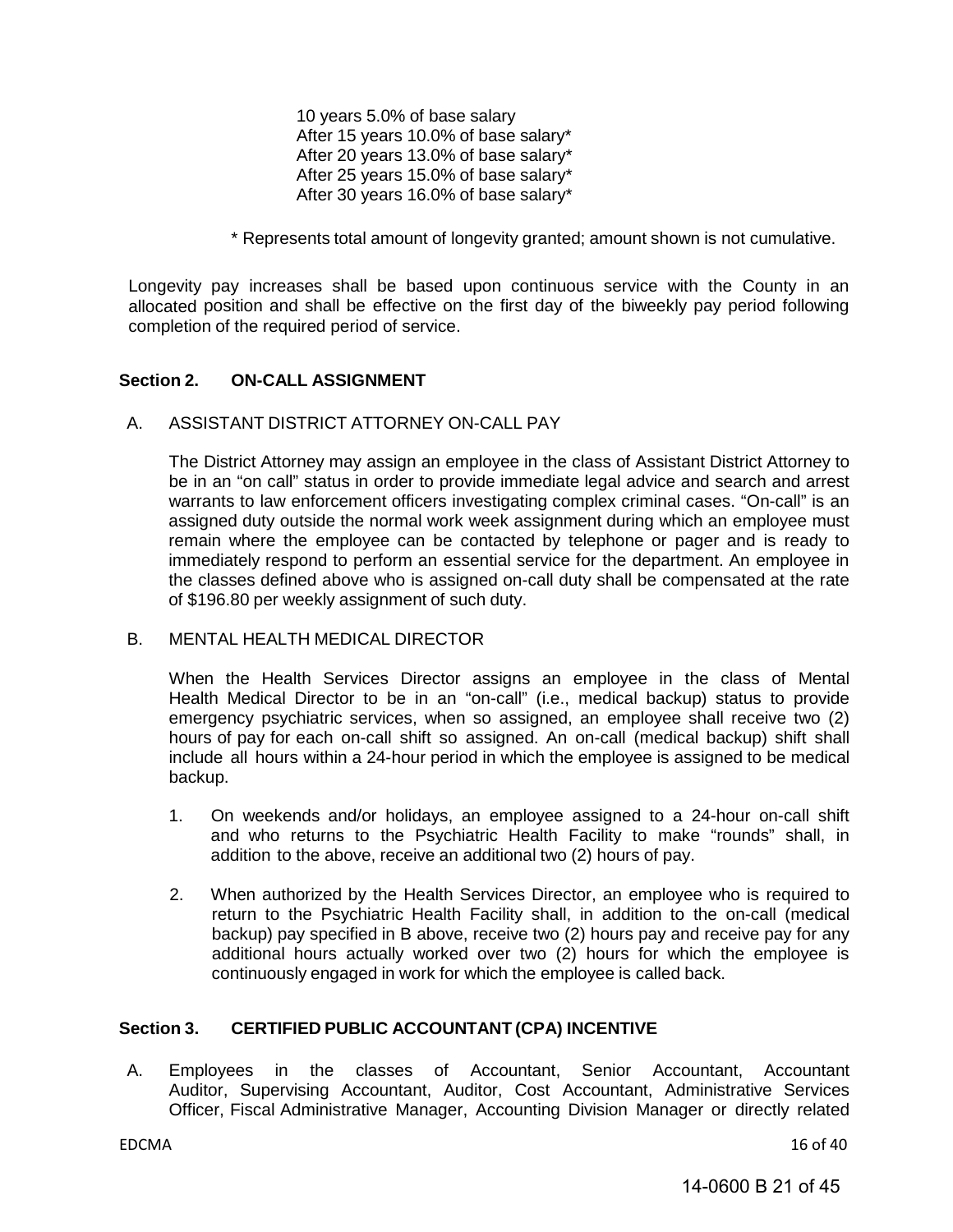10 years 5.0% of base salary After 15 years 10.0% of base salary\* After 20 years 13.0% of base salary\* After 25 years 15.0% of base salary\* After 30 years 16.0% of base salary\*

\* Represents total amount of longevity granted; amount shown is not cumulative.

Longevity pay increases shall be based upon continuous service with the County in an allocated position and shall be effective on the first day of the biweekly pay period following completion of the required period of service.

#### <span id="page-20-0"></span>**Section 2. ON-CALL ASSIGNMENT**

#### A. ASSISTANT DISTRICT ATTORNEY ON-CALL PAY

The District Attorney may assign an employee in the class of Assistant District Attorney to be in an "on call" status in order to provide immediate legal advice and search and arrest warrants to law enforcement officers investigating complex criminal cases. "On-call" is an assigned duty outside the normal work week assignment during which an employee must remain where the employee can be contacted by telephone or pager and is ready to immediately respond to perform an essential service for the department. An employee in the classes defined above who is assigned on-call duty shall be compensated at the rate of \$196.80 per weekly assignment of such duty.

#### B. MENTAL HEALTH MEDICAL DIRECTOR

When the Health Services Director assigns an employee in the class of Mental Health Medical Director to be in an "on-call" (i.e., medical backup) status to provide emergency psychiatric services, when so assigned, an employee shall receive two (2) hours of pay for each on-call shift so assigned. An on-call (medical backup) shift shall include all hours within a 24-hour period in which the employee is assigned to be medical backup.

- 1. On weekends and/or holidays, an employee assigned to a 24-hour on-call shift and who returns to the Psychiatric Health Facility to make "rounds" shall, in addition to the above, receive an additional two (2) hours of pay.
- 2. When authorized by the Health Services Director, an employee who is required to return to the Psychiatric Health Facility shall, in addition to the on-call (medical backup) pay specified in B above, receive two (2) hours pay and receive pay for any additional hours actually worked over two (2) hours for which the employee is continuously engaged in work for which the employee is called back.

#### <span id="page-20-1"></span>**Section 3. CERTIFIED PUBLIC ACCOUNTANT (CPA) INCENTIVE**

A. Employees in the classes of Accountant, Senior Accountant, Accountant Auditor, Supervising Accountant, Auditor, Cost Accountant, Administrative Services Officer, Fiscal Administrative Manager, Accounting Division Manager or directly related

EDCMA 16 of 40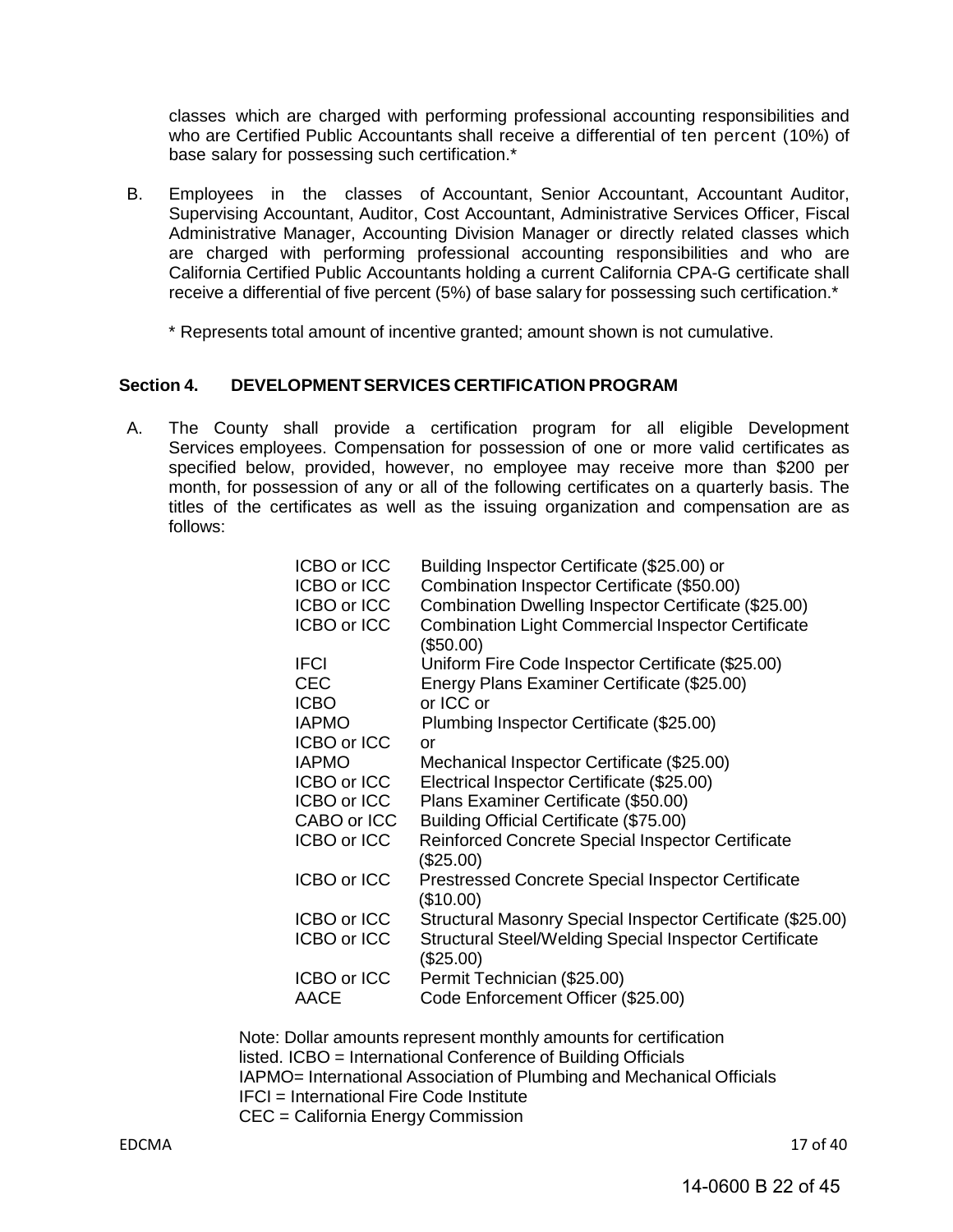classes which are charged with performing professional accounting responsibilities and who are Certified Public Accountants shall receive a differential of ten percent (10%) of base salary for possessing such certification.\*

- B. Employees in the classes of Accountant, Senior Accountant, Accountant Auditor, Supervising Accountant, Auditor, Cost Accountant, Administrative Services Officer, Fiscal Administrative Manager, Accounting Division Manager or directly related classes which are charged with performing professional accounting responsibilities and who are California Certified Public Accountants holding a current California CPA-G certificate shall receive a differential of five percent (5%) of base salary for possessing such certification.\*
	- \* Represents total amount of incentive granted; amount shown is not cumulative.

#### <span id="page-21-0"></span>**Section 4. DEVELOPMENTSERVICES CERTIFICATION PROGRAM**

A. The County shall provide a certification program for all eligible Development Services employees. Compensation for possession of one or more valid certificates as specified below, provided, however, no employee may receive more than \$200 per month, for possession of any or all of the following certificates on a quarterly basis. The titles of the certificates as well as the issuing organization and compensation are as follows:

| ICBO or ICC        | Building Inspector Certificate (\$25.00) or                                |
|--------------------|----------------------------------------------------------------------------|
| ICBO or ICC        | Combination Inspector Certificate (\$50.00)                                |
| ICBO or ICC        | Combination Dwelling Inspector Certificate (\$25.00)                       |
| ICBO or ICC        | <b>Combination Light Commercial Inspector Certificate</b>                  |
|                    | (\$50.00)                                                                  |
| <b>IFCI</b>        | Uniform Fire Code Inspector Certificate (\$25.00)                          |
| <b>CEC</b>         | Energy Plans Examiner Certificate (\$25.00)                                |
| <b>ICBO</b>        | or ICC or                                                                  |
| <b>IAPMO</b>       | Plumbing Inspector Certificate (\$25.00)                                   |
| ICBO or ICC        | or                                                                         |
| <b>IAPMO</b>       | Mechanical Inspector Certificate (\$25.00)                                 |
| ICBO or ICC        | Electrical Inspector Certificate (\$25.00)                                 |
| ICBO or ICC        | Plans Examiner Certificate (\$50.00)                                       |
| CABO or ICC        | Building Official Certificate (\$75.00)                                    |
| ICBO or ICC        | Reinforced Concrete Special Inspector Certificate                          |
|                    | (\$25.00)                                                                  |
| ICBO or ICC        | <b>Prestressed Concrete Special Inspector Certificate</b><br>(\$10.00)     |
| ICBO or ICC        | Structural Masonry Special Inspector Certificate (\$25.00)                 |
| <b>ICBO or ICC</b> | <b>Structural Steel/Welding Special Inspector Certificate</b><br>(\$25.00) |
| ICBO or ICC        | Permit Technician (\$25.00)                                                |
| AACE               | Code Enforcement Officer (\$25.00)                                         |

Note: Dollar amounts represent monthly amounts for certification listed. ICBO = International Conference of Building Officials IAPMO= International Association of Plumbing and Mechanical Officials IFCI = International Fire Code Institute CEC = California Energy Commission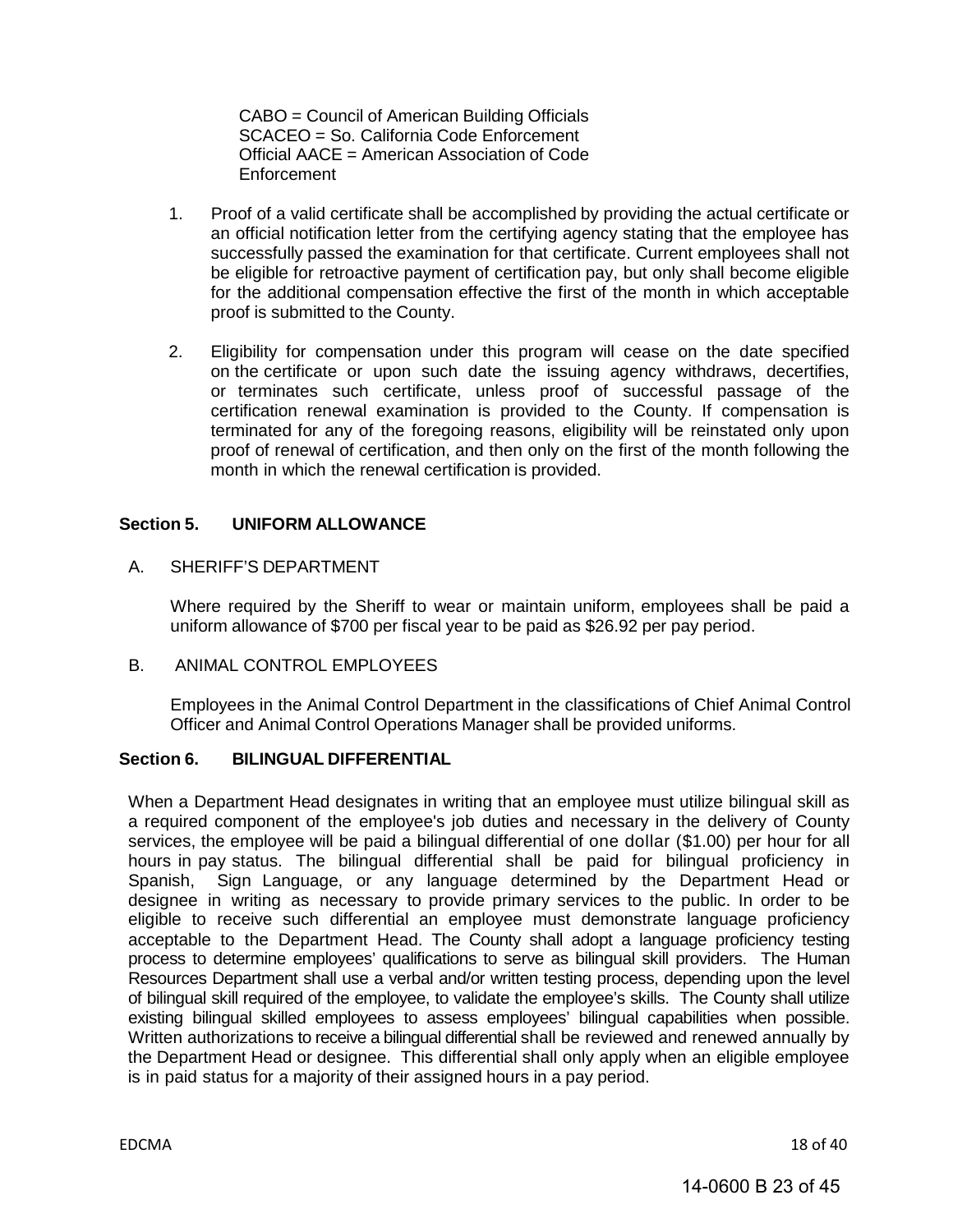CABO = Council of American Building Officials SCACEO = So. California Code Enforcement Official AACE = American Association of Code Enforcement

- 1. Proof of a valid certificate shall be accomplished by providing the actual certificate or an official notification letter from the certifying agency stating that the employee has successfully passed the examination for that certificate. Current employees shall not be eligible for retroactive payment of certification pay, but only shall become eligible for the additional compensation effective the first of the month in which acceptable proof is submitted to the County.
- 2. Eligibility for compensation under this program will cease on the date specified on the certificate or upon such date the issuing agency withdraws, decertifies, or terminates such certificate, unless proof of successful passage of the certification renewal examination is provided to the County. If compensation is terminated for any of the foregoing reasons, eligibility will be reinstated only upon proof of renewal of certification, and then only on the first of the month following the month in which the renewal certification is provided.

#### <span id="page-22-0"></span>**Section 5. UNIFORM ALLOWANCE**

A. SHERIFF'S DEPARTMENT

Where required by the Sheriff to wear or maintain uniform, employees shall be paid a uniform allowance of \$700 per fiscal year to be paid as \$26.92 per pay period.

B. ANIMAL CONTROL EMPLOYEES

Employees in the Animal Control Department in the classifications of Chief Animal Control Officer and Animal Control Operations Manager shall be provided uniforms.

#### <span id="page-22-1"></span>**Section 6. BILINGUAL DIFFERENTIAL**

When a Department Head designates in writing that an employee must utilize bilingual skill as a required component of the employee's job duties and necessary in the delivery of County services, the employee will be paid a bilingual differential of one dollar (\$1.00) per hour for all hours in pay status. The bilingual differential shall be paid for bilingual proficiency in Spanish, Sign Language, or any language determined by the Department Head or designee in writing as necessary to provide primary services to the public. In order to be eligible to receive such differential an employee must demonstrate language proficiency acceptable to the Department Head. The County shall adopt a language proficiency testing process to determine employees' qualifications to serve as bilingual skill providers. The Human Resources Department shall use a verbal and/or written testing process, depending upon the level of bilingual skill required of the employee, to validate the employee's skills. The County shall utilize existing bilingual skilled employees to assess employees' bilingual capabilities when possible. Written authorizations to receive a bilingual differential shall be reviewed and renewed annually by the Department Head or designee. This differential shall only apply when an eligible employee is in paid status for a majority of their assigned hours in a pay period.

EDCMA 18 of 40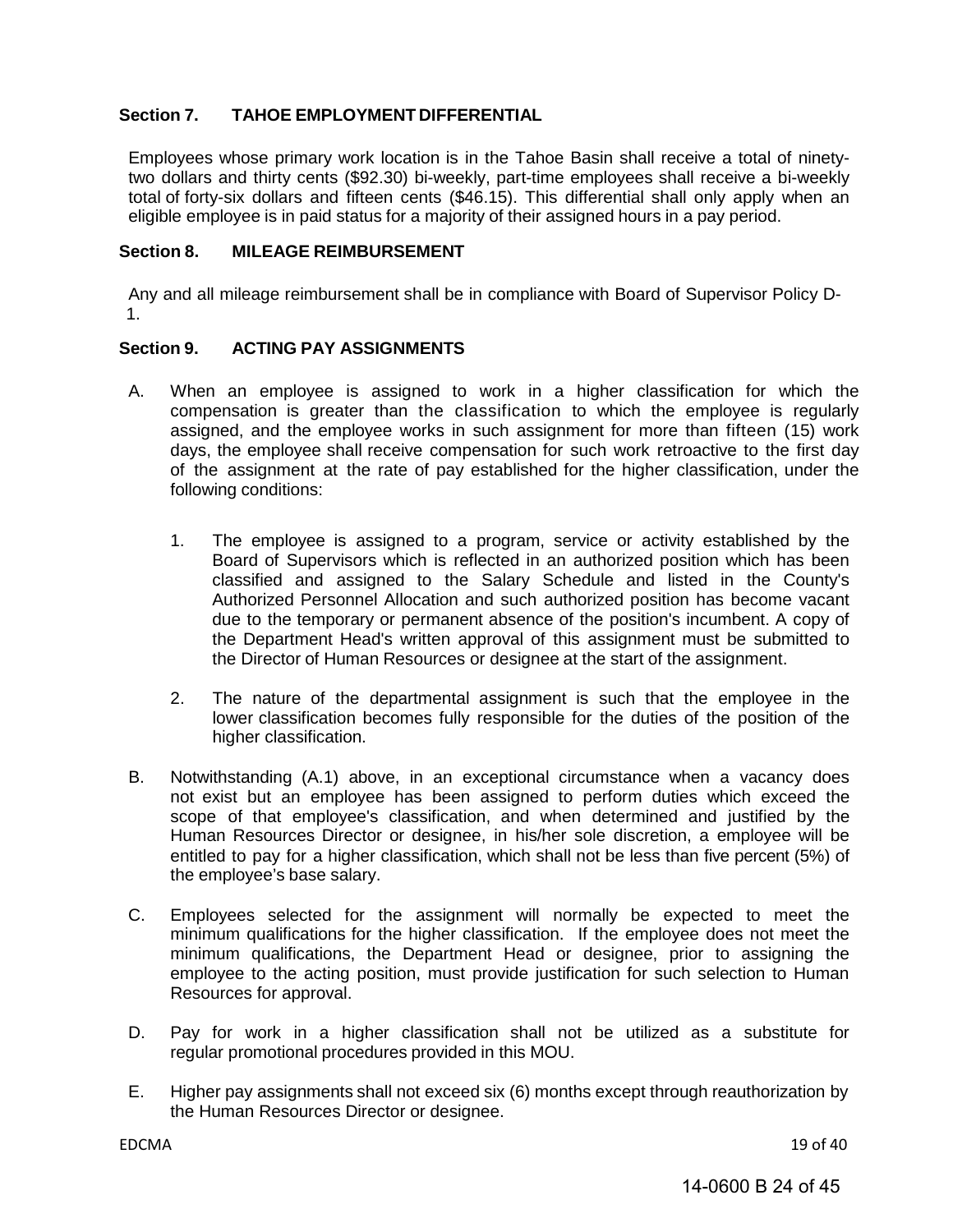#### <span id="page-23-0"></span>**Section 7. TAHOE EMPLOYMENT DIFFERENTIAL**

Employees whose primary work location is in the Tahoe Basin shall receive a total of ninetytwo dollars and thirty cents (\$92.30) bi-weekly, part-time employees shall receive a bi-weekly total of forty-six dollars and fifteen cents (\$46.15). This differential shall only apply when an eligible employee is in paid status for a majority of their assigned hours in a pay period.

#### <span id="page-23-1"></span>**Section 8. MILEAGE REIMBURSEMENT**

Any and all mileage reimbursement shall be in compliance with Board of Supervisor Policy D-1.

#### <span id="page-23-2"></span>**Section 9. ACTING PAY ASSIGNMENTS**

- A. When an employee is assigned to work in a higher classification for which the compensation is greater than the classification to which the employee is regularly assigned, and the employee works in such assignment for more than fifteen (15) work days, the employee shall receive compensation for such work retroactive to the first day of the assignment at the rate of pay established for the higher classification, under the following conditions:
	- 1. The employee is assigned to a program, service or activity established by the Board of Supervisors which is reflected in an authorized position which has been classified and assigned to the Salary Schedule and listed in the County's Authorized Personnel Allocation and such authorized position has become vacant due to the temporary or permanent absence of the position's incumbent. A copy of the Department Head's written approval of this assignment must be submitted to the Director of Human Resources or designee at the start of the assignment.
	- 2. The nature of the departmental assignment is such that the employee in the lower classification becomes fully responsible for the duties of the position of the higher classification.
- B. Notwithstanding (A.1) above, in an exceptional circumstance when a vacancy does not exist but an employee has been assigned to perform duties which exceed the scope of that employee's classification, and when determined and justified by the Human Resources Director or designee, in his/her sole discretion, a employee will be entitled to pay for a higher classification, which shall not be less than five percent (5%) of the employee's base salary.
- C. Employees selected for the assignment will normally be expected to meet the minimum qualifications for the higher classification. If the employee does not meet the minimum qualifications, the Department Head or designee, prior to assigning the employee to the acting position, must provide justification for such selection to Human Resources for approval.
- D. Pay for work in a higher classification shall not be utilized as a substitute for regular promotional procedures provided in this MOU.
- E. Higher pay assignments shall not exceed six (6) months except through reauthorization by the Human Resources Director or designee.

EDCMA 19 of 40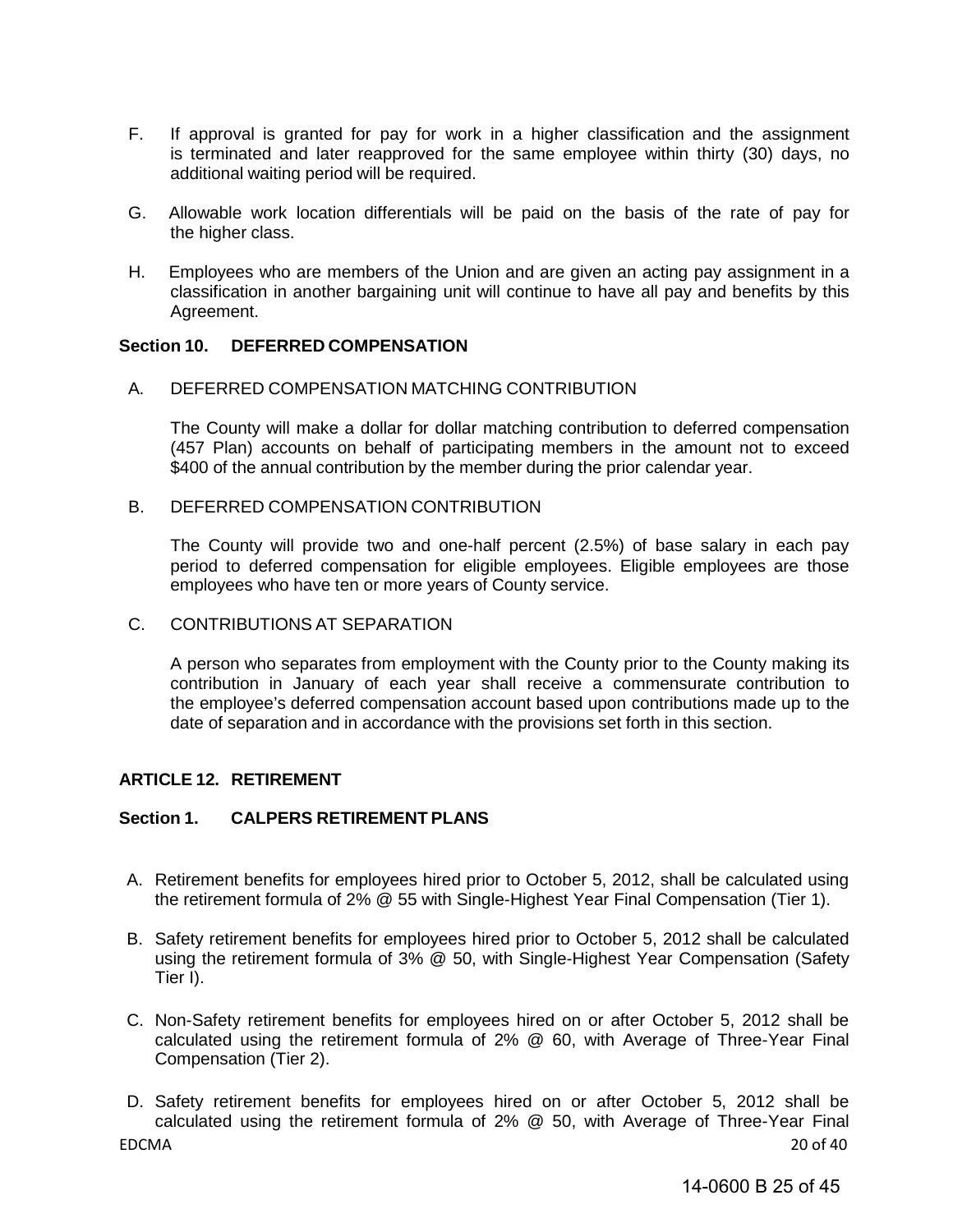- F. If approval is granted for pay for work in a higher classification and the assignment is terminated and later reapproved for the same employee within thirty (30) days, no additional waiting period will be required.
- G. Allowable work location differentials will be paid on the basis of the rate of pay for the higher class.
- H. Employees who are members of the Union and are given an acting pay assignment in a classification in another bargaining unit will continue to have all pay and benefits by this Agreement.

#### <span id="page-24-0"></span>**Section 10. DEFERRED COMPENSATION**

A. DEFERRED COMPENSATION MATCHING CONTRIBUTION

The County will make a dollar for dollar matching contribution to deferred compensation (457 Plan) accounts on behalf of participating members in the amount not to exceed \$400 of the annual contribution by the member during the prior calendar year.

B. DEFERRED COMPENSATION CONTRIBUTION

The County will provide two and one-half percent (2.5%) of base salary in each pay period to deferred compensation for eligible employees. Eligible employees are those employees who have ten or more years of County service.

C. CONTRIBUTIONS AT SEPARATION

A person who separates from employment with the County prior to the County making its contribution in January of each year shall receive a commensurate contribution to the employee's deferred compensation account based upon contributions made up to the date of separation and in accordance with the provisions set forth in this section.

#### <span id="page-24-1"></span>**ARTICLE 12. RETIREMENT**

#### <span id="page-24-2"></span>**Section 1. CALPERS RETIREMENT PLANS**

- A. Retirement benefits for employees hired prior to October 5, 2012, shall be calculated using the retirement formula of 2% @ 55 with Single-Highest Year Final Compensation (Tier 1).
- B. Safety retirement benefits for employees hired prior to October 5, 2012 shall be calculated using the retirement formula of 3% @ 50, with Single-Highest Year Compensation (Safety Tier I).
- C. Non-Safety retirement benefits for employees hired on or after October 5, 2012 shall be calculated using the retirement formula of 2% @ 60, with Average of Three-Year Final Compensation (Tier 2).
- EDCMA 20 of 40 D. Safety retirement benefits for employees hired on or after October 5, 2012 shall be calculated using the retirement formula of 2% @ 50, with Average of Three-Year Final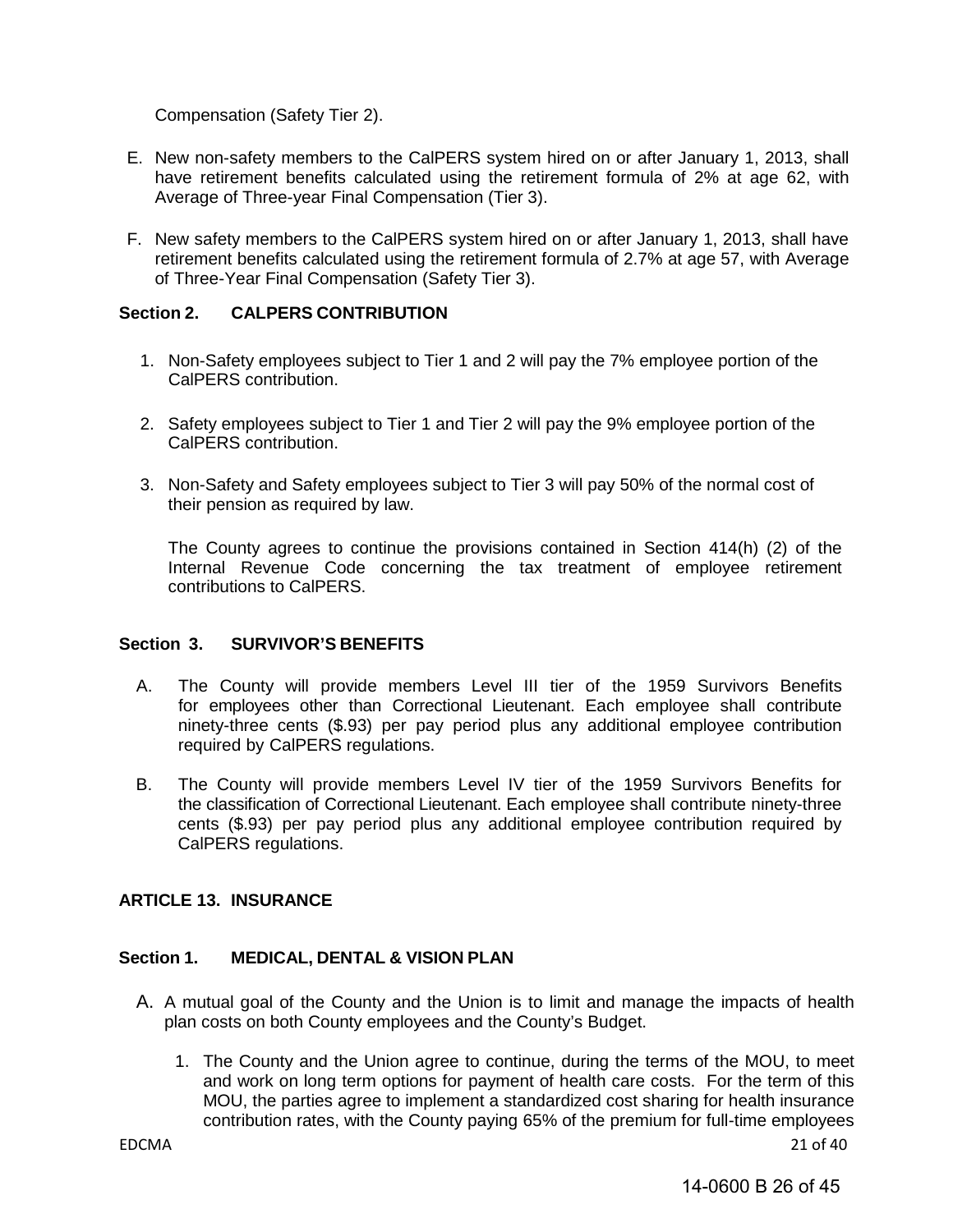Compensation (Safety Tier 2).

- E. New non-safety members to the CalPERS system hired on or after January 1, 2013, shall have retirement benefits calculated using the retirement formula of 2% at age 62, with Average of Three-year Final Compensation (Tier 3).
- F. New safety members to the CalPERS system hired on or after January 1, 2013, shall have retirement benefits calculated using the retirement formula of 2.7% at age 57, with Average of Three-Year Final Compensation (Safety Tier 3).

#### <span id="page-25-0"></span>**Section 2. CALPERS CONTRIBUTION**

- 1. Non-Safety employees subject to Tier 1 and 2 will pay the 7% employee portion of the CalPERS contribution.
- 2. Safety employees subject to Tier 1 and Tier 2 will pay the 9% employee portion of the CalPERS contribution.
- 3. Non-Safety and Safety employees subject to Tier 3 will pay 50% of the normal cost of their pension as required by law.

The County agrees to continue the provisions contained in Section 414(h) (2) of the Internal Revenue Code concerning the tax treatment of employee retirement contributions to CalPERS.

#### <span id="page-25-1"></span>**Section 3. SURVIVOR'S BENEFITS**

- A. The County will provide members Level III tier of the 1959 Survivors Benefits for employees other than Correctional Lieutenant. Each employee shall contribute ninety-three cents (\$.93) per pay period plus any additional employee contribution required by CalPERS regulations.
- B. The County will provide members Level IV tier of the 1959 Survivors Benefits for the classification of Correctional Lieutenant. Each employee shall contribute ninety-three cents (\$.93) per pay period plus any additional employee contribution required by CalPERS regulations.

#### <span id="page-25-2"></span>**ARTICLE 13. INSURANCE**

#### <span id="page-25-3"></span>**Section 1. MEDICAL, DENTAL & VISION PLAN**

- A. A mutual goal of the County and the Union is to limit and manage the impacts of health plan costs on both County employees and the County's Budget.
	- 1. The County and the Union agree to continue, during the terms of the MOU, to meet and work on long term options for payment of health care costs. For the term of this MOU, the parties agree to implement a standardized cost sharing for health insurance contribution rates, with the County paying 65% of the premium for full-time employees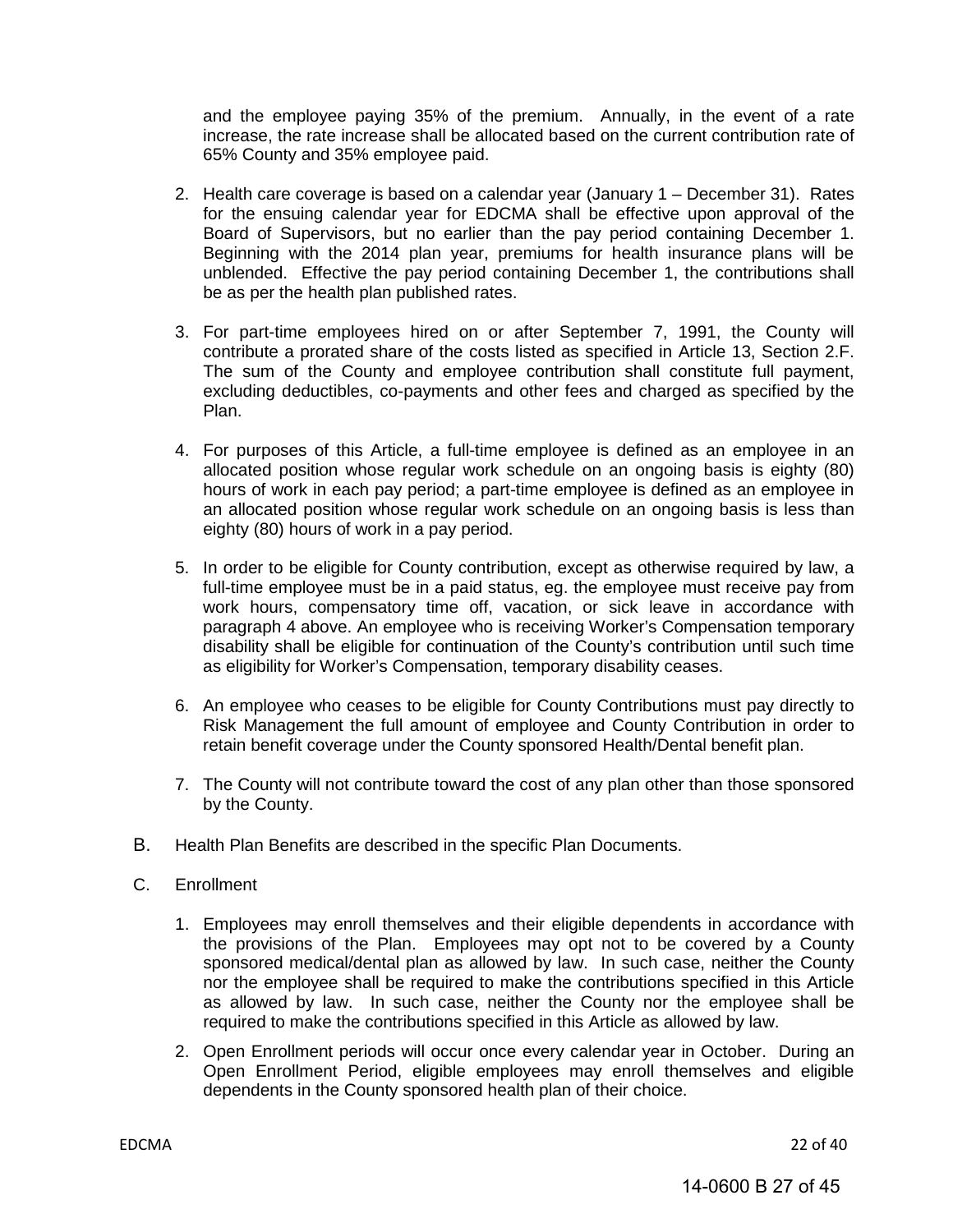and the employee paying 35% of the premium. Annually, in the event of a rate increase, the rate increase shall be allocated based on the current contribution rate of 65% County and 35% employee paid.

- 2. Health care coverage is based on a calendar year (January 1 December 31). Rates for the ensuing calendar year for EDCMA shall be effective upon approval of the Board of Supervisors, but no earlier than the pay period containing December 1. Beginning with the 2014 plan year, premiums for health insurance plans will be unblended. Effective the pay period containing December 1, the contributions shall be as per the health plan published rates.
- 3. For part-time employees hired on or after September 7, 1991, the County will contribute a prorated share of the costs listed as specified in Article 13, Section 2.F. The sum of the County and employee contribution shall constitute full payment, excluding deductibles, co-payments and other fees and charged as specified by the Plan.
- 4. For purposes of this Article, a full-time employee is defined as an employee in an allocated position whose regular work schedule on an ongoing basis is eighty (80) hours of work in each pay period; a part-time employee is defined as an employee in an allocated position whose regular work schedule on an ongoing basis is less than eighty (80) hours of work in a pay period.
- 5. In order to be eligible for County contribution, except as otherwise required by law, a full-time employee must be in a paid status, eg. the employee must receive pay from work hours, compensatory time off, vacation, or sick leave in accordance with paragraph 4 above. An employee who is receiving Worker's Compensation temporary disability shall be eligible for continuation of the County's contribution until such time as eligibility for Worker's Compensation, temporary disability ceases.
- 6. An employee who ceases to be eligible for County Contributions must pay directly to Risk Management the full amount of employee and County Contribution in order to retain benefit coverage under the County sponsored Health/Dental benefit plan.
- 7. The County will not contribute toward the cost of any plan other than those sponsored by the County.
- B. Health Plan Benefits are described in the specific Plan Documents.
- C. Enrollment
	- 1. Employees may enroll themselves and their eligible dependents in accordance with the provisions of the Plan. Employees may opt not to be covered by a County sponsored medical/dental plan as allowed by law. In such case, neither the County nor the employee shall be required to make the contributions specified in this Article as allowed by law. In such case, neither the County nor the employee shall be required to make the contributions specified in this Article as allowed by law.
	- 2. Open Enrollment periods will occur once every calendar year in October. During an Open Enrollment Period, eligible employees may enroll themselves and eligible dependents in the County sponsored health plan of their choice.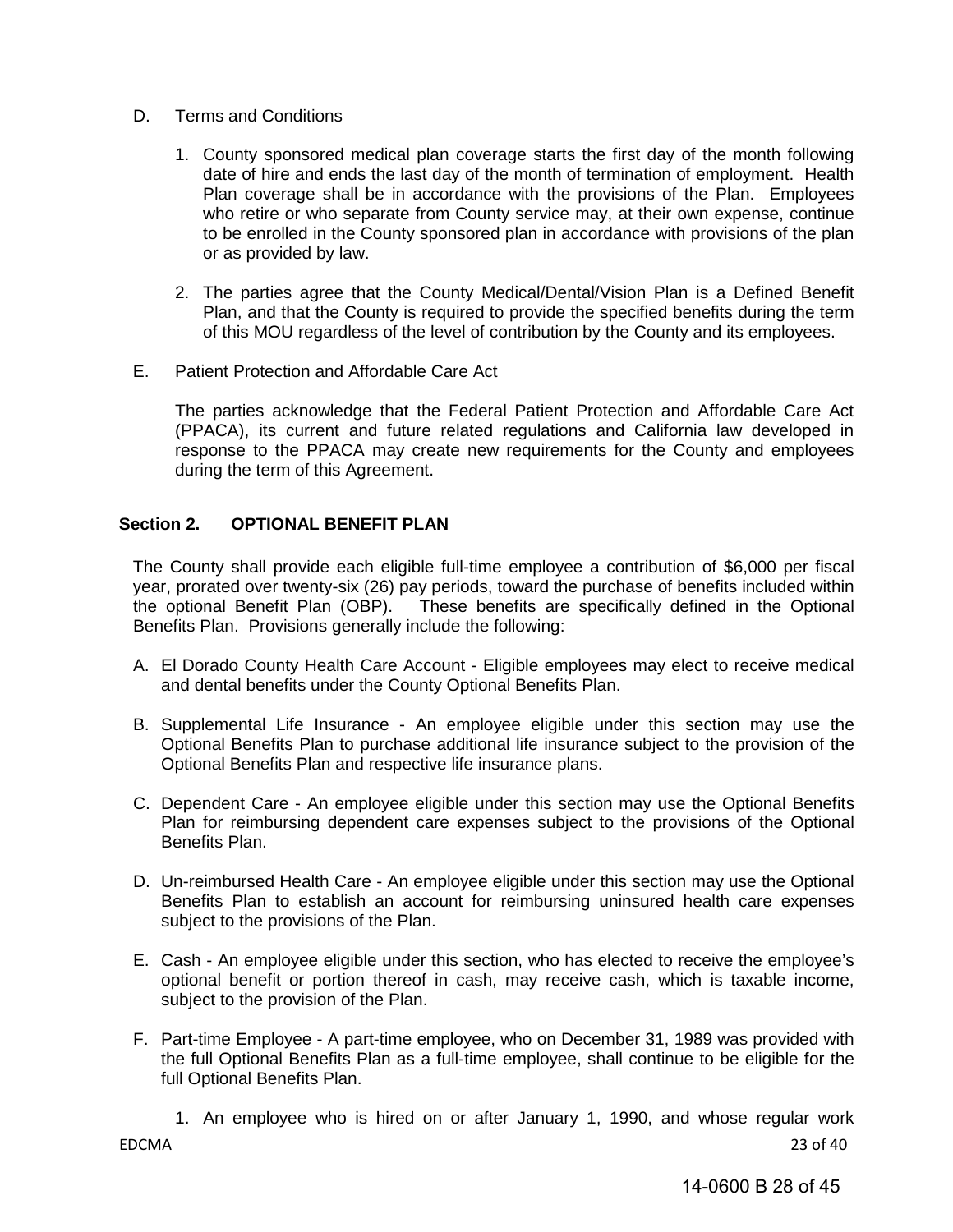- D. Terms and Conditions
	- 1. County sponsored medical plan coverage starts the first day of the month following date of hire and ends the last day of the month of termination of employment. Health Plan coverage shall be in accordance with the provisions of the Plan. Employees who retire or who separate from County service may, at their own expense, continue to be enrolled in the County sponsored plan in accordance with provisions of the plan or as provided by law.
	- 2. The parties agree that the County Medical/Dental/Vision Plan is a Defined Benefit Plan, and that the County is required to provide the specified benefits during the term of this MOU regardless of the level of contribution by the County and its employees.
- E. Patient Protection and Affordable Care Act

The parties acknowledge that the Federal Patient Protection and Affordable Care Act (PPACA), its current and future related regulations and California law developed in response to the PPACA may create new requirements for the County and employees during the term of this Agreement.

#### <span id="page-27-0"></span>**Section 2. OPTIONAL BENEFIT PLAN**

The County shall provide each eligible full-time employee a contribution of \$6,000 per fiscal year, prorated over twenty-six (26) pay periods, toward the purchase of benefits included within the optional Benefit Plan (OBP). These benefits are specifically defined in the Optional Benefits Plan. Provisions generally include the following:

- A. El Dorado County Health Care Account Eligible employees may elect to receive medical and dental benefits under the County Optional Benefits Plan.
- B. Supplemental Life Insurance An employee eligible under this section may use the Optional Benefits Plan to purchase additional life insurance subject to the provision of the Optional Benefits Plan and respective life insurance plans.
- C. Dependent Care An employee eligible under this section may use the Optional Benefits Plan for reimbursing dependent care expenses subject to the provisions of the Optional Benefits Plan.
- D. Un-reimbursed Health Care An employee eligible under this section may use the Optional Benefits Plan to establish an account for reimbursing uninsured health care expenses subject to the provisions of the Plan.
- E. Cash An employee eligible under this section, who has elected to receive the employee's optional benefit or portion thereof in cash, may receive cash, which is taxable income, subject to the provision of the Plan.
- F. Part-time Employee A part-time employee, who on December 31, 1989 was provided with the full Optional Benefits Plan as a full-time employee, shall continue to be eligible for the full Optional Benefits Plan.
	- 1. An employee who is hired on or after January 1, 1990, and whose regular work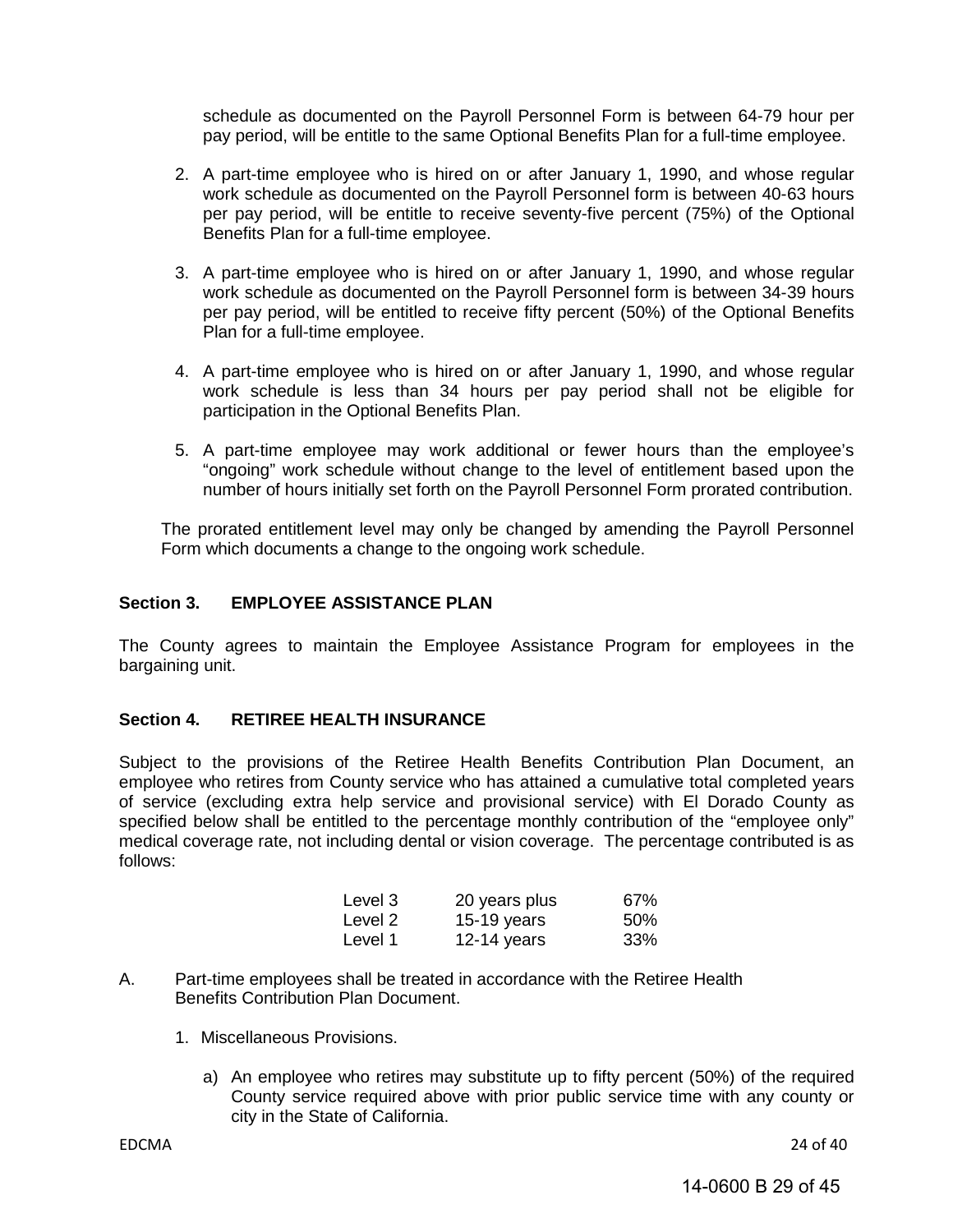schedule as documented on the Payroll Personnel Form is between 64-79 hour per pay period, will be entitle to the same Optional Benefits Plan for a full-time employee.

- 2. A part-time employee who is hired on or after January 1, 1990, and whose regular work schedule as documented on the Payroll Personnel form is between 40-63 hours per pay period, will be entitle to receive seventy-five percent (75%) of the Optional Benefits Plan for a full-time employee.
- 3. A part-time employee who is hired on or after January 1, 1990, and whose regular work schedule as documented on the Payroll Personnel form is between 34-39 hours per pay period, will be entitled to receive fifty percent (50%) of the Optional Benefits Plan for a full-time employee.
- 4. A part-time employee who is hired on or after January 1, 1990, and whose regular work schedule is less than 34 hours per pay period shall not be eligible for participation in the Optional Benefits Plan.
- 5. A part-time employee may work additional or fewer hours than the employee's "ongoing" work schedule without change to the level of entitlement based upon the number of hours initially set forth on the Payroll Personnel Form prorated contribution.

The prorated entitlement level may only be changed by amending the Payroll Personnel Form which documents a change to the ongoing work schedule.

#### <span id="page-28-0"></span>**Section 3. EMPLOYEE ASSISTANCE PLAN**

The County agrees to maintain the Employee Assistance Program for employees in the bargaining unit.

#### <span id="page-28-1"></span>**Section 4. RETIREE HEALTH INSURANCE**

Subject to the provisions of the Retiree Health Benefits Contribution Plan Document, an employee who retires from County service who has attained a cumulative total completed years of service (excluding extra help service and provisional service) with El Dorado County as specified below shall be entitled to the percentage monthly contribution of the "employee only" medical coverage rate, not including dental or vision coverage. The percentage contributed is as follows:

| Level 3 | 20 years plus | 67% |
|---------|---------------|-----|
| Level 2 | $15-19$ years | 50% |
| Level 1 | 12-14 years   | 33% |

- A. Part-time employees shall be treated in accordance with the Retiree Health Benefits Contribution Plan Document.
	- 1. Miscellaneous Provisions.
		- a) An employee who retires may substitute up to fifty percent (50%) of the required County service required above with prior public service time with any county or city in the State of California.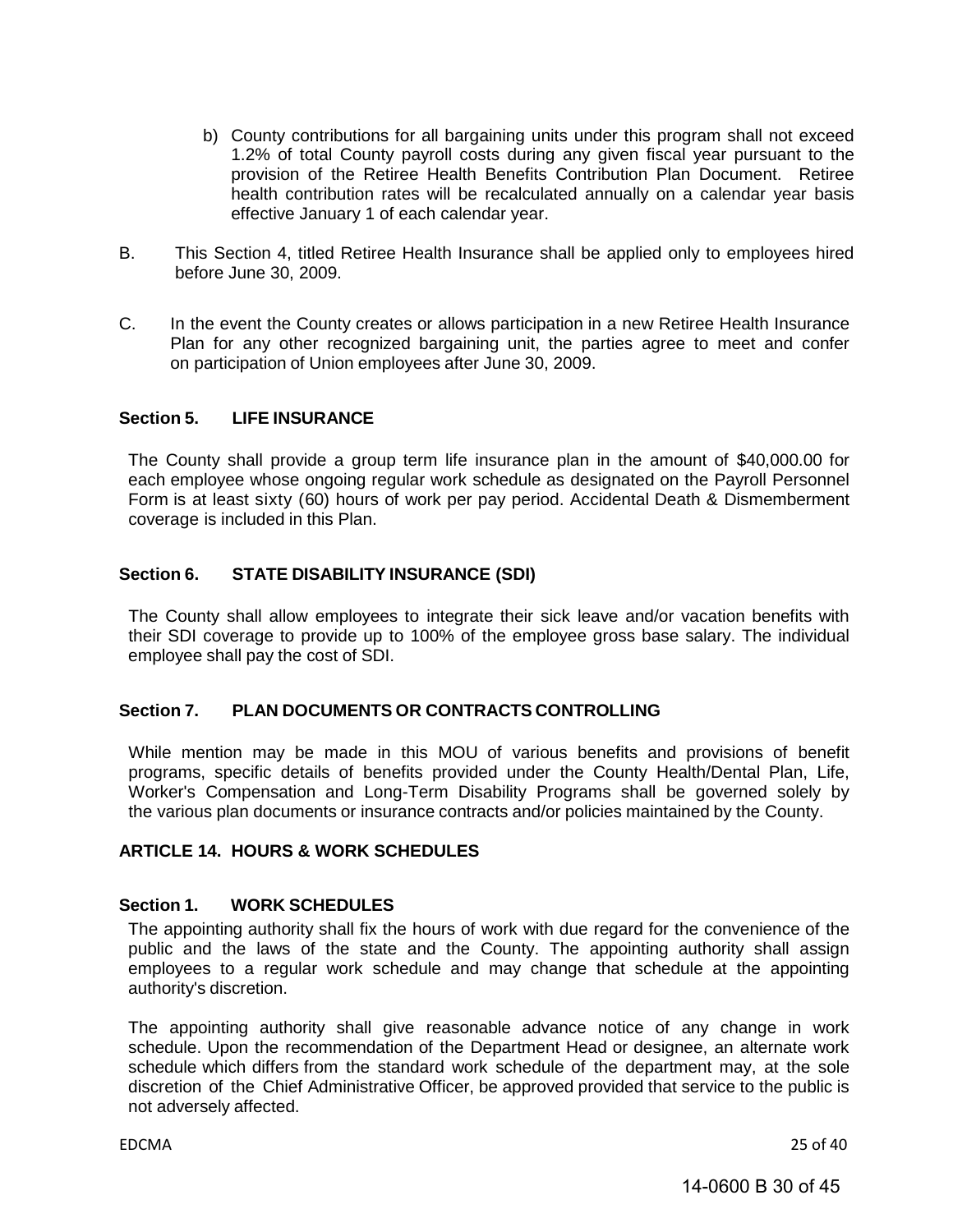- b) County contributions for all bargaining units under this program shall not exceed 1.2% of total County payroll costs during any given fiscal year pursuant to the provision of the Retiree Health Benefits Contribution Plan Document. Retiree health contribution rates will be recalculated annually on a calendar year basis effective January 1 of each calendar year.
- B. This Section 4, titled Retiree Health Insurance shall be applied only to employees hired before June 30, 2009.
- C. In the event the County creates or allows participation in a new Retiree Health Insurance Plan for any other recognized bargaining unit, the parties agree to meet and confer on participation of Union employees after June 30, 2009.

#### <span id="page-29-0"></span>**Section 5. LIFE INSURANCE**

The County shall provide a group term life insurance plan in the amount of \$40,000.00 for each employee whose ongoing regular work schedule as designated on the Payroll Personnel Form is at least sixty (60) hours of work per pay period. Accidental Death & Dismemberment coverage is included in this Plan.

#### <span id="page-29-1"></span>**Section 6. STATE DISABILITY INSURANCE (SDI)**

The County shall allow employees to integrate their sick leave and/or vacation benefits with their SDI coverage to provide up to 100% of the employee gross base salary. The individual employee shall pay the cost of SDI.

#### <span id="page-29-2"></span>**Section 7. PLAN DOCUMENTS OR CONTRACTS CONTROLLING**

While mention may be made in this MOU of various benefits and provisions of benefit programs, specific details of benefits provided under the County Health/Dental Plan, Life, Worker's Compensation and Long-Term Disability Programs shall be governed solely by the various plan documents or insurance contracts and/or policies maintained by the County.

#### <span id="page-29-3"></span>**ARTICLE 14. HOURS & WORK SCHEDULES**

#### <span id="page-29-4"></span>**Section 1. WORK SCHEDULES**

The appointing authority shall fix the hours of work with due regard for the convenience of the public and the laws of the state and the County. The appointing authority shall assign employees to a regular work schedule and may change that schedule at the appointing authority's discretion.

The appointing authority shall give reasonable advance notice of any change in work schedule. Upon the recommendation of the Department Head or designee, an alternate work schedule which differs from the standard work schedule of the department may, at the sole discretion of the Chief Administrative Officer, be approved provided that service to the public is not adversely affected.

EDCMA 25 of 40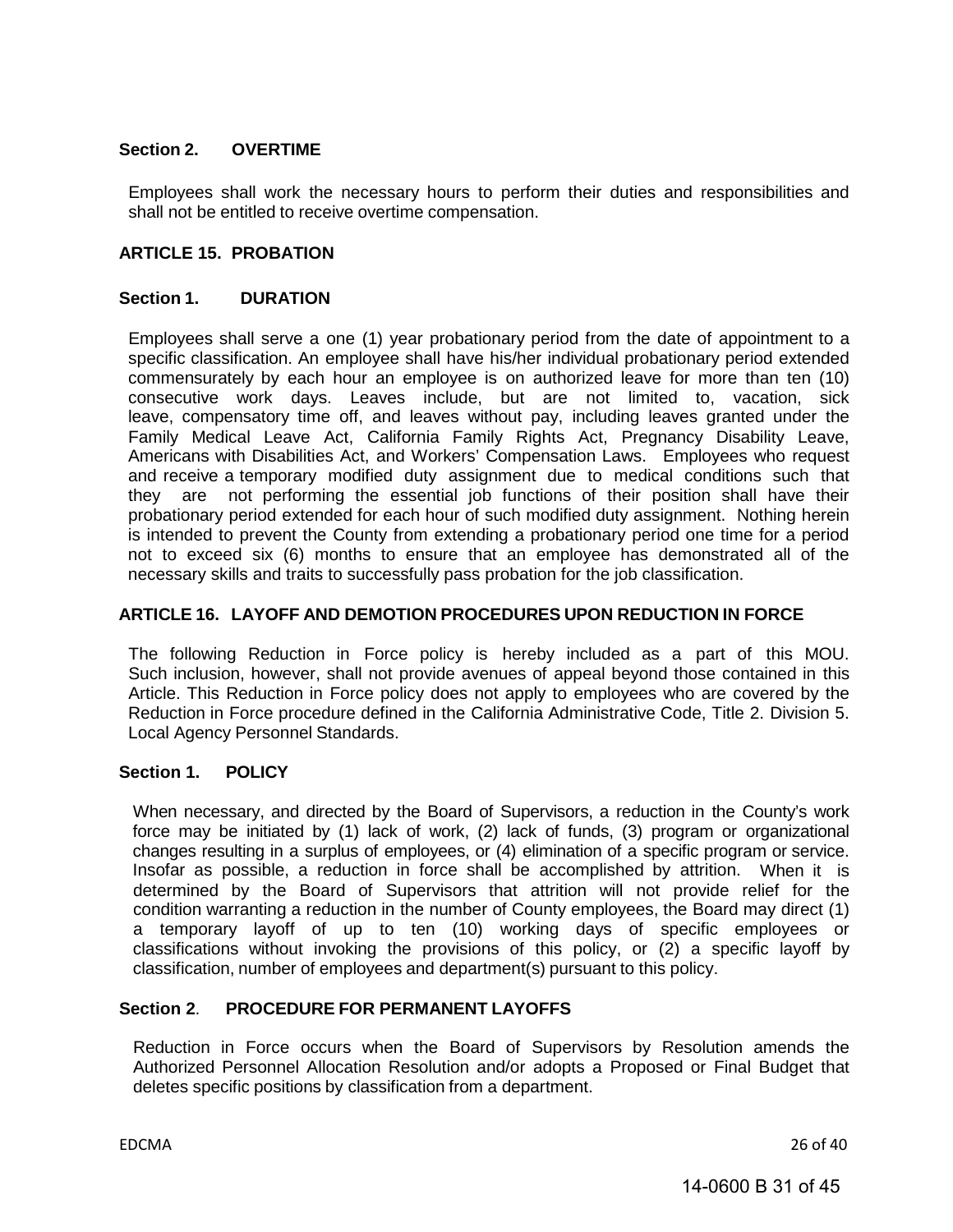#### <span id="page-30-0"></span>**Section 2. OVERTIME**

<span id="page-30-2"></span>Employees shall work the necessary hours to perform their duties and responsibilities and shall not be entitled to receive overtime compensation.

#### <span id="page-30-1"></span>**ARTICLE 15. PROBATION**

#### **Section 1. DURATION**

Employees shall serve a one (1) year probationary period from the date of appointment to a specific classification. An employee shall have his/her individual probationary period extended commensurately by each hour an employee is on authorized leave for more than ten (10) consecutive work days. Leaves include, but are not limited to, vacation, sick leave, compensatory time off, and leaves without pay, including leaves granted under the Family Medical Leave Act, California Family Rights Act, Pregnancy Disability Leave, Americans with Disabilities Act, and Workers' Compensation Laws. Employees who request and receive a temporary modified duty assignment due to medical conditions such that they are not performing the essential job functions of their position shall have their probationary period extended for each hour of such modified duty assignment. Nothing herein is intended to prevent the County from extending a probationary period one time for a period not to exceed six (6) months to ensure that an employee has demonstrated all of the necessary skills and traits to successfully pass probation for the job classification.

#### **ARTICLE 16. LAYOFF AND DEMOTION PROCEDURES UPON REDUCTION IN FORCE**

<span id="page-30-3"></span>The following Reduction in Force policy is hereby included as a part of this MOU. Such inclusion, however, shall not provide avenues of appeal beyond those contained in this Article. This Reduction in Force policy does not apply to employees who are covered by the Reduction in Force procedure defined in the California Administrative Code, Title 2. Division 5. Local Agency Personnel Standards.

#### **Section 1. POLICY**

When necessary, and directed by the Board of Supervisors, a reduction in the County's work force may be initiated by (1) lack of work, (2) lack of funds, (3) program or organizational changes resulting in a surplus of employees, or (4) elimination of a specific program or service. Insofar as possible, a reduction in force shall be accomplished by attrition. When it is determined by the Board of Supervisors that attrition will not provide relief for the condition warranting a reduction in the number of County employees, the Board may direct (1) a temporary layoff of up to ten (10) working days of specific employees or classifications without invoking the provisions of this policy, or (2) a specific layoff by classification, number of employees and department(s) pursuant to this policy.

#### **Section 2**. **PROCEDURE FOR PERMANENT LAYOFFS**

Reduction in Force occurs when the Board of Supervisors by Resolution amends the Authorized Personnel Allocation Resolution and/or adopts a Proposed or Final Budget that deletes specific positions by classification from a department.

EDCMA 26 of 40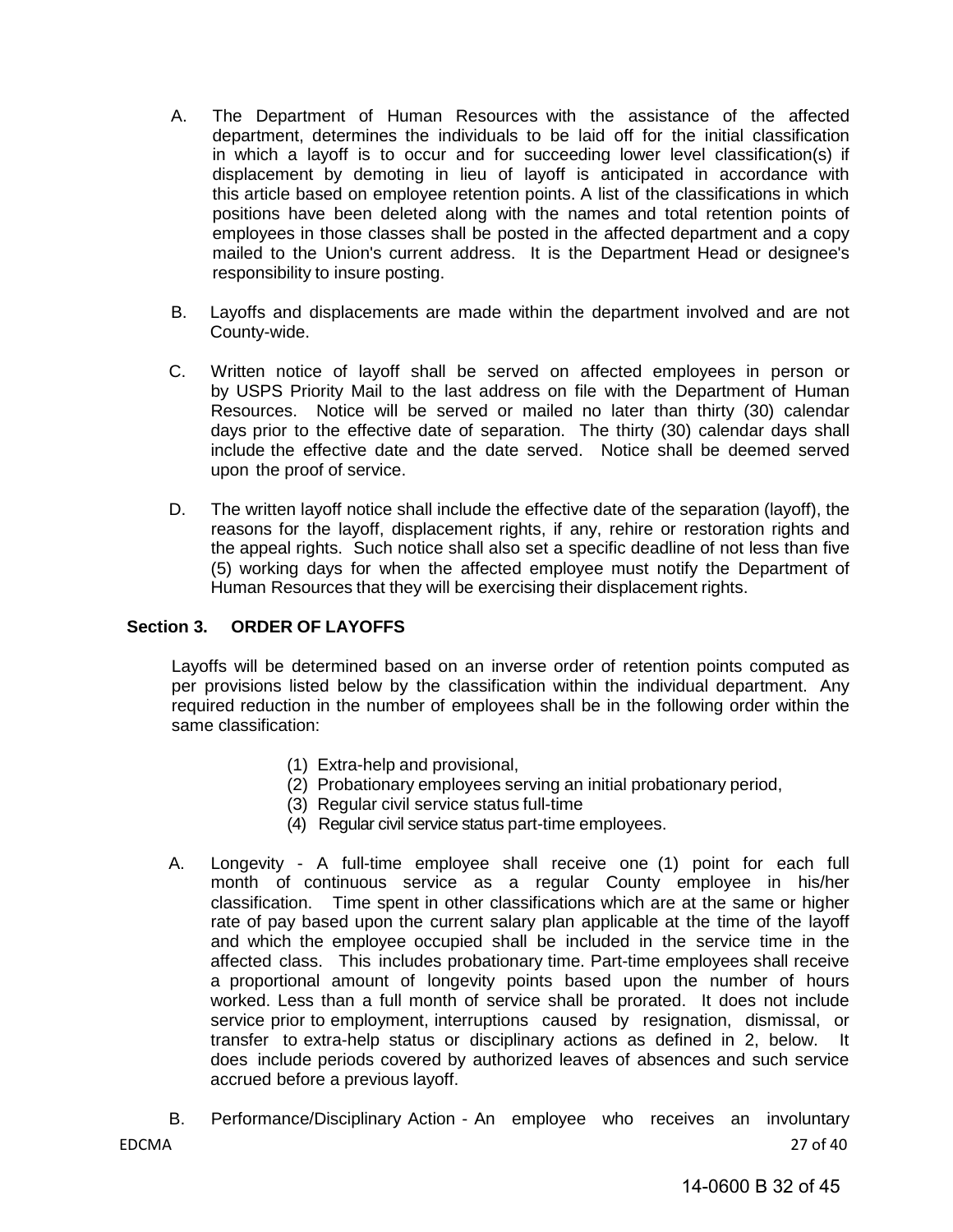- A. The Department of Human Resources with the assistance of the affected department, determines the individuals to be laid off for the initial classification in which a layoff is to occur and for succeeding lower level classification(s) if displacement by demoting in lieu of layoff is anticipated in accordance with this article based on employee retention points. A list of the classifications in which positions have been deleted along with the names and total retention points of employees in those classes shall be posted in the affected department and a copy mailed to the Union's current address. It is the Department Head or designee's responsibility to insure posting.
- B. Layoffs and displacements are made within the department involved and are not County-wide.
- C. Written notice of layoff shall be served on affected employees in person or by USPS Priority Mail to the last address on file with the Department of Human Resources. Notice will be served or mailed no later than thirty (30) calendar days prior to the effective date of separation. The thirty (30) calendar days shall include the effective date and the date served. Notice shall be deemed served upon the proof of service.
- D. The written layoff notice shall include the effective date of the separation (layoff), the reasons for the layoff, displacement rights, if any, rehire or restoration rights and the appeal rights. Such notice shall also set a specific deadline of not less than five (5) working days for when the affected employee must notify the Department of Human Resources that they will be exercising their displacement rights.

#### **Section 3. ORDER OF LAYOFFS**

Layoffs will be determined based on an inverse order of retention points computed as per provisions listed below by the classification within the individual department. Any required reduction in the number of employees shall be in the following order within the same classification:

- (1) Extra-help and provisional,
- (2) Probationary employees serving an initial probationary period,
- (3) Regular civil service status full-time
- (4) Regular civil service status part-time employees.
- A. Longevity A full-time employee shall receive one (1) point for each full month of continuous service as a regular County employee in his/her classification. Time spent in other classifications which are at the same or higher rate of pay based upon the current salary plan applicable at the time of the layoff and which the employee occupied shall be included in the service time in the affected class. This includes probationary time. Part-time employees shall receive a proportional amount of longevity points based upon the number of hours worked. Less than a full month of service shall be prorated. It does not include service prior to employment, interruptions caused by resignation, dismissal, or transfer to extra-help status or disciplinary actions as defined in 2, below. It does include periods covered by authorized leaves of absences and such service accrued before a previous layoff.
- EDCMA 27 of 40 B. Performance/Disciplinary Action - An employee who receives an involuntary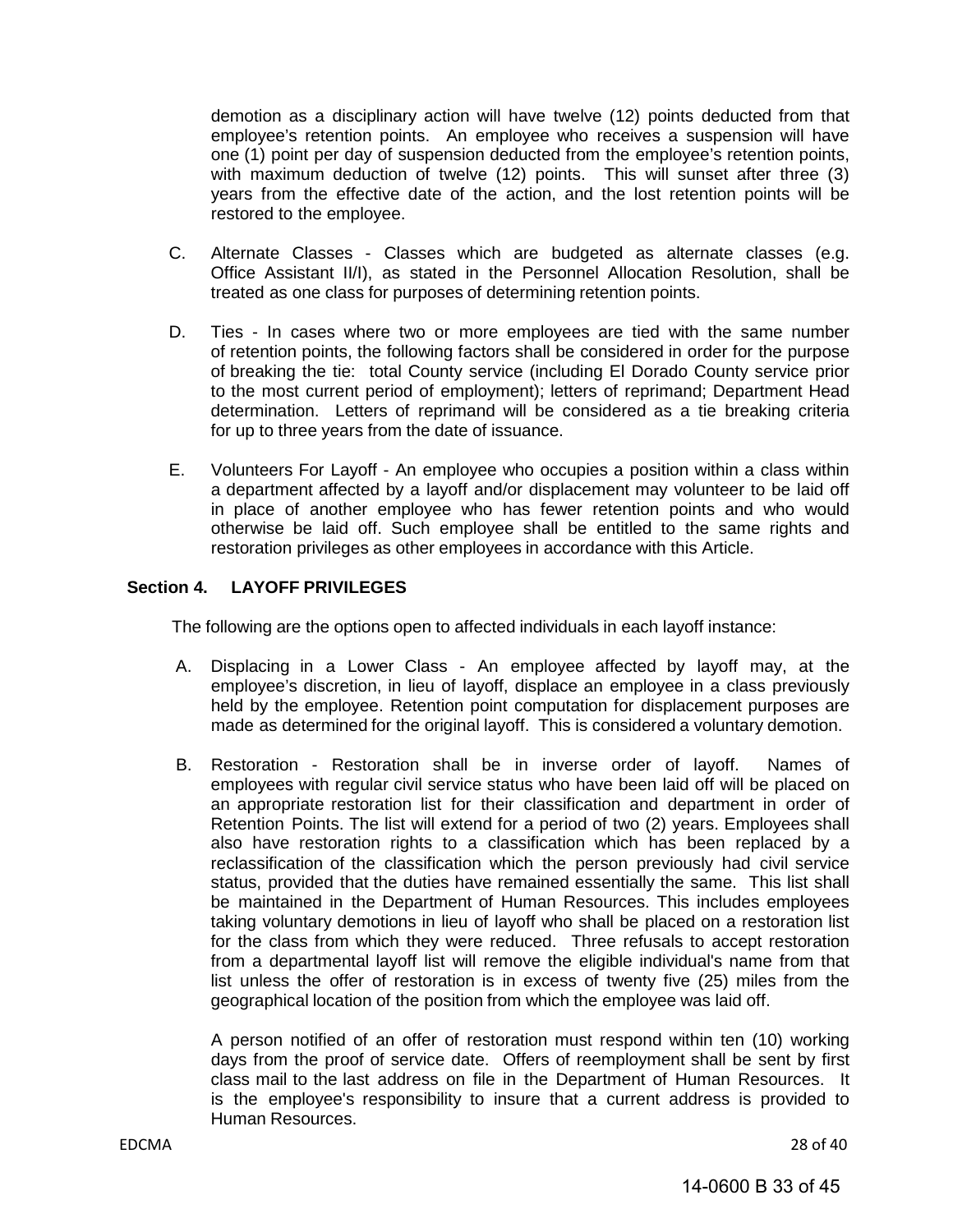demotion as a disciplinary action will have twelve (12) points deducted from that employee's retention points. An employee who receives a suspension will have one (1) point per day of suspension deducted from the employee's retention points, with maximum deduction of twelve (12) points. This will sunset after three (3) years from the effective date of the action, and the lost retention points will be restored to the employee.

- C. Alternate Classes Classes which are budgeted as alternate classes (e.g. Office Assistant II/I), as stated in the Personnel Allocation Resolution, shall be treated as one class for purposes of determining retention points.
- D. Ties In cases where two or more employees are tied with the same number of retention points, the following factors shall be considered in order for the purpose of breaking the tie: total County service (including El Dorado County service prior to the most current period of employment); letters of reprimand; Department Head determination. Letters of reprimand will be considered as a tie breaking criteria for up to three years from the date of issuance.
- E. Volunteers For Layoff An employee who occupies a position within a class within a department affected by a layoff and/or displacement may volunteer to be laid off in place of another employee who has fewer retention points and who would otherwise be laid off. Such employee shall be entitled to the same rights and restoration privileges as other employees in accordance with this Article.

#### **Section 4. LAYOFF PRIVILEGES**

The following are the options open to affected individuals in each layoff instance:

- A. Displacing in a Lower Class An employee affected by layoff may, at the employee's discretion, in lieu of layoff, displace an employee in a class previously held by the employee. Retention point computation for displacement purposes are made as determined for the original layoff. This is considered a voluntary demotion.
- B. Restoration Restoration shall be in inverse order of layoff. Names of employees with regular civil service status who have been laid off will be placed on an appropriate restoration list for their classification and department in order of Retention Points. The list will extend for a period of two (2) years. Employees shall also have restoration rights to a classification which has been replaced by a reclassification of the classification which the person previously had civil service status, provided that the duties have remained essentially the same. This list shall be maintained in the Department of Human Resources. This includes employees taking voluntary demotions in lieu of layoff who shall be placed on a restoration list for the class from which they were reduced. Three refusals to accept restoration from a departmental layoff list will remove the eligible individual's name from that list unless the offer of restoration is in excess of twenty five (25) miles from the geographical location of the position from which the employee was laid off.

A person notified of an offer of restoration must respond within ten (10) working days from the proof of service date. Offers of reemployment shall be sent by first class mail to the last address on file in the Department of Human Resources. It is the employee's responsibility to insure that a current address is provided to Human Resources.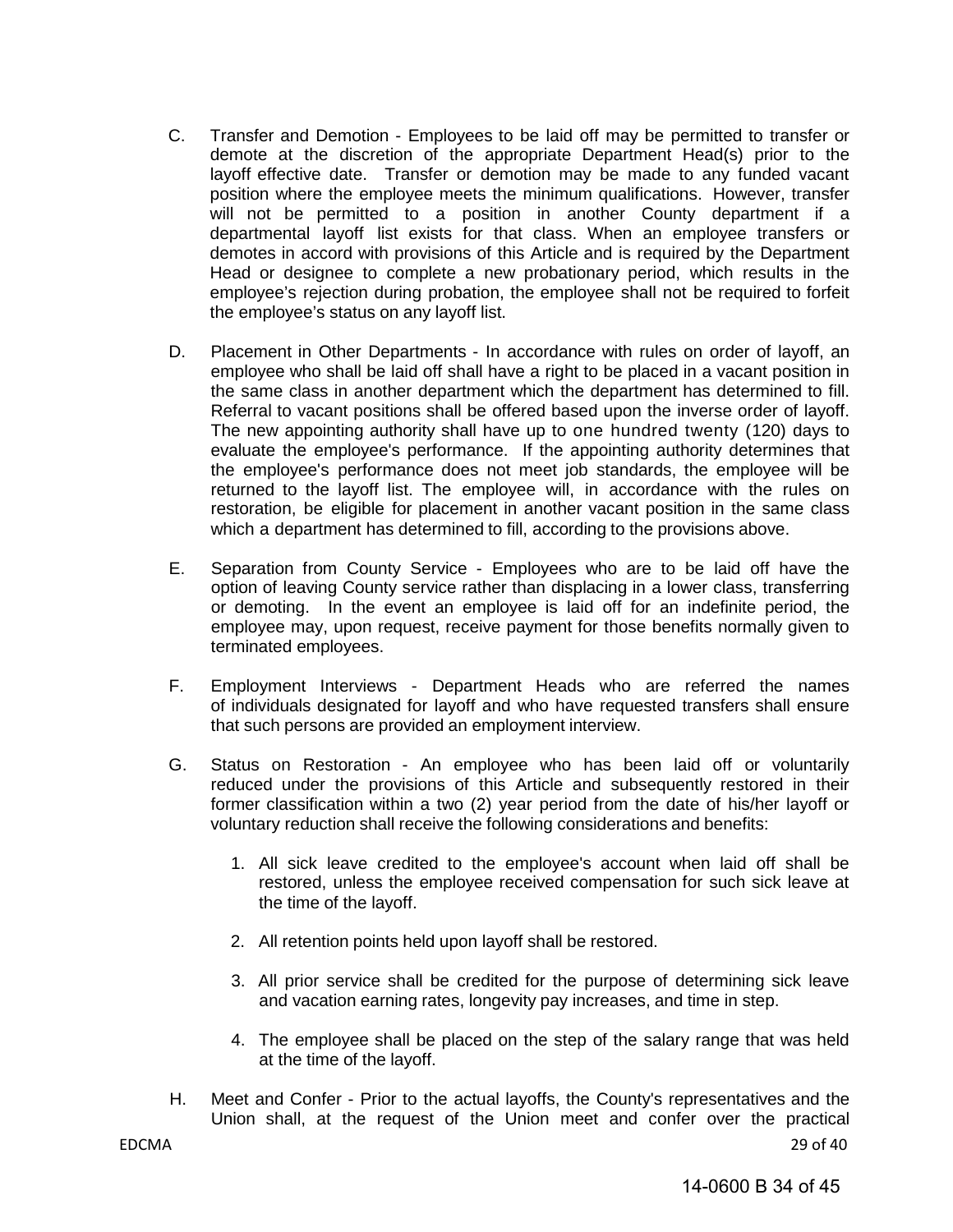- C. Transfer and Demotion Employees to be laid off may be permitted to transfer or demote at the discretion of the appropriate Department Head(s) prior to the layoff effective date. Transfer or demotion may be made to any funded vacant position where the employee meets the minimum qualifications. However, transfer will not be permitted to a position in another County department if a departmental layoff list exists for that class. When an employee transfers or demotes in accord with provisions of this Article and is required by the Department Head or designee to complete a new probationary period, which results in the employee's rejection during probation, the employee shall not be required to forfeit the employee's status on any layoff list.
- D. Placement in Other Departments In accordance with rules on order of layoff, an employee who shall be laid off shall have a right to be placed in a vacant position in the same class in another department which the department has determined to fill. Referral to vacant positions shall be offered based upon the inverse order of layoff. The new appointing authority shall have up to one hundred twenty (120) days to evaluate the employee's performance. If the appointing authority determines that the employee's performance does not meet job standards, the employee will be returned to the layoff list. The employee will, in accordance with the rules on restoration, be eligible for placement in another vacant position in the same class which a department has determined to fill, according to the provisions above.
- E. Separation from County Service Employees who are to be laid off have the option of leaving County service rather than displacing in a lower class, transferring or demoting. In the event an employee is laid off for an indefinite period, the employee may, upon request, receive payment for those benefits normally given to terminated employees.
- F. Employment Interviews Department Heads who are referred the names of individuals designated for layoff and who have requested transfers shall ensure that such persons are provided an employment interview.
- G. Status on Restoration An employee who has been laid off or voluntarily reduced under the provisions of this Article and subsequently restored in their former classification within a two (2) year period from the date of his/her layoff or voluntary reduction shall receive the following considerations and benefits:
	- 1. All sick leave credited to the employee's account when laid off shall be restored, unless the employee received compensation for such sick leave at the time of the layoff.
	- 2. All retention points held upon layoff shall be restored.
	- 3. All prior service shall be credited for the purpose of determining sick leave and vacation earning rates, longevity pay increases, and time in step.
	- 4. The employee shall be placed on the step of the salary range that was held at the time of the layoff.
- H. Meet and Confer Prior to the actual layoffs, the County's representatives and the Union shall, at the request of the Union meet and confer over the practical

EDCMA 29 of 40

14-0600 B 34 of 45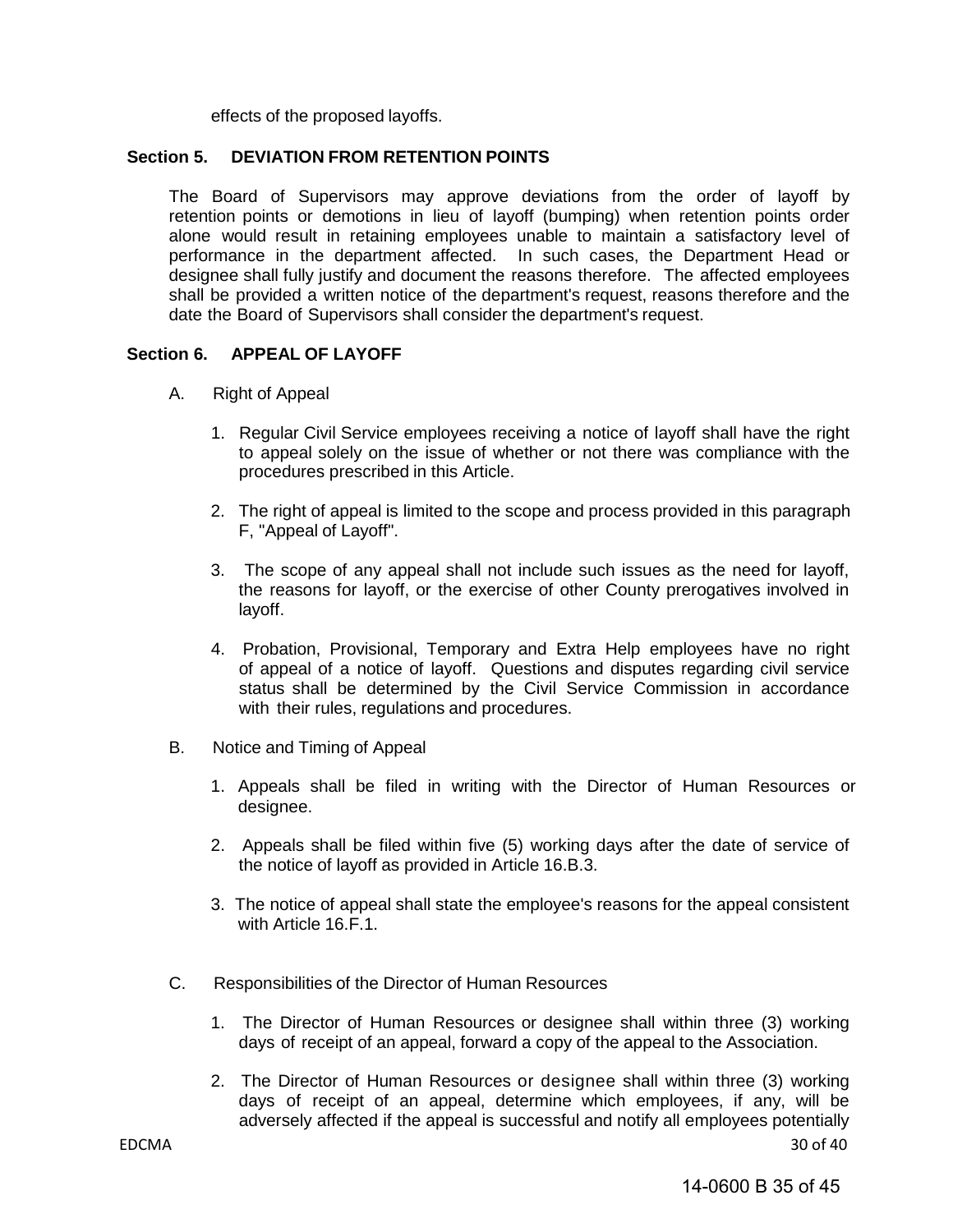effects of the proposed layoffs.

#### **Section 5. DEVIATION FROM RETENTION POINTS**

The Board of Supervisors may approve deviations from the order of layoff by retention points or demotions in lieu of layoff (bumping) when retention points order alone would result in retaining employees unable to maintain a satisfactory level of performance in the department affected. In such cases, the Department Head or designee shall fully justify and document the reasons therefore. The affected employees shall be provided a written notice of the department's request, reasons therefore and the date the Board of Supervisors shall consider the department's request.

#### **Section 6. APPEAL OF LAYOFF**

- A. Right of Appeal
	- 1. Regular Civil Service employees receiving a notice of layoff shall have the right to appeal solely on the issue of whether or not there was compliance with the procedures prescribed in this Article.
	- 2. The right of appeal is limited to the scope and process provided in this paragraph F, "Appeal of Layoff".
	- 3. The scope of any appeal shall not include such issues as the need for layoff, the reasons for layoff, or the exercise of other County prerogatives involved in layoff.
	- 4. Probation, Provisional, Temporary and Extra Help employees have no right of appeal of a notice of layoff. Questions and disputes regarding civil service status shall be determined by the Civil Service Commission in accordance with their rules, regulations and procedures.
- B. Notice and Timing of Appeal
	- 1. Appeals shall be filed in writing with the Director of Human Resources or designee.
	- 2. Appeals shall be filed within five (5) working days after the date of service of the notice of layoff as provided in Article 16.B.3.
	- 3. The notice of appeal shall state the employee's reasons for the appeal consistent with Article 16.F.1.
- C. Responsibilities of the Director of Human Resources
	- 1. The Director of Human Resources or designee shall within three (3) working days of receipt of an appeal, forward a copy of the appeal to the Association.
- EDCMA 30 of 40 2. The Director of Human Resources or designee shall within three (3) working days of receipt of an appeal, determine which employees, if any, will be adversely affected if the appeal is successful and notify all employees potentially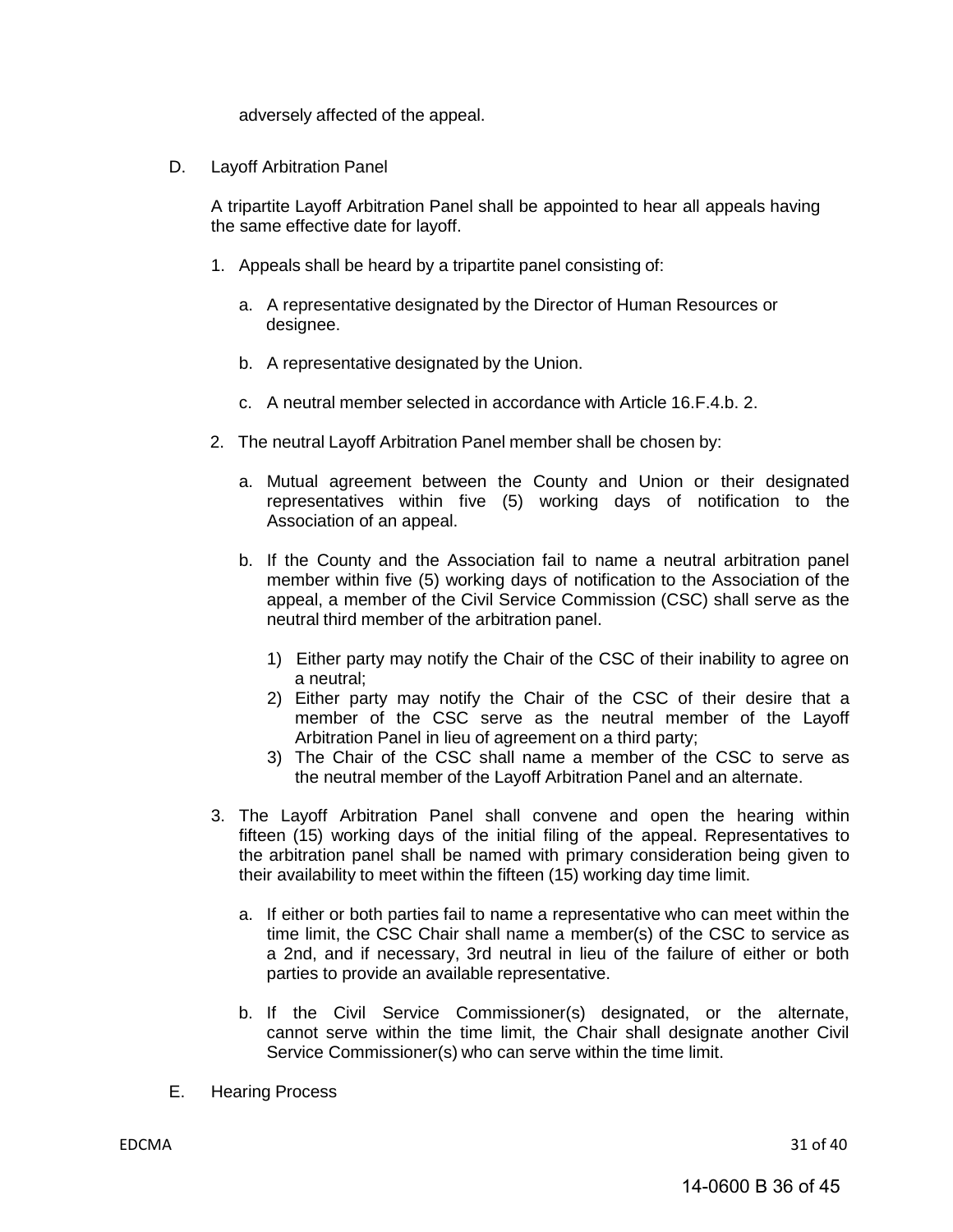adversely affected of the appeal.

D. Layoff Arbitration Panel

A tripartite Layoff Arbitration Panel shall be appointed to hear all appeals having the same effective date for layoff.

- 1. Appeals shall be heard by a tripartite panel consisting of:
	- a. A representative designated by the Director of Human Resources or designee.
	- b. A representative designated by the Union.
	- c. A neutral member selected in accordance with Article 16.F.4.b. 2.
- 2. The neutral Layoff Arbitration Panel member shall be chosen by:
	- a. Mutual agreement between the County and Union or their designated representatives within five (5) working days of notification to the Association of an appeal.
	- b. If the County and the Association fail to name a neutral arbitration panel member within five (5) working days of notification to the Association of the appeal, a member of the Civil Service Commission (CSC) shall serve as the neutral third member of the arbitration panel.
		- 1) Either party may notify the Chair of the CSC of their inability to agree on a neutral;
		- 2) Either party may notify the Chair of the CSC of their desire that a member of the CSC serve as the neutral member of the Layoff Arbitration Panel in lieu of agreement on a third party;
		- 3) The Chair of the CSC shall name a member of the CSC to serve as the neutral member of the Layoff Arbitration Panel and an alternate.
- 3. The Layoff Arbitration Panel shall convene and open the hearing within fifteen (15) working days of the initial filing of the appeal. Representatives to the arbitration panel shall be named with primary consideration being given to their availability to meet within the fifteen (15) working day time limit.
	- a. If either or both parties fail to name a representative who can meet within the time limit, the CSC Chair shall name a member(s) of the CSC to service as a 2nd, and if necessary, 3rd neutral in lieu of the failure of either or both parties to provide an available representative.
	- b. If the Civil Service Commissioner(s) designated, or the alternate, cannot serve within the time limit, the Chair shall designate another Civil Service Commissioner(s) who can serve within the time limit.
- E. Hearing Process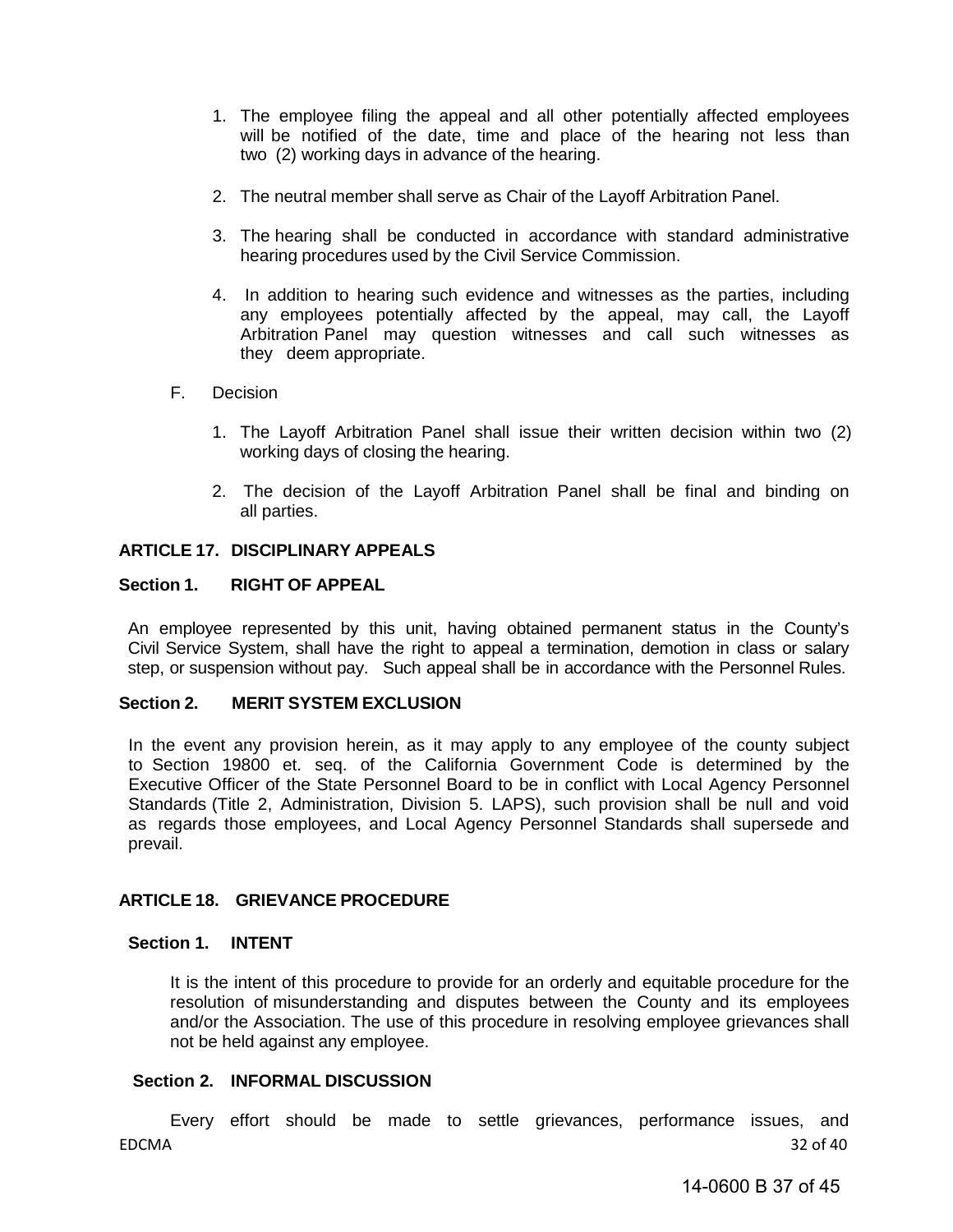- 1. The employee filing the appeal and all other potentially affected employees will be notified of the date, time and place of the hearing not less than two (2) working days in advance of the hearing.
- 2. The neutral member shall serve as Chair of the Layoff Arbitration Panel.
- 3. The hearing shall be conducted in accordance with standard administrative hearing procedures used by the Civil Service Commission.
- 4. In addition to hearing such evidence and witnesses as the parties, including any employees potentially affected by the appeal, may call, the Layoff Arbitration Panel may question witnesses and call such witnesses as they deem appropriate.
- <span id="page-36-1"></span><span id="page-36-0"></span>F. Decision
	- 1. The Layoff Arbitration Panel shall issue their written decision within two (2) working days of closing the hearing.
	- 2. The decision of the Layoff Arbitration Panel shall be final and binding on all parties.

#### **ARTICLE 17. DISCIPLINARY APPEALS**

#### **Section 1. RIGHT OF APPEAL**

An employee represented by this unit, having obtained permanent status in the County's Civil Service System, shall have the right to appeal a termination, demotion in class or salary step, or suspension without pay. Such appeal shall be in accordance with the Personnel Rules.

#### <span id="page-36-2"></span>**Section 2. MERIT SYSTEM EXCLUSION**

In the event any provision herein, as it may apply to any employee of the county subject to Section 19800 et. seq. of the California Government Code is determined by the Executive Officer of the State Personnel Board to be in conflict with Local Agency Personnel Standards (Title 2, Administration, Division 5. LAPS), such provision shall be null and void as regards those employees, and Local Agency Personnel Standards shall supersede and prevail.

#### <span id="page-36-3"></span>**ARTICLE 18. GRIEVANCE PROCEDURE**

#### **Section 1. INTENT**

It is the intent of this procedure to provide for an orderly and equitable procedure for the resolution of misunderstanding and disputes between the County and its employees and/or the Association. The use of this procedure in resolving employee grievances shall not be held against any employee.

#### **Section 2. INFORMAL DISCUSSION**

EDCMA 32 of 40 Every effort should be made to settle grievances, performance issues, and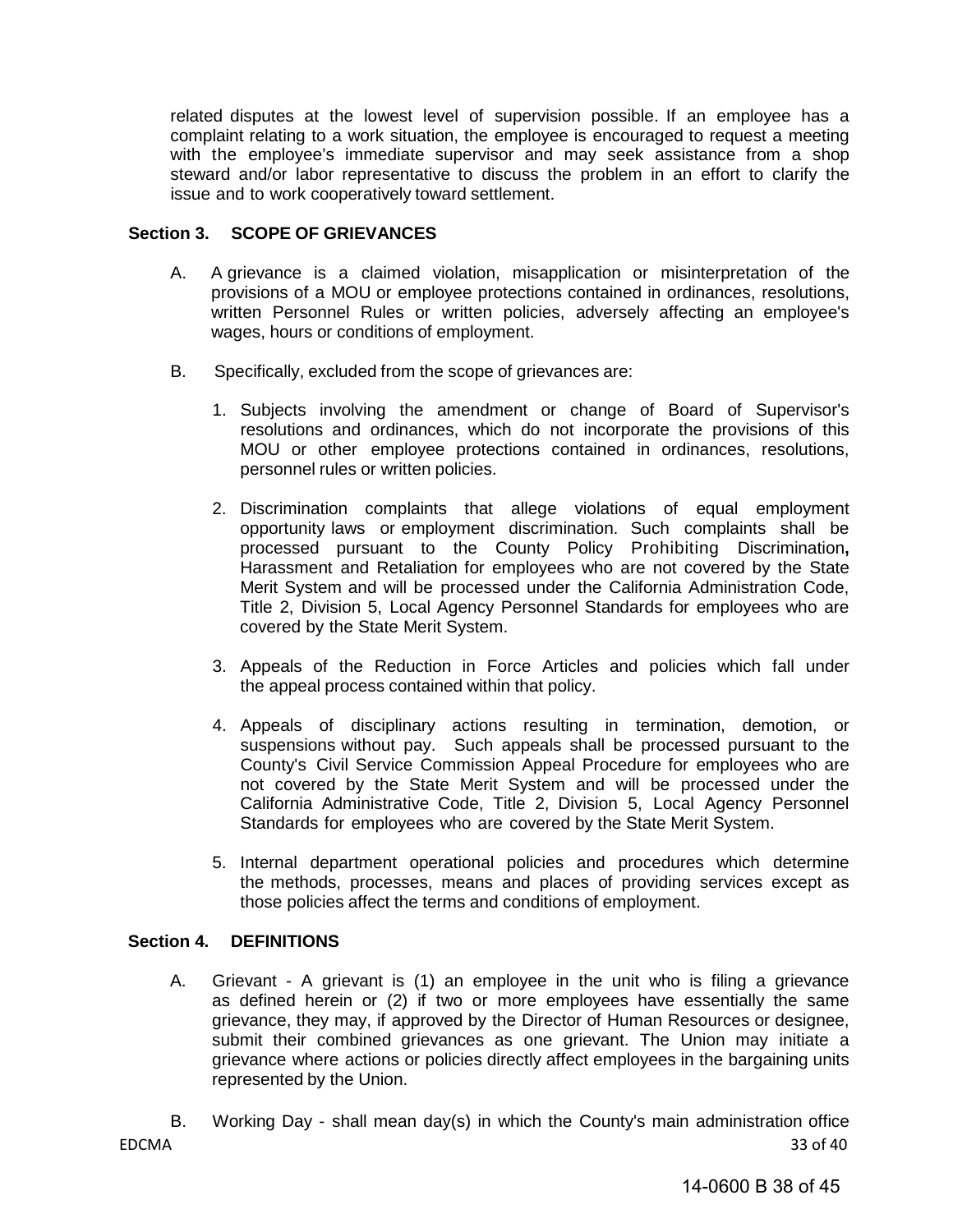related disputes at the lowest level of supervision possible. If an employee has a complaint relating to a work situation, the employee is encouraged to request a meeting with the employee's immediate supervisor and may seek assistance from a shop steward and/or labor representative to discuss the problem in an effort to clarify the issue and to work cooperatively toward settlement.

#### **Section 3. SCOPE OF GRIEVANCES**

- A. A grievance is a claimed violation, misapplication or misinterpretation of the provisions of a MOU or employee protections contained in ordinances, resolutions, written Personnel Rules or written policies, adversely affecting an employee's wages, hours or conditions of employment.
- B. Specifically, excluded from the scope of grievances are:
	- 1. Subjects involving the amendment or change of Board of Supervisor's resolutions and ordinances, which do not incorporate the provisions of this MOU or other employee protections contained in ordinances, resolutions, personnel rules or written policies.
	- 2. Discrimination complaints that allege violations of equal employment opportunity laws or employment discrimination. Such complaints shall be processed pursuant to the County Policy Prohibiting Discrimination**,**  Harassment and Retaliation for employees who are not covered by the State Merit System and will be processed under the California Administration Code, Title 2, Division 5, Local Agency Personnel Standards for employees who are covered by the State Merit System.
	- 3. Appeals of the Reduction in Force Articles and policies which fall under the appeal process contained within that policy.
	- 4. Appeals of disciplinary actions resulting in termination, demotion, or suspensions without pay. Such appeals shall be processed pursuant to the County's Civil Service Commission Appeal Procedure for employees who are not covered by the State Merit System and will be processed under the California Administrative Code, Title 2, Division 5, Local Agency Personnel Standards for employees who are covered by the State Merit System.
	- 5. Internal department operational policies and procedures which determine the methods, processes, means and places of providing services except as those policies affect the terms and conditions of employment.

#### **Section 4. DEFINITIONS**

- A. Grievant A grievant is (1) an employee in the unit who is filing a grievance as defined herein or (2) if two or more employees have essentially the same grievance, they may, if approved by the Director of Human Resources or designee, submit their combined grievances as one grievant. The Union may initiate a grievance where actions or policies directly affect employees in the bargaining units represented by the Union.
- EDCMA 33 of 40 B. Working Day - shall mean day(s) in which the County's main administration office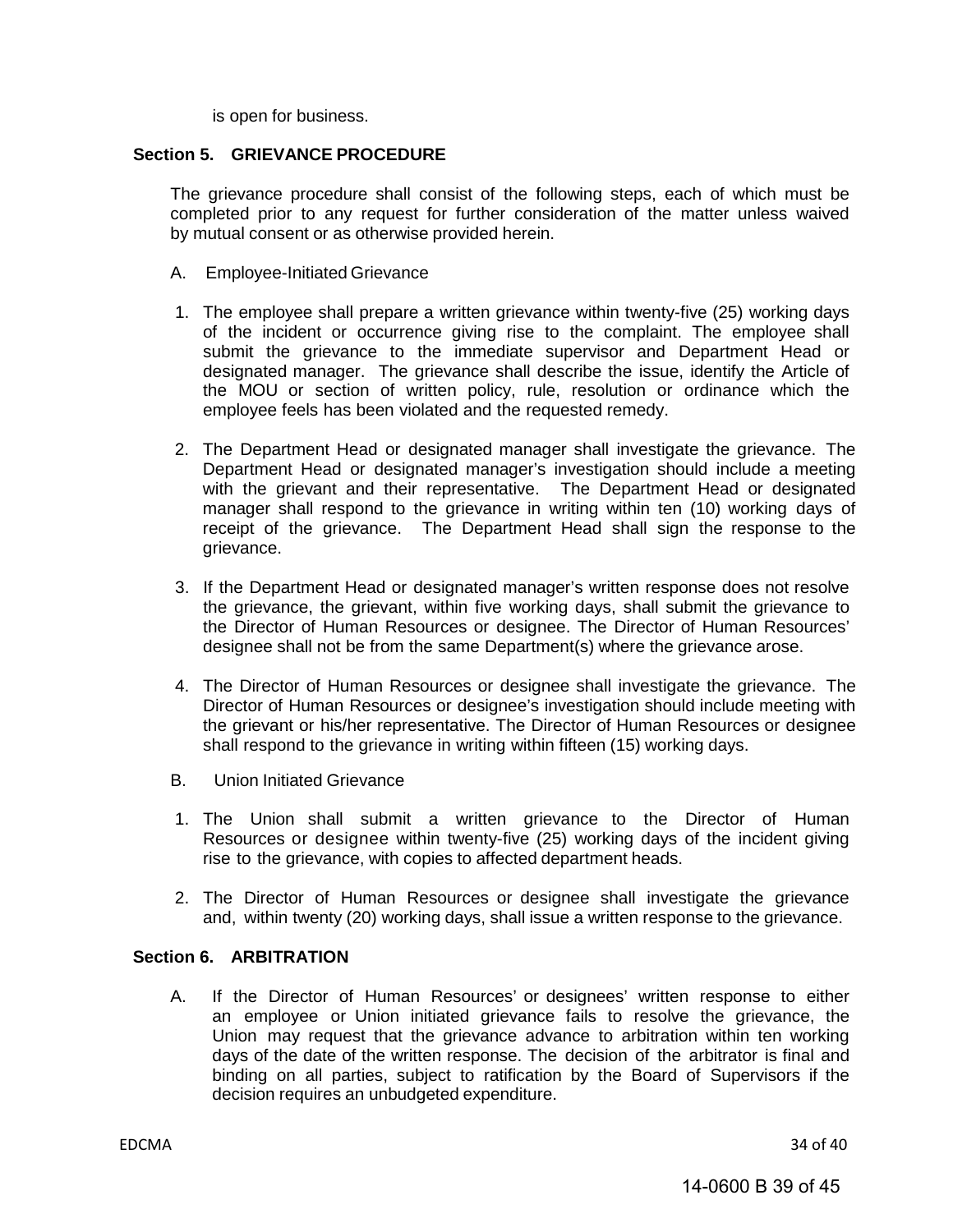is open for business.

#### **Section 5. GRIEVANCE PROCEDURE**

The grievance procedure shall consist of the following steps, each of which must be completed prior to any request for further consideration of the matter unless waived by mutual consent or as otherwise provided herein.

- A. Employee-Initiated Grievance
- 1. The employee shall prepare a written grievance within twenty-five (25) working days of the incident or occurrence giving rise to the complaint. The employee shall submit the grievance to the immediate supervisor and Department Head or designated manager. The grievance shall describe the issue, identify the Article of the MOU or section of written policy, rule, resolution or ordinance which the employee feels has been violated and the requested remedy.
- 2. The Department Head or designated manager shall investigate the grievance. The Department Head or designated manager's investigation should include a meeting with the grievant and their representative. The Department Head or designated manager shall respond to the grievance in writing within ten (10) working days of receipt of the grievance. The Department Head shall sign the response to the grievance.
- 3. If the Department Head or designated manager's written response does not resolve the grievance, the grievant, within five working days, shall submit the grievance to the Director of Human Resources or designee. The Director of Human Resources' designee shall not be from the same Department(s) where the grievance arose.
- 4. The Director of Human Resources or designee shall investigate the grievance. The Director of Human Resources or designee's investigation should include meeting with the grievant or his/her representative. The Director of Human Resources or designee shall respond to the grievance in writing within fifteen (15) working days.
- B. Union Initiated Grievance
- 1. The Union shall submit a written grievance to the Director of Human Resources or designee within twenty-five (25) working days of the incident giving rise to the grievance, with copies to affected department heads.
- 2. The Director of Human Resources or designee shall investigate the grievance and, within twenty (20) working days, shall issue a written response to the grievance.

#### **Section 6. ARBITRATION**

A. If the Director of Human Resources' or designees' written response to either an employee or Union initiated grievance fails to resolve the grievance, the Union may request that the grievance advance to arbitration within ten working days of the date of the written response. The decision of the arbitrator is final and binding on all parties, subject to ratification by the Board of Supervisors if the decision requires an unbudgeted expenditure.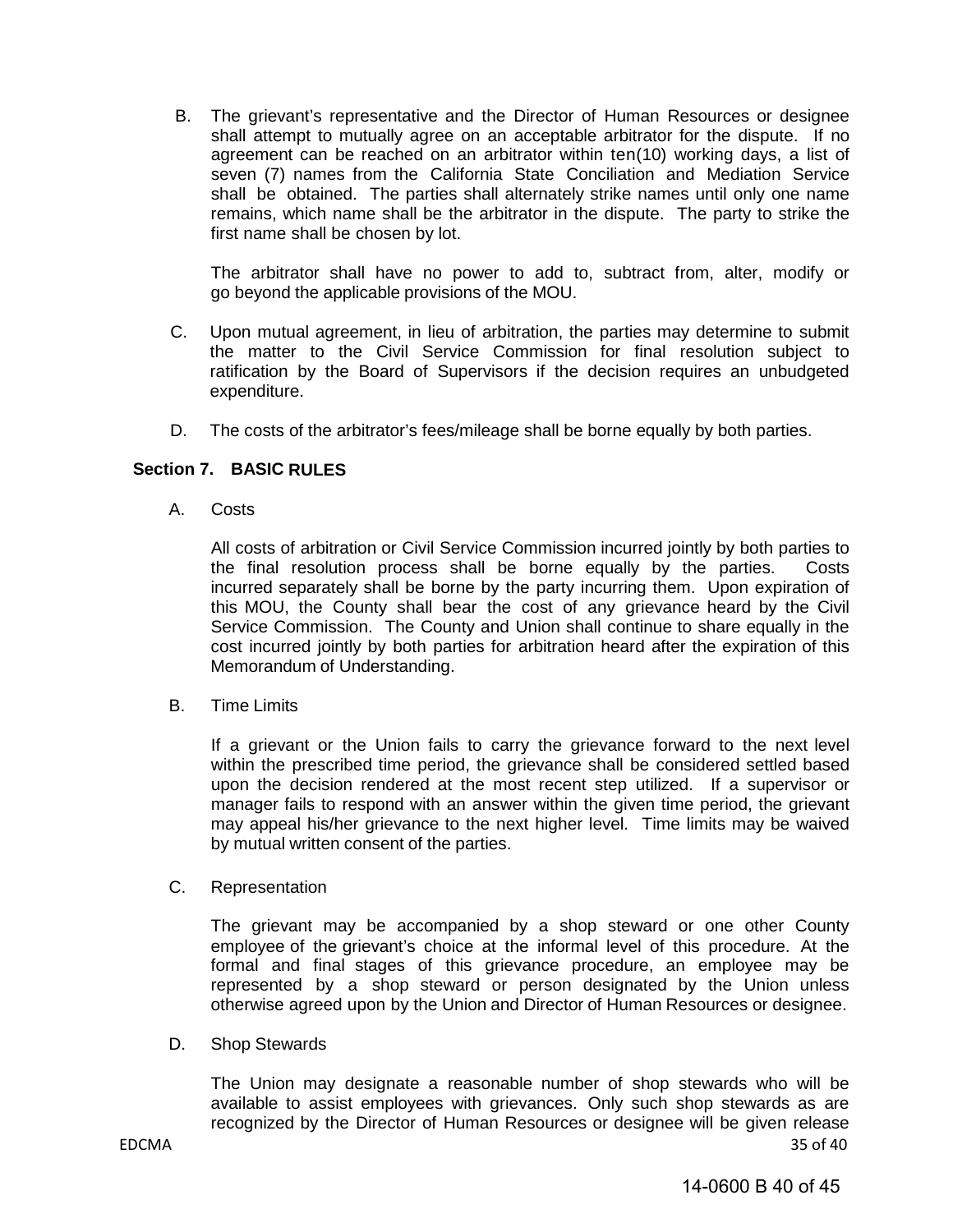B. The grievant's representative and the Director of Human Resources or designee shall attempt to mutually agree on an acceptable arbitrator for the dispute. If no agreement can be reached on an arbitrator within ten(10) working days, a list of seven (7) names from the California State Conciliation and Mediation Service shall be obtained. The parties shall alternately strike names until only one name remains, which name shall be the arbitrator in the dispute. The party to strike the first name shall be chosen by lot.

The arbitrator shall have no power to add to, subtract from, alter, modify or go beyond the applicable provisions of the MOU.

- C. Upon mutual agreement, in lieu of arbitration, the parties may determine to submit the matter to the Civil Service Commission for final resolution subject to ratification by the Board of Supervisors if the decision requires an unbudgeted expenditure.
- D. The costs of the arbitrator's fees/mileage shall be borne equally by both parties.

#### **Section 7. BASIC RULES**

A. Costs

All costs of arbitration or Civil Service Commission incurred jointly by both parties to the final resolution process shall be borne equally by the parties. Costs incurred separately shall be borne by the party incurring them. Upon expiration of this MOU, the County shall bear the cost of any grievance heard by the Civil Service Commission. The County and Union shall continue to share equally in the cost incurred jointly by both parties for arbitration heard after the expiration of this Memorandum of Understanding.

B. Time Limits

If a grievant or the Union fails to carry the grievance forward to the next level within the prescribed time period, the grievance shall be considered settled based upon the decision rendered at the most recent step utilized. If a supervisor or manager fails to respond with an answer within the given time period, the grievant may appeal his/her grievance to the next higher level. Time limits may be waived by mutual written consent of the parties.

C. Representation

The grievant may be accompanied by a shop steward or one other County employee of the grievant's choice at the informal level of this procedure. At the formal and final stages of this grievance procedure, an employee may be represented by a shop steward or person designated by the Union unless otherwise agreed upon by the Union and Director of Human Resources or designee.

D. Shop Stewards

EDCMA 35 of 40 The Union may designate a reasonable number of shop stewards who will be available to assist employees with grievances. Only such shop stewards as are recognized by the Director of Human Resources or designee will be given release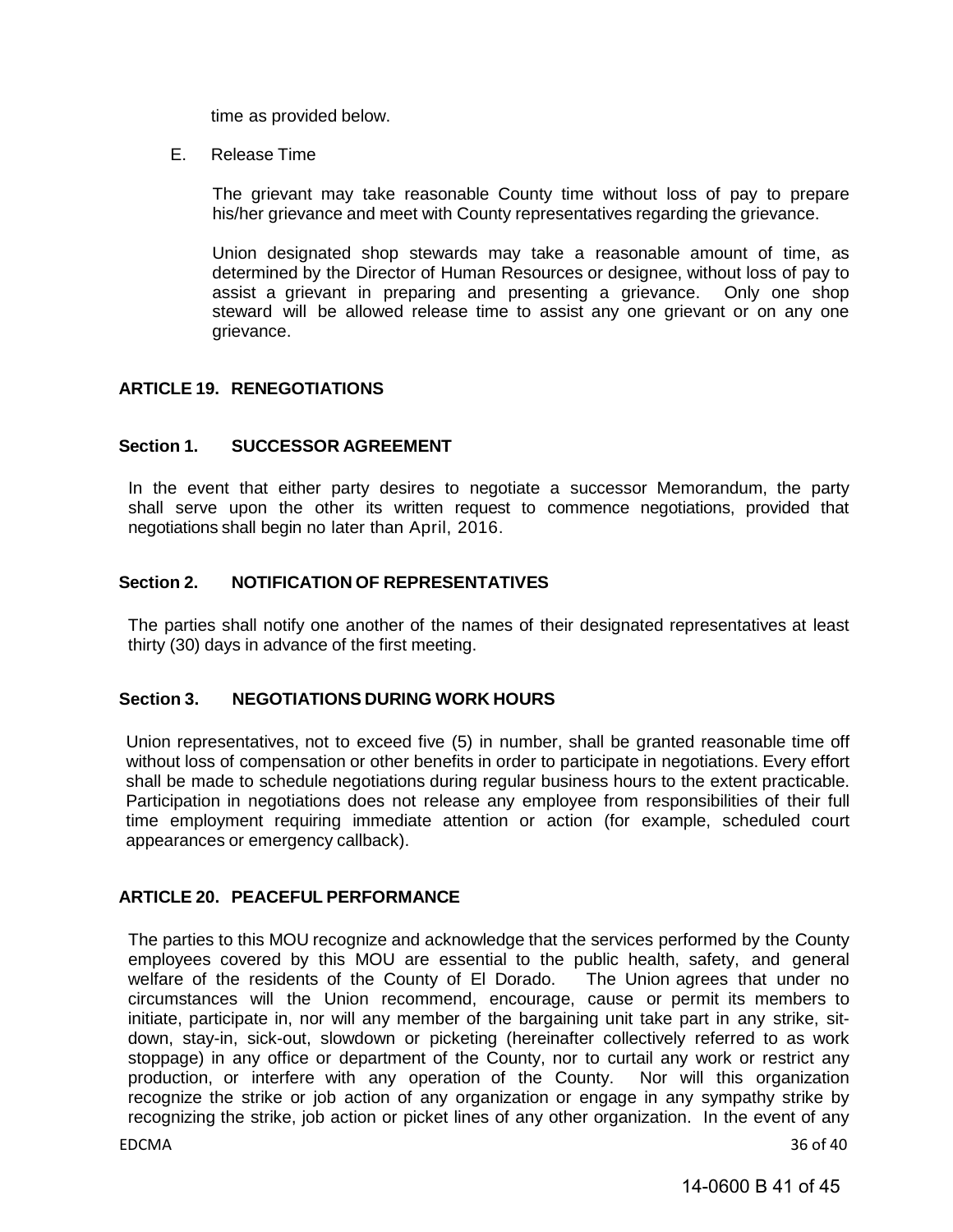time as provided below.

E. Release Time

The grievant may take reasonable County time without loss of pay to prepare his/her grievance and meet with County representatives regarding the grievance.

Union designated shop stewards may take a reasonable amount of time, as determined by the Director of Human Resources or designee, without loss of pay to assist a grievant in preparing and presenting a grievance. Only one shop steward will be allowed release time to assist any one grievant or on any one grievance.

#### <span id="page-40-0"></span>**ARTICLE 19. RENEGOTIATIONS**

#### <span id="page-40-1"></span>**Section 1. SUCCESSOR AGREEMENT**

In the event that either party desires to negotiate a successor Memorandum, the party shall serve upon the other its written request to commence negotiations, provided that negotiations shall begin no later than April, 2016.

#### <span id="page-40-2"></span>**Section 2. NOTIFICATION OF REPRESENTATIVES**

The parties shall notify one another of the names of their designated representatives at least thirty (30) days in advance of the first meeting.

#### <span id="page-40-3"></span>**Section 3. NEGOTIATIONS DURING WORK HOURS**

Union representatives, not to exceed five (5) in number, shall be granted reasonable time off without loss of compensation or other benefits in order to participate in negotiations. Every effort shall be made to schedule negotiations during regular business hours to the extent practicable. Participation in negotiations does not release any employee from responsibilities of their full time employment requiring immediate attention or action (for example, scheduled court appearances or emergency callback).

#### <span id="page-40-4"></span>**ARTICLE 20. PEACEFUL PERFORMANCE**

The parties to this MOU recognize and acknowledge that the services performed by the County employees covered by this MOU are essential to the public health, safety, and general welfare of the residents of the County of El Dorado. The Union agrees that under no welfare of the residents of the County of El Dorado. circumstances will the Union recommend, encourage, cause or permit its members to initiate, participate in, nor will any member of the bargaining unit take part in any strike, sitdown, stay-in, sick-out, slowdown or picketing (hereinafter collectively referred to as work stoppage) in any office or department of the County, nor to curtail any work or restrict any production, or interfere with any operation of the County. Nor will this organization production, or interfere with any operation of the County. recognize the strike or job action of any organization or engage in any sympathy strike by recognizing the strike, job action or picket lines of any other organization. In the event of any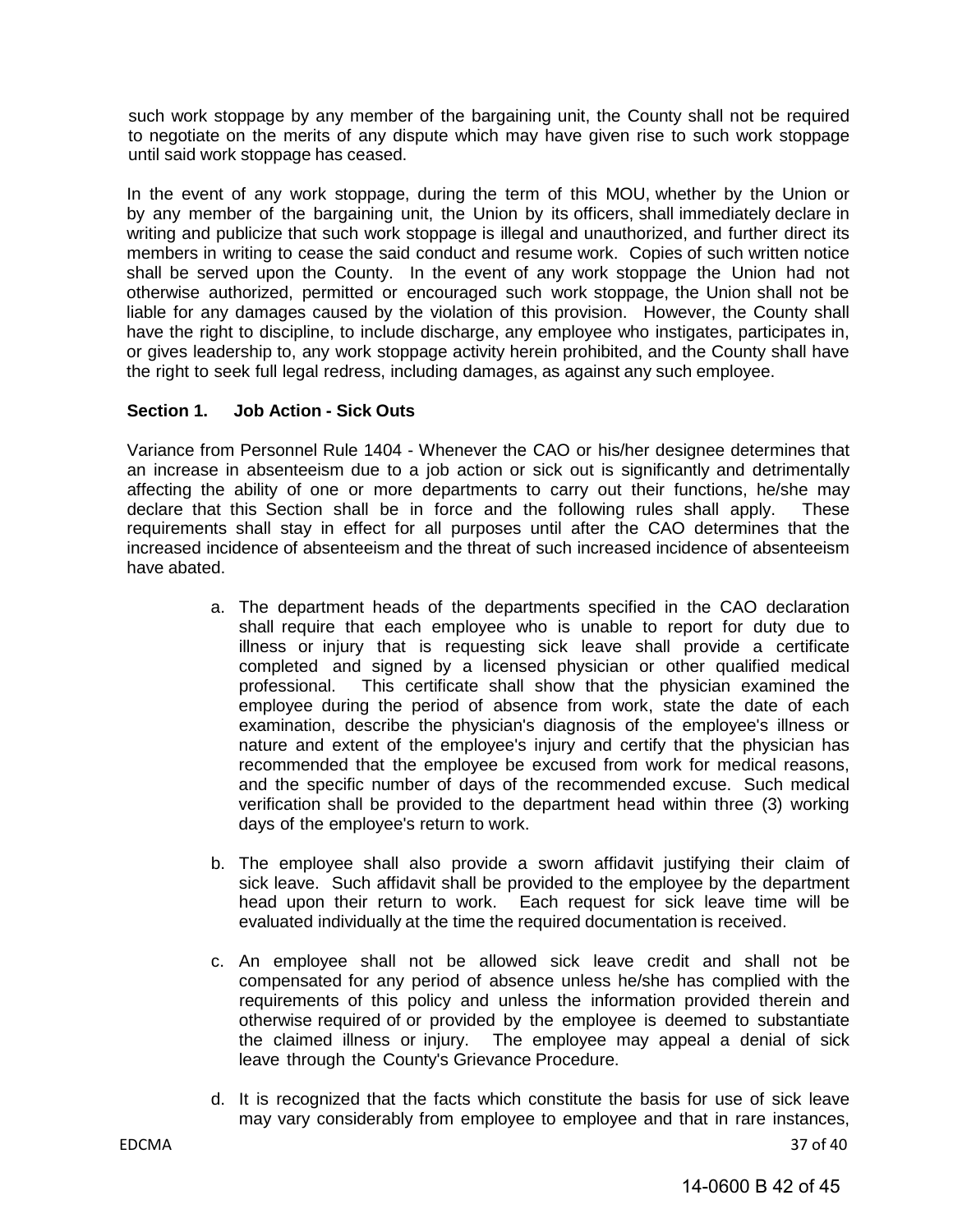such work stoppage by any member of the bargaining unit, the County shall not be required to negotiate on the merits of any dispute which may have given rise to such work stoppage until said work stoppage has ceased.

In the event of any work stoppage, during the term of this MOU, whether by the Union or by any member of the bargaining unit, the Union by its officers, shall immediately declare in writing and publicize that such work stoppage is illegal and unauthorized, and further direct its members in writing to cease the said conduct and resume work. Copies of such written notice shall be served upon the County. In the event of any work stoppage the Union had not otherwise authorized, permitted or encouraged such work stoppage, the Union shall not be liable for any damages caused by the violation of this provision. However, the County shall have the right to discipline, to include discharge, any employee who instigates, participates in, or gives leadership to, any work stoppage activity herein prohibited, and the County shall have the right to seek full legal redress, including damages, as against any such employee.

#### **Section 1. Job Action - Sick Outs**

Variance from Personnel Rule 1404 - Whenever the CAO or his/her designee determines that an increase in absenteeism due to a job action or sick out is significantly and detrimentally affecting the ability of one or more departments to carry out their functions, he/she may declare that this Section shall be in force and the following rules shall apply. These requirements shall stay in effect for all purposes until after the CAO determines that the increased incidence of absenteeism and the threat of such increased incidence of absenteeism have abated.

- a. The department heads of the departments specified in the CAO declaration shall require that each employee who is unable to report for duty due to illness or injury that is requesting sick leave shall provide a certificate completed and signed by a licensed physician or other qualified medical professional. This certificate shall show that the physician examined the employee during the period of absence from work, state the date of each examination, describe the physician's diagnosis of the employee's illness or nature and extent of the employee's injury and certify that the physician has recommended that the employee be excused from work for medical reasons, and the specific number of days of the recommended excuse. Such medical verification shall be provided to the department head within three (3) working days of the employee's return to work.
- b. The employee shall also provide a sworn affidavit justifying their claim of sick leave. Such affidavit shall be provided to the employee by the department head upon their return to work. Each request for sick leave time will be evaluated individually at the time the required documentation is received.
- c. An employee shall not be allowed sick leave credit and shall not be compensated for any period of absence unless he/she has complied with the requirements of this policy and unless the information provided therein and otherwise required of or provided by the employee is deemed to substantiate the claimed illness or injury. The employee may appeal a denial of sick leave through the County's Grievance Procedure.
- d. It is recognized that the facts which constitute the basis for use of sick leave may vary considerably from employee to employee and that in rare instances,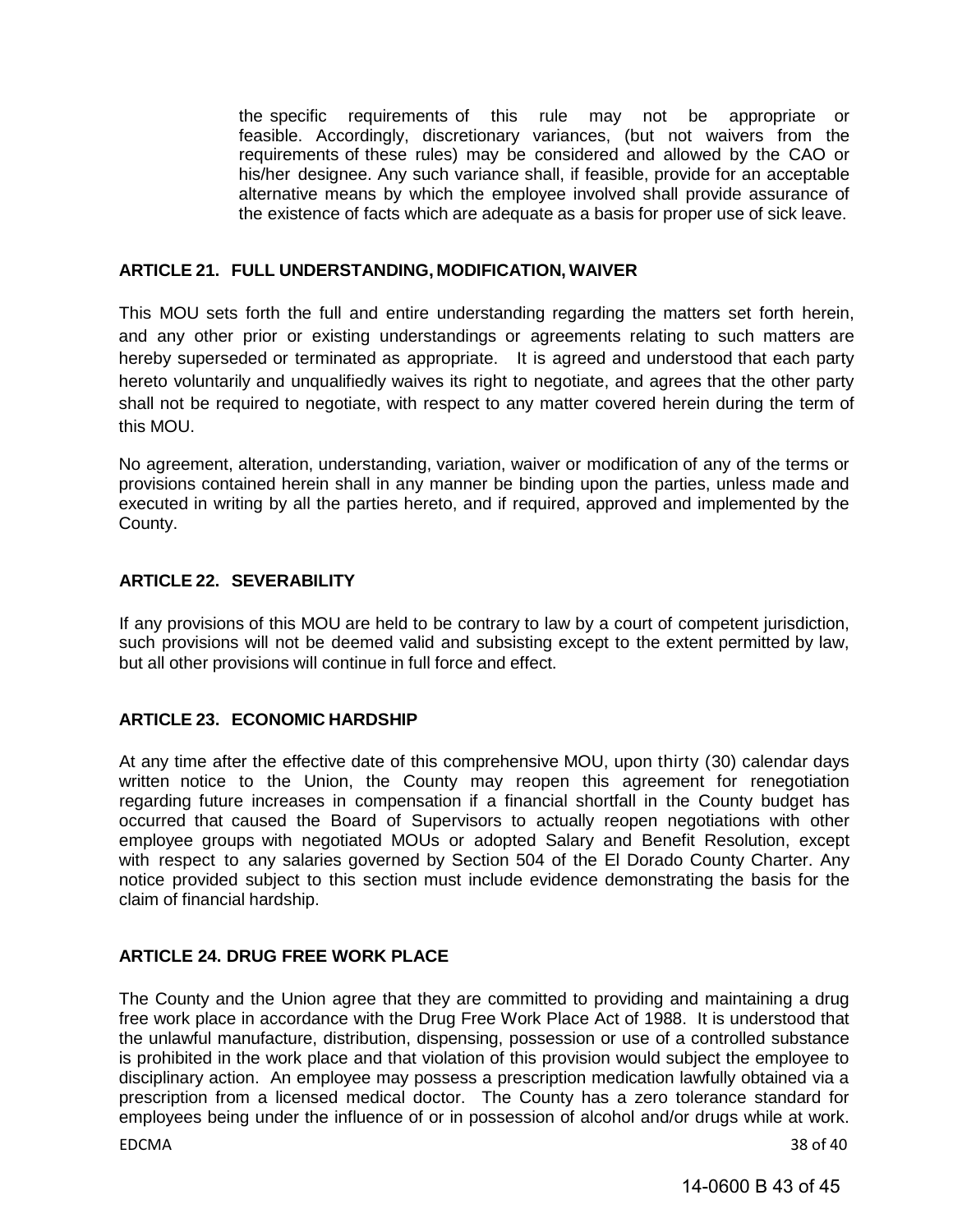the specific requirements of this rule may not be appropriate or feasible. Accordingly, discretionary variances, (but not waivers from the requirements of these rules) may be considered and allowed by the CAO or his/her designee. Any such variance shall, if feasible, provide for an acceptable alternative means by which the employee involved shall provide assurance of the existence of facts which are adequate as a basis for proper use of sick leave.

#### <span id="page-42-0"></span>**ARTICLE 21. FULL UNDERSTANDING, MODIFICATION, WAIVER**

This MOU sets forth the full and entire understanding regarding the matters set forth herein, and any other prior or existing understandings or agreements relating to such matters are hereby superseded or terminated as appropriate. It is agreed and understood that each party hereto voluntarily and unqualifiedly waives its right to negotiate, and agrees that the other party shall not be required to negotiate, with respect to any matter covered herein during the term of this MOU.

No agreement, alteration, understanding, variation, waiver or modification of any of the terms or provisions contained herein shall in any manner be binding upon the parties, unless made and executed in writing by all the parties hereto, and if required, approved and implemented by the County.

#### <span id="page-42-1"></span>**ARTICLE 22. SEVERABILITY**

If any provisions of this MOU are held to be contrary to law by a court of competent jurisdiction, such provisions will not be deemed valid and subsisting except to the extent permitted by law, but all other provisions will continue in full force and effect.

#### <span id="page-42-2"></span>**ARTICLE 23. ECONOMIC HARDSHIP**

At any time after the effective date of this comprehensive MOU, upon thirty (30) calendar days written notice to the Union, the County may reopen this agreement for renegotiation regarding future increases in compensation if a financial shortfall in the County budget has occurred that caused the Board of Supervisors to actually reopen negotiations with other employee groups with negotiated MOUs or adopted Salary and Benefit Resolution, except with respect to any salaries governed by Section 504 of the El Dorado County Charter. Any notice provided subject to this section must include evidence demonstrating the basis for the claim of financial hardship.

#### <span id="page-42-3"></span>**ARTICLE 24. DRUG FREE WORK PLACE**

The County and the Union agree that they are committed to providing and maintaining a drug free work place in accordance with the Drug Free Work Place Act of 1988. It is understood that the unlawful manufacture, distribution, dispensing, possession or use of a controlled substance is prohibited in the work place and that violation of this provision would subject the employee to disciplinary action. An employee may possess a prescription medication lawfully obtained via a prescription from a licensed medical doctor. The County has a zero tolerance standard for employees being under the influence of or in possession of alcohol and/or drugs while at work.

EDCMA 38 of 40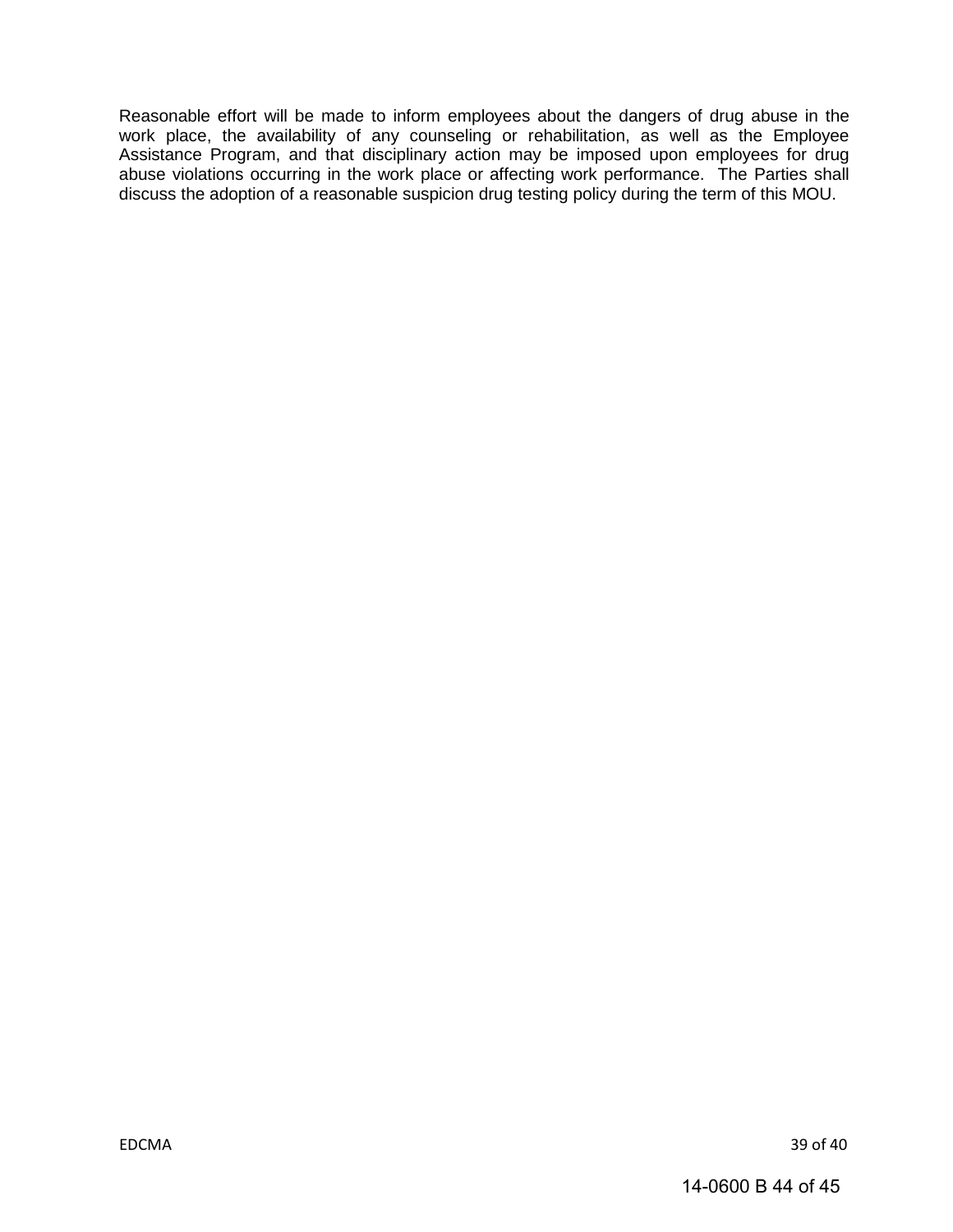Reasonable effort will be made to inform employees about the dangers of drug abuse in the work place, the availability of any counseling or rehabilitation, as well as the Employee Assistance Program, and that disciplinary action may be imposed upon employees for drug abuse violations occurring in the work place or affecting work performance. The Parties shall discuss the adoption of a reasonable suspicion drug testing policy during the term of this MOU.